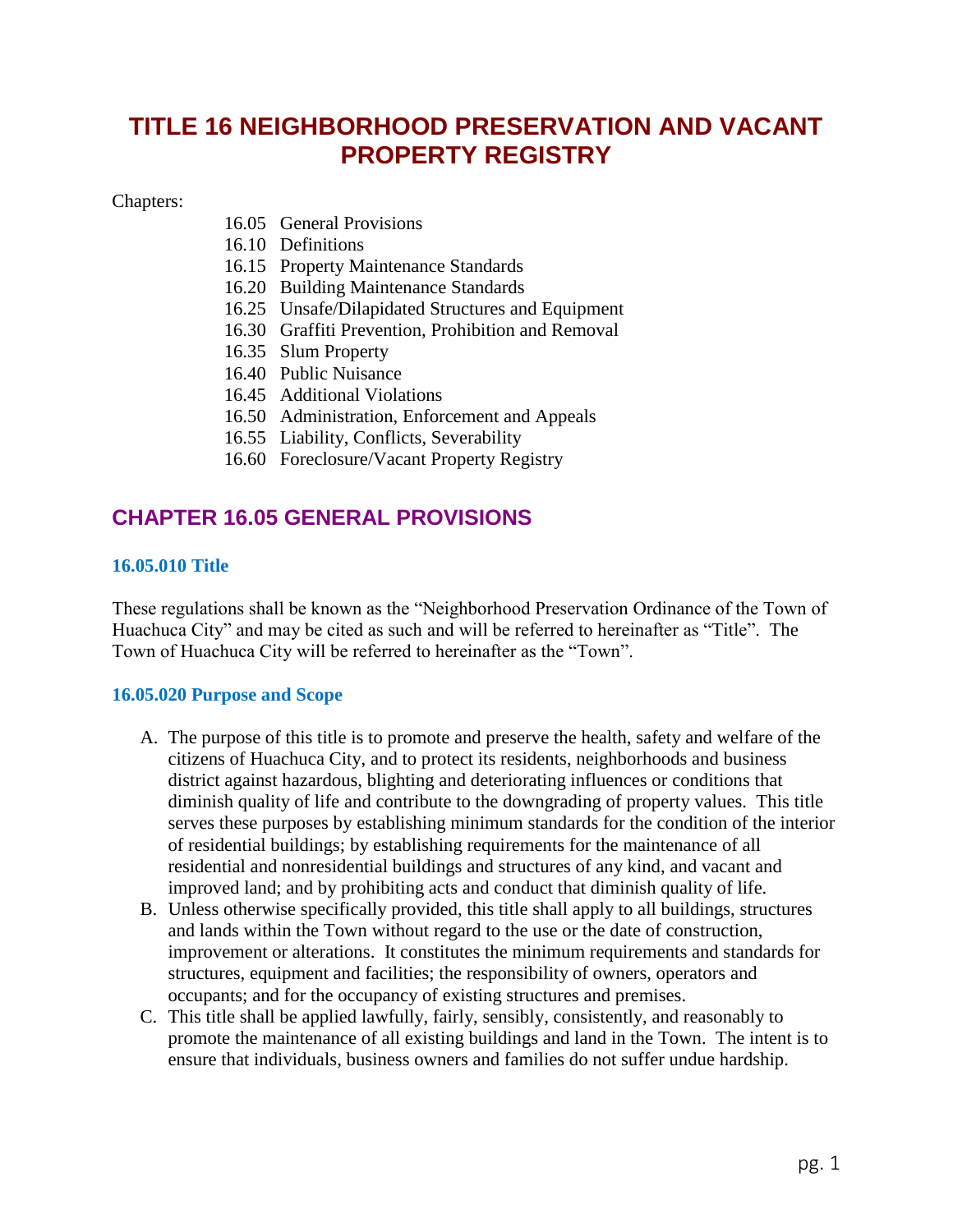# **TITLE 16 NEIGHBORHOOD PRESERVATION AND VACANT PROPERTY REGISTRY**

#### Chapters:

- 16.05 General Provisions
- 16.10 Definitions
- 16.15 Property Maintenance Standards
- 16.20 Building Maintenance Standards
- 16.25 Unsafe/Dilapidated Structures and Equipment
- 16.30 Graffiti Prevention, Prohibition and Removal
- 16.35 Slum Property
- 16.40 Public Nuisance
- 16.45 Additional Violations
- 16.50 Administration, Enforcement and Appeals
- 16.55 Liability, Conflicts, Severability
- 16.60 Foreclosure/Vacant Property Registry

## **CHAPTER 16.05 GENERAL PROVISIONS**

### **16.05.010 Title**

These regulations shall be known as the "Neighborhood Preservation Ordinance of the Town of Huachuca City" and may be cited as such and will be referred to hereinafter as "Title". The Town of Huachuca City will be referred to hereinafter as the "Town".

### **16.05.020 Purpose and Scope**

- A. The purpose of this title is to promote and preserve the health, safety and welfare of the citizens of Huachuca City, and to protect its residents, neighborhoods and business district against hazardous, blighting and deteriorating influences or conditions that diminish quality of life and contribute to the downgrading of property values. This title serves these purposes by establishing minimum standards for the condition of the interior of residential buildings; by establishing requirements for the maintenance of all residential and nonresidential buildings and structures of any kind, and vacant and improved land; and by prohibiting acts and conduct that diminish quality of life.
- B. Unless otherwise specifically provided, this title shall apply to all buildings, structures and lands within the Town without regard to the use or the date of construction, improvement or alterations. It constitutes the minimum requirements and standards for structures, equipment and facilities; the responsibility of owners, operators and occupants; and for the occupancy of existing structures and premises.
- C. This title shall be applied lawfully, fairly, sensibly, consistently, and reasonably to promote the maintenance of all existing buildings and land in the Town. The intent is to ensure that individuals, business owners and families do not suffer undue hardship.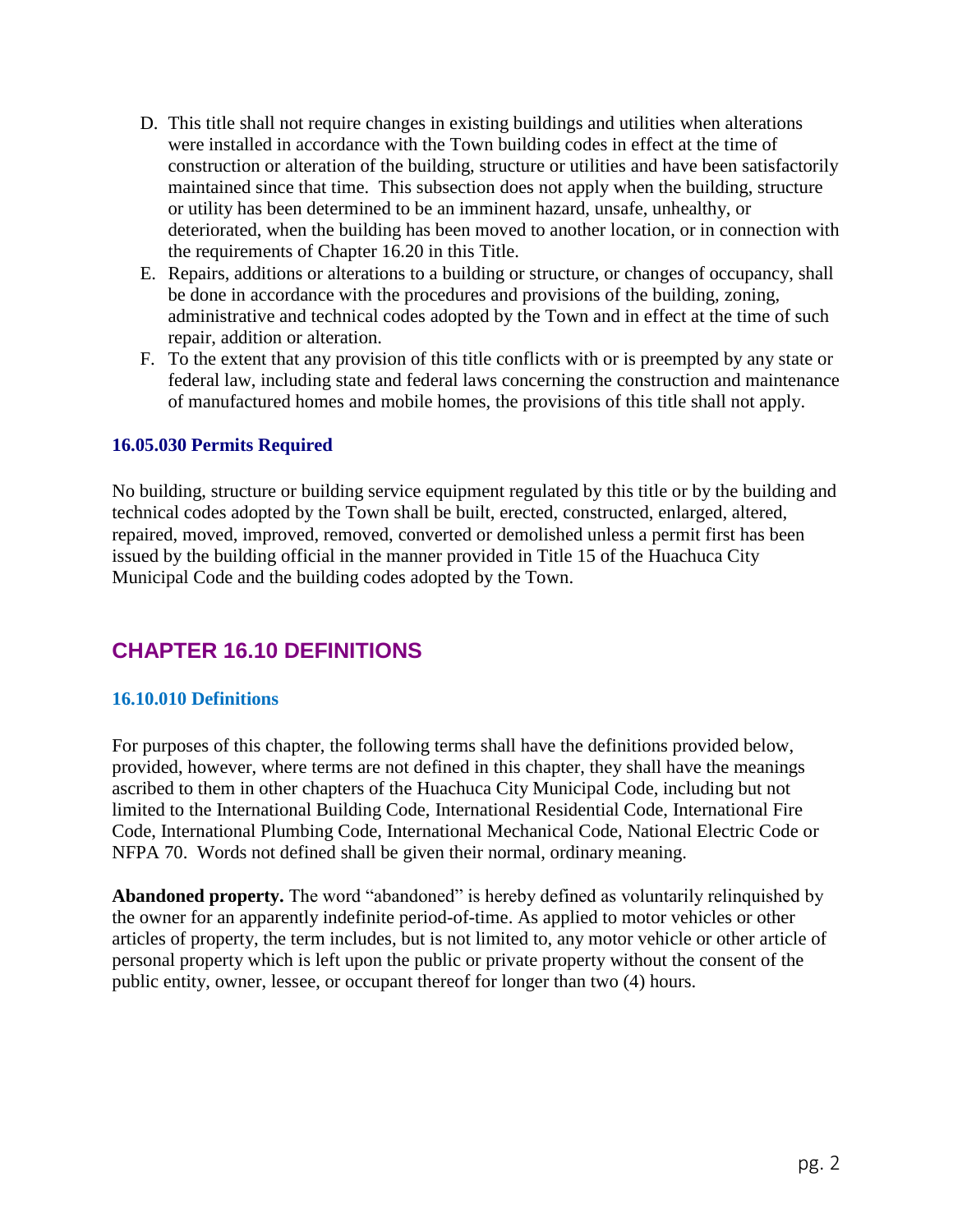- D. This title shall not require changes in existing buildings and utilities when alterations were installed in accordance with the Town building codes in effect at the time of construction or alteration of the building, structure or utilities and have been satisfactorily maintained since that time. This subsection does not apply when the building, structure or utility has been determined to be an imminent hazard, unsafe, unhealthy, or deteriorated, when the building has been moved to another location, or in connection with the requirements of Chapter 16.20 in this Title.
- E. Repairs, additions or alterations to a building or structure, or changes of occupancy, shall be done in accordance with the procedures and provisions of the building, zoning, administrative and technical codes adopted by the Town and in effect at the time of such repair, addition or alteration.
- F. To the extent that any provision of this title conflicts with or is preempted by any state or federal law, including state and federal laws concerning the construction and maintenance of manufactured homes and mobile homes, the provisions of this title shall not apply.

## **16.05.030 Permits Required**

No building, structure or building service equipment regulated by this title or by the building and technical codes adopted by the Town shall be built, erected, constructed, enlarged, altered, repaired, moved, improved, removed, converted or demolished unless a permit first has been issued by the building official in the manner provided in Title 15 of the Huachuca City Municipal Code and the building codes adopted by the Town.

## **CHAPTER 16.10 DEFINITIONS**

### **16.10.010 Definitions**

For purposes of this chapter, the following terms shall have the definitions provided below, provided, however, where terms are not defined in this chapter, they shall have the meanings ascribed to them in other chapters of the Huachuca City Municipal Code, including but not limited to the International Building Code, International Residential Code, International Fire Code, International Plumbing Code, International Mechanical Code, National Electric Code or NFPA 70. Words not defined shall be given their normal, ordinary meaning.

**Abandoned property.** The word "abandoned" is hereby defined as voluntarily relinquished by the owner for an apparently indefinite period-of-time. As applied to motor vehicles or other articles of property, the term includes, but is not limited to, any motor vehicle or other article of personal property which is left upon the public or private property without the consent of the public entity, owner, lessee, or occupant thereof for longer than two (4) hours.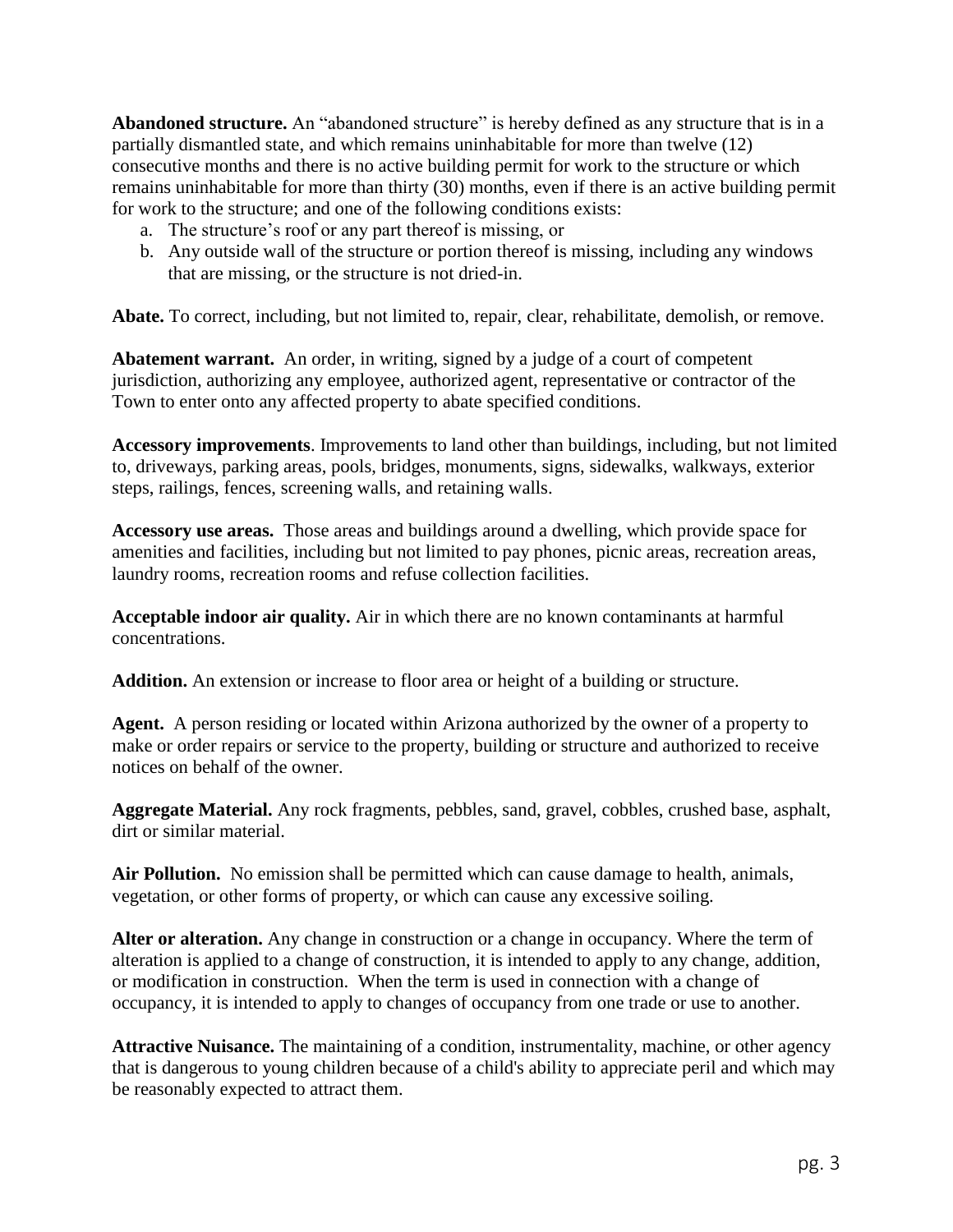**Abandoned structure.** An "abandoned structure" is hereby defined as any structure that is in a partially dismantled state, and which remains uninhabitable for more than twelve (12) consecutive months and there is no active building permit for work to the structure or which remains uninhabitable for more than thirty (30) months, even if there is an active building permit for work to the structure; and one of the following conditions exists:

- a. The structure's roof or any part thereof is missing, or
- b. Any outside wall of the structure or portion thereof is missing, including any windows that are missing, or the structure is not dried-in.

**Abate.** To correct, including, but not limited to, repair, clear, rehabilitate, demolish, or remove.

**Abatement warrant.** An order, in writing, signed by a judge of a court of competent jurisdiction, authorizing any employee, authorized agent, representative or contractor of the Town to enter onto any affected property to abate specified conditions.

**Accessory improvements**. Improvements to land other than buildings, including, but not limited to, driveways, parking areas, pools, bridges, monuments, signs, sidewalks, walkways, exterior steps, railings, fences, screening walls, and retaining walls.

**Accessory use areas.** Those areas and buildings around a dwelling, which provide space for amenities and facilities, including but not limited to pay phones, picnic areas, recreation areas, laundry rooms, recreation rooms and refuse collection facilities.

**Acceptable indoor air quality.** Air in which there are no known contaminants at harmful concentrations.

**Addition.** An extension or increase to floor area or height of a building or structure.

**Agent.** A person residing or located within Arizona authorized by the owner of a property to make or order repairs or service to the property, building or structure and authorized to receive notices on behalf of the owner.

**Aggregate Material.** Any rock fragments, pebbles, sand, gravel, cobbles, crushed base, asphalt, dirt or similar material.

**Air Pollution.** No emission shall be permitted which can cause damage to health, animals, vegetation, or other forms of property, or which can cause any excessive soiling.

**Alter or alteration.** Any change in construction or a change in occupancy. Where the term of alteration is applied to a change of construction, it is intended to apply to any change, addition, or modification in construction. When the term is used in connection with a change of occupancy, it is intended to apply to changes of occupancy from one trade or use to another.

**Attractive Nuisance.** The maintaining of a condition, instrumentality, machine, or other agency that is dangerous to young children because of a child's ability to appreciate peril and which may be reasonably expected to attract them.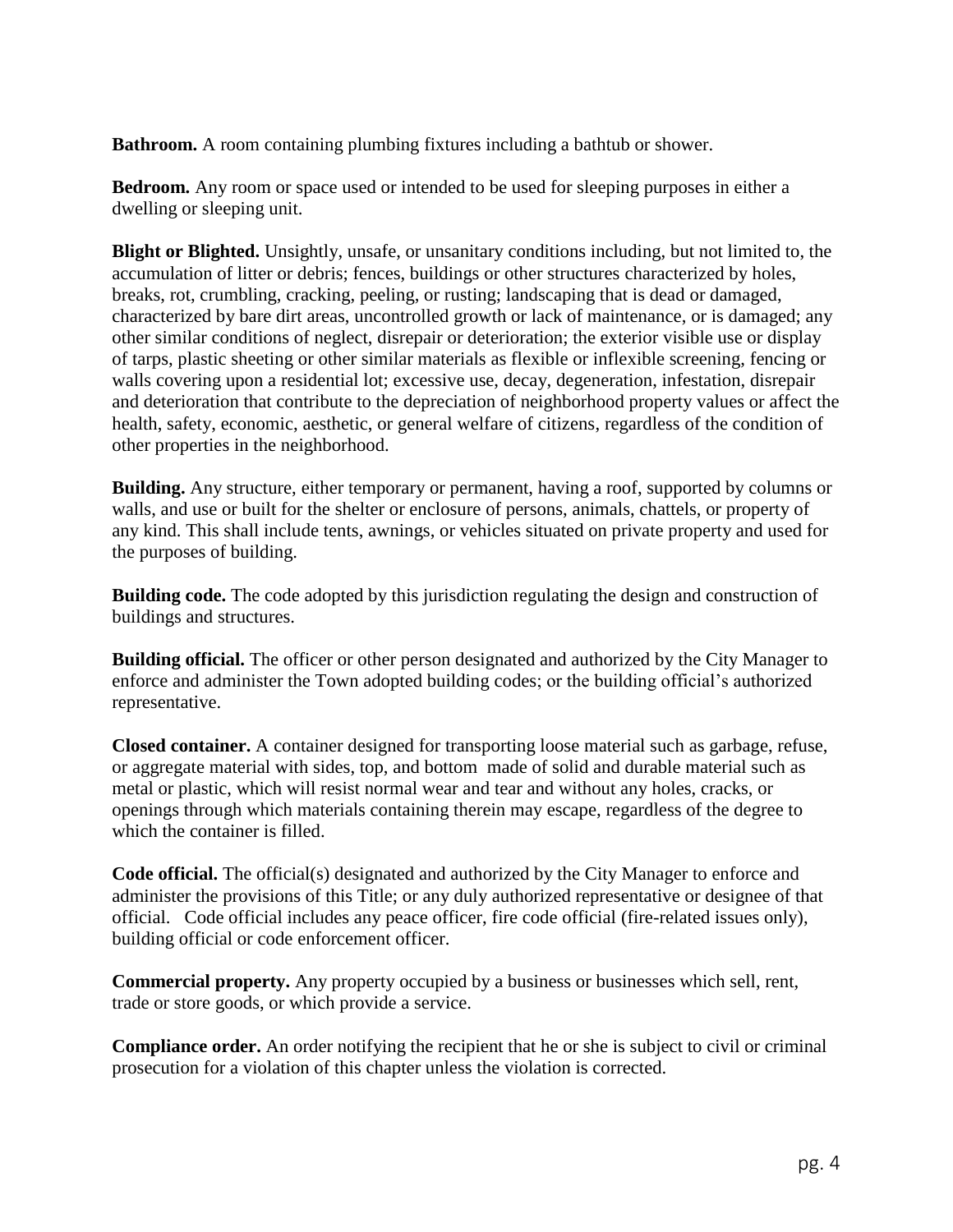**Bathroom.** A room containing plumbing fixtures including a bathtub or shower.

**Bedroom.** Any room or space used or intended to be used for sleeping purposes in either a dwelling or sleeping unit.

**Blight or Blighted.** Unsightly, unsafe, or unsanitary conditions including, but not limited to, the accumulation of litter or debris; fences, buildings or other structures characterized by holes, breaks, rot, crumbling, cracking, peeling, or rusting; landscaping that is dead or damaged, characterized by bare dirt areas, uncontrolled growth or lack of maintenance, or is damaged; any other similar conditions of neglect, disrepair or deterioration; the exterior visible use or display of tarps, plastic sheeting or other similar materials as flexible or inflexible screening, fencing or walls covering upon a residential lot; excessive use, decay, degeneration, infestation, disrepair and deterioration that contribute to the depreciation of neighborhood property values or affect the health, safety, economic, aesthetic, or general welfare of citizens, regardless of the condition of other properties in the neighborhood.

**Building.** Any structure, either temporary or permanent, having a roof, supported by columns or walls, and use or built for the shelter or enclosure of persons, animals, chattels, or property of any kind. This shall include tents, awnings, or vehicles situated on private property and used for the purposes of building.

**Building code.** The code adopted by this jurisdiction regulating the design and construction of buildings and structures.

**Building official.** The officer or other person designated and authorized by the City Manager to enforce and administer the Town adopted building codes; or the building official's authorized representative.

**Closed container.** A container designed for transporting loose material such as garbage, refuse, or aggregate material with sides, top, and bottom made of solid and durable material such as metal or plastic, which will resist normal wear and tear and without any holes, cracks, or openings through which materials containing therein may escape, regardless of the degree to which the container is filled.

**Code official.** The official(s) designated and authorized by the City Manager to enforce and administer the provisions of this Title; or any duly authorized representative or designee of that official. Code official includes any peace officer, fire code official (fire-related issues only), building official or code enforcement officer.

**Commercial property.** Any property occupied by a business or businesses which sell, rent, trade or store goods, or which provide a service.

**Compliance order.** An order notifying the recipient that he or she is subject to civil or criminal prosecution for a violation of this chapter unless the violation is corrected.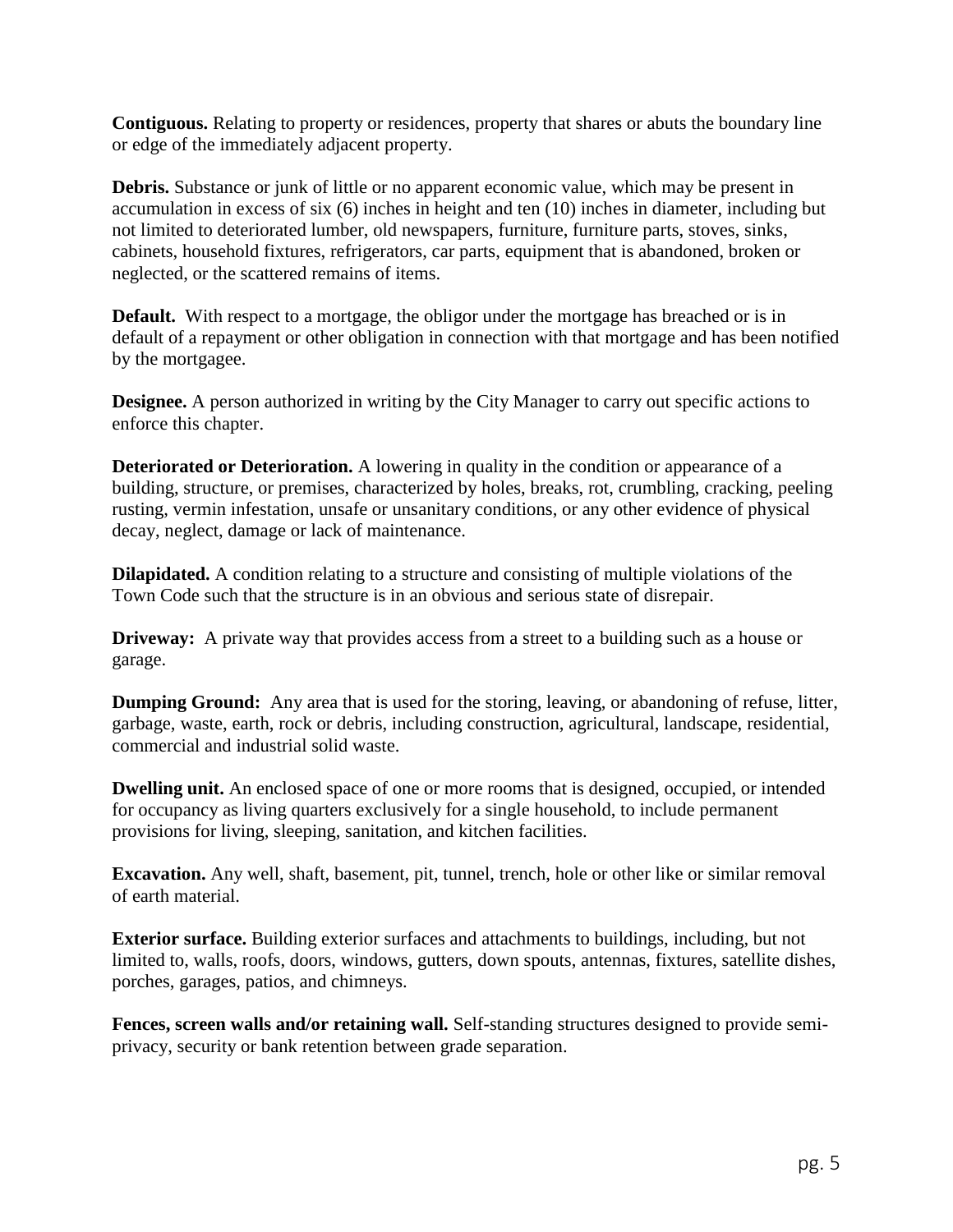**Contiguous.** Relating to property or residences, property that shares or abuts the boundary line or edge of the immediately adjacent property.

**Debris.** Substance or junk of little or no apparent economic value, which may be present in accumulation in excess of six (6) inches in height and ten (10) inches in diameter, including but not limited to deteriorated lumber, old newspapers, furniture, furniture parts, stoves, sinks, cabinets, household fixtures, refrigerators, car parts, equipment that is abandoned, broken or neglected, or the scattered remains of items.

**Default.** With respect to a mortgage, the obligor under the mortgage has breached or is in default of a repayment or other obligation in connection with that mortgage and has been notified by the mortgagee.

**Designee.** A person authorized in writing by the City Manager to carry out specific actions to enforce this chapter.

**Deteriorated or Deterioration.** A lowering in quality in the condition or appearance of a building, structure, or premises, characterized by holes, breaks, rot, crumbling, cracking, peeling rusting, vermin infestation, unsafe or unsanitary conditions, or any other evidence of physical decay, neglect, damage or lack of maintenance.

**Dilapidated.** A condition relating to a structure and consisting of multiple violations of the Town Code such that the structure is in an obvious and serious state of disrepair.

**Driveway:** A private way that provides access from a street to a building such as a house or garage.

**Dumping Ground:** Any area that is used for the storing, leaving, or abandoning of refuse, litter, garbage, waste, earth, rock or debris, including construction, agricultural, landscape, residential, commercial and industrial solid waste.

**Dwelling unit.** An enclosed space of one or more rooms that is designed, occupied, or intended for occupancy as living quarters exclusively for a single household, to include permanent provisions for living, sleeping, sanitation, and kitchen facilities.

**Excavation.** Any well, shaft, basement, pit, tunnel, trench, hole or other like or similar removal of earth material.

**Exterior surface.** Building exterior surfaces and attachments to buildings, including, but not limited to, walls, roofs, doors, windows, gutters, down spouts, antennas, fixtures, satellite dishes, porches, garages, patios, and chimneys.

**Fences, screen walls and/or retaining wall.** Self-standing structures designed to provide semiprivacy, security or bank retention between grade separation.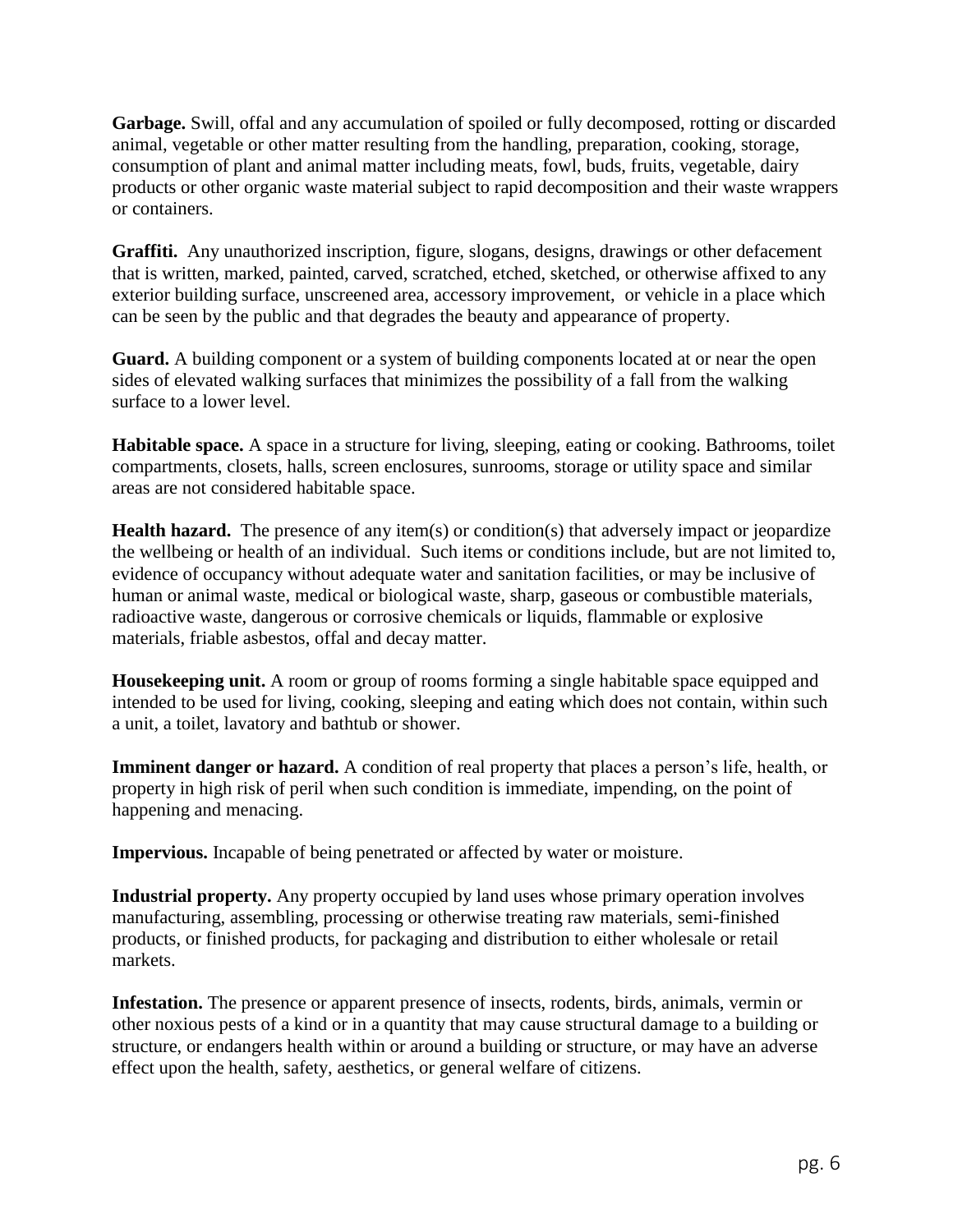**Garbage.** Swill, offal and any accumulation of spoiled or fully decomposed, rotting or discarded animal, vegetable or other matter resulting from the handling, preparation, cooking, storage, consumption of plant and animal matter including meats, fowl, buds, fruits, vegetable, dairy products or other organic waste material subject to rapid decomposition and their waste wrappers or containers.

**Graffiti.** Any unauthorized inscription, figure, slogans, designs, drawings or other defacement that is written, marked, painted, carved, scratched, etched, sketched, or otherwise affixed to any exterior building surface, unscreened area, accessory improvement, or vehicle in a place which can be seen by the public and that degrades the beauty and appearance of property.

**Guard.** A building component or a system of building components located at or near the open sides of elevated walking surfaces that minimizes the possibility of a fall from the walking surface to a lower level.

**Habitable space.** A space in a structure for living, sleeping, eating or cooking. Bathrooms, toilet compartments, closets, halls, screen enclosures, sunrooms, storage or utility space and similar areas are not considered habitable space.

**Health hazard.** The presence of any item(s) or condition(s) that adversely impact or jeopardize the wellbeing or health of an individual. Such items or conditions include, but are not limited to, evidence of occupancy without adequate water and sanitation facilities, or may be inclusive of human or animal waste, medical or biological waste, sharp, gaseous or combustible materials, radioactive waste, dangerous or corrosive chemicals or liquids, flammable or explosive materials, friable asbestos, offal and decay matter.

**Housekeeping unit.** A room or group of rooms forming a single habitable space equipped and intended to be used for living, cooking, sleeping and eating which does not contain, within such a unit, a toilet, lavatory and bathtub or shower.

**Imminent danger or hazard.** A condition of real property that places a person's life, health, or property in high risk of peril when such condition is immediate, impending, on the point of happening and menacing.

**Impervious.** Incapable of being penetrated or affected by water or moisture.

**Industrial property.** Any property occupied by land uses whose primary operation involves manufacturing, assembling, processing or otherwise treating raw materials, semi-finished products, or finished products, for packaging and distribution to either wholesale or retail markets.

**Infestation.** The presence or apparent presence of insects, rodents, birds, animals, vermin or other noxious pests of a kind or in a quantity that may cause structural damage to a building or structure, or endangers health within or around a building or structure, or may have an adverse effect upon the health, safety, aesthetics, or general welfare of citizens.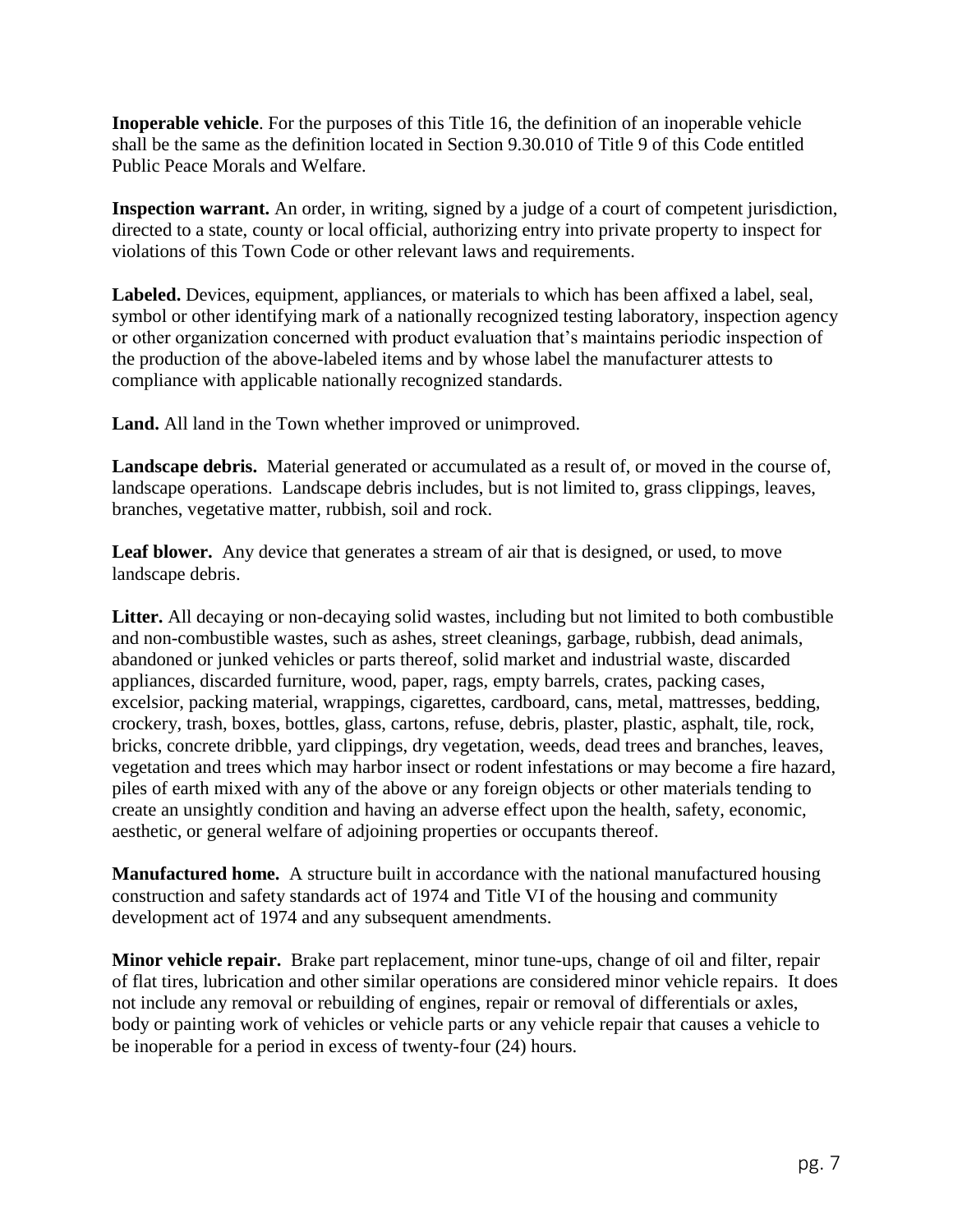**Inoperable vehicle**. For the purposes of this Title 16, the definition of an inoperable vehicle shall be the same as the definition located in Section 9.30.010 of Title 9 of this Code entitled Public Peace Morals and Welfare.

**Inspection warrant.** An order, in writing, signed by a judge of a court of competent jurisdiction, directed to a state, county or local official, authorizing entry into private property to inspect for violations of this Town Code or other relevant laws and requirements.

**Labeled.** Devices, equipment, appliances, or materials to which has been affixed a label, seal, symbol or other identifying mark of a nationally recognized testing laboratory, inspection agency or other organization concerned with product evaluation that's maintains periodic inspection of the production of the above-labeled items and by whose label the manufacturer attests to compliance with applicable nationally recognized standards.

**Land.** All land in the Town whether improved or unimproved.

**Landscape debris.** Material generated or accumulated as a result of, or moved in the course of, landscape operations. Landscape debris includes, but is not limited to, grass clippings, leaves, branches, vegetative matter, rubbish, soil and rock.

**Leaf blower.** Any device that generates a stream of air that is designed, or used, to move landscape debris.

**Litter.** All decaying or non-decaying solid wastes, including but not limited to both combustible and non-combustible wastes, such as ashes, street cleanings, garbage, rubbish, dead animals, abandoned or junked vehicles or parts thereof, solid market and industrial waste, discarded appliances, discarded furniture, wood, paper, rags, empty barrels, crates, packing cases, excelsior, packing material, wrappings, cigarettes, cardboard, cans, metal, mattresses, bedding, crockery, trash, boxes, bottles, glass, cartons, refuse, debris, plaster, plastic, asphalt, tile, rock, bricks, concrete dribble, yard clippings, dry vegetation, weeds, dead trees and branches, leaves, vegetation and trees which may harbor insect or rodent infestations or may become a fire hazard, piles of earth mixed with any of the above or any foreign objects or other materials tending to create an unsightly condition and having an adverse effect upon the health, safety, economic, aesthetic, or general welfare of adjoining properties or occupants thereof.

**Manufactured home.** A structure built in accordance with the national manufactured housing construction and safety standards act of 1974 and Title VI of the housing and community development act of 1974 and any subsequent amendments.

**Minor vehicle repair.** Brake part replacement, minor tune-ups, change of oil and filter, repair of flat tires, lubrication and other similar operations are considered minor vehicle repairs. It does not include any removal or rebuilding of engines, repair or removal of differentials or axles, body or painting work of vehicles or vehicle parts or any vehicle repair that causes a vehicle to be inoperable for a period in excess of twenty-four (24) hours.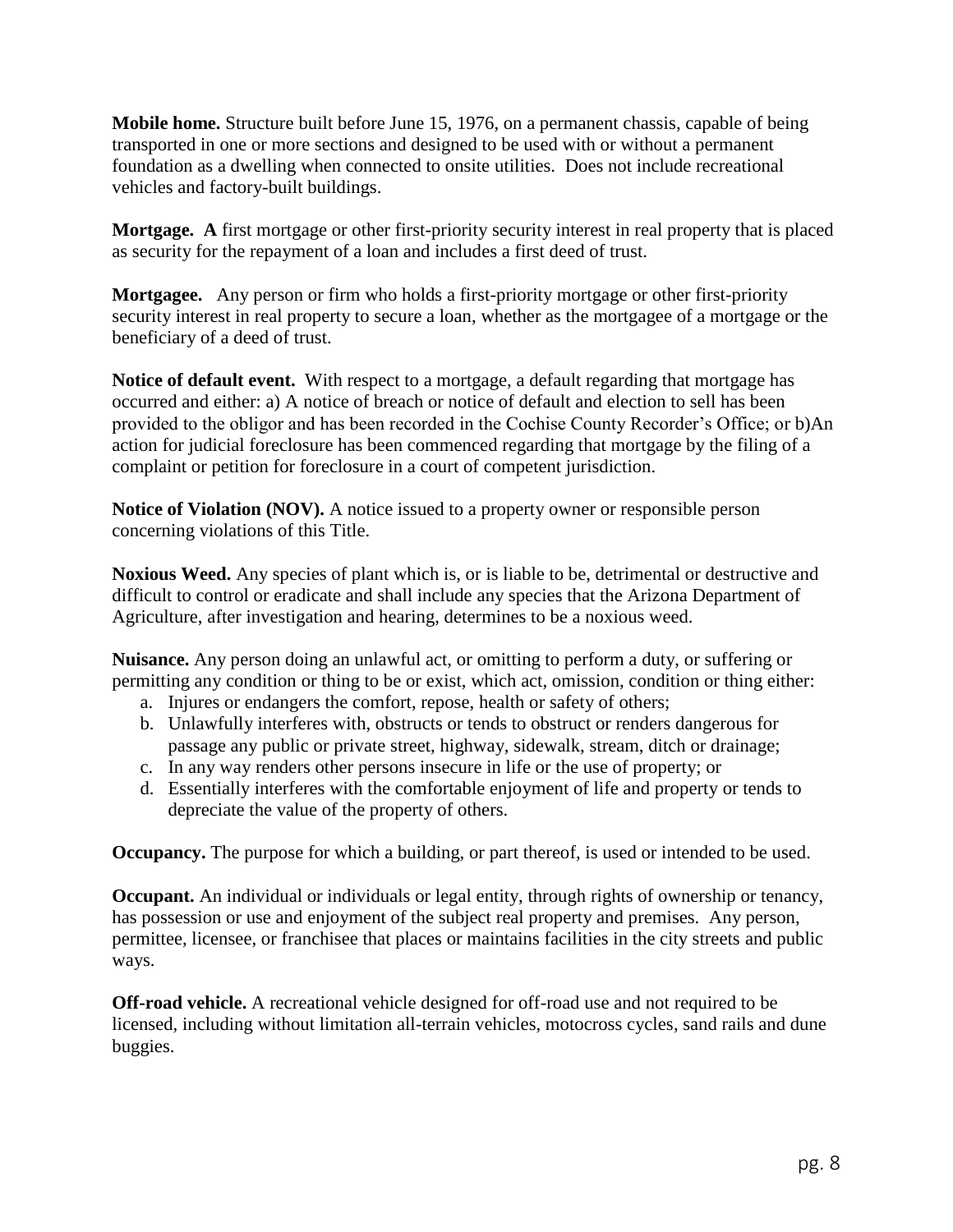**Mobile home.** Structure built before June 15, 1976, on a permanent chassis, capable of being transported in one or more sections and designed to be used with or without a permanent foundation as a dwelling when connected to onsite utilities. Does not include recreational vehicles and factory-built buildings.

**Mortgage. A** first mortgage or other first-priority security interest in real property that is placed as security for the repayment of a loan and includes a first deed of trust.

**Mortgagee.** Any person or firm who holds a first-priority mortgage or other first-priority security interest in real property to secure a loan, whether as the mortgagee of a mortgage or the beneficiary of a deed of trust.

**Notice of default event.** With respect to a mortgage, a default regarding that mortgage has occurred and either: a) A notice of breach or notice of default and election to sell has been provided to the obligor and has been recorded in the Cochise County Recorder's Office; or b)An action for judicial foreclosure has been commenced regarding that mortgage by the filing of a complaint or petition for foreclosure in a court of competent jurisdiction.

**Notice of Violation (NOV).** A notice issued to a property owner or responsible person concerning violations of this Title.

**Noxious Weed.** Any species of plant which is, or is liable to be, detrimental or destructive and difficult to control or eradicate and shall include any species that the Arizona Department of Agriculture, after investigation and hearing, determines to be a noxious weed.

**Nuisance.** Any person doing an unlawful act, or omitting to perform a duty, or suffering or permitting any condition or thing to be or exist, which act, omission, condition or thing either:

- a. Injures or endangers the comfort, repose, health or safety of others;
- b. Unlawfully interferes with, obstructs or tends to obstruct or renders dangerous for passage any public or private street, highway, sidewalk, stream, ditch or drainage;
- c. In any way renders other persons insecure in life or the use of property; or
- d. Essentially interferes with the comfortable enjoyment of life and property or tends to depreciate the value of the property of others.

**Occupancy.** The purpose for which a building, or part thereof, is used or intended to be used.

**Occupant.** An individual or individuals or legal entity, through rights of ownership or tenancy, has possession or use and enjoyment of the subject real property and premises. Any person, permittee, licensee, or franchisee that places or maintains facilities in the city streets and public ways.

**Off-road vehicle.** A recreational vehicle designed for off-road use and not required to be licensed, including without limitation all-terrain vehicles, motocross cycles, sand rails and dune buggies.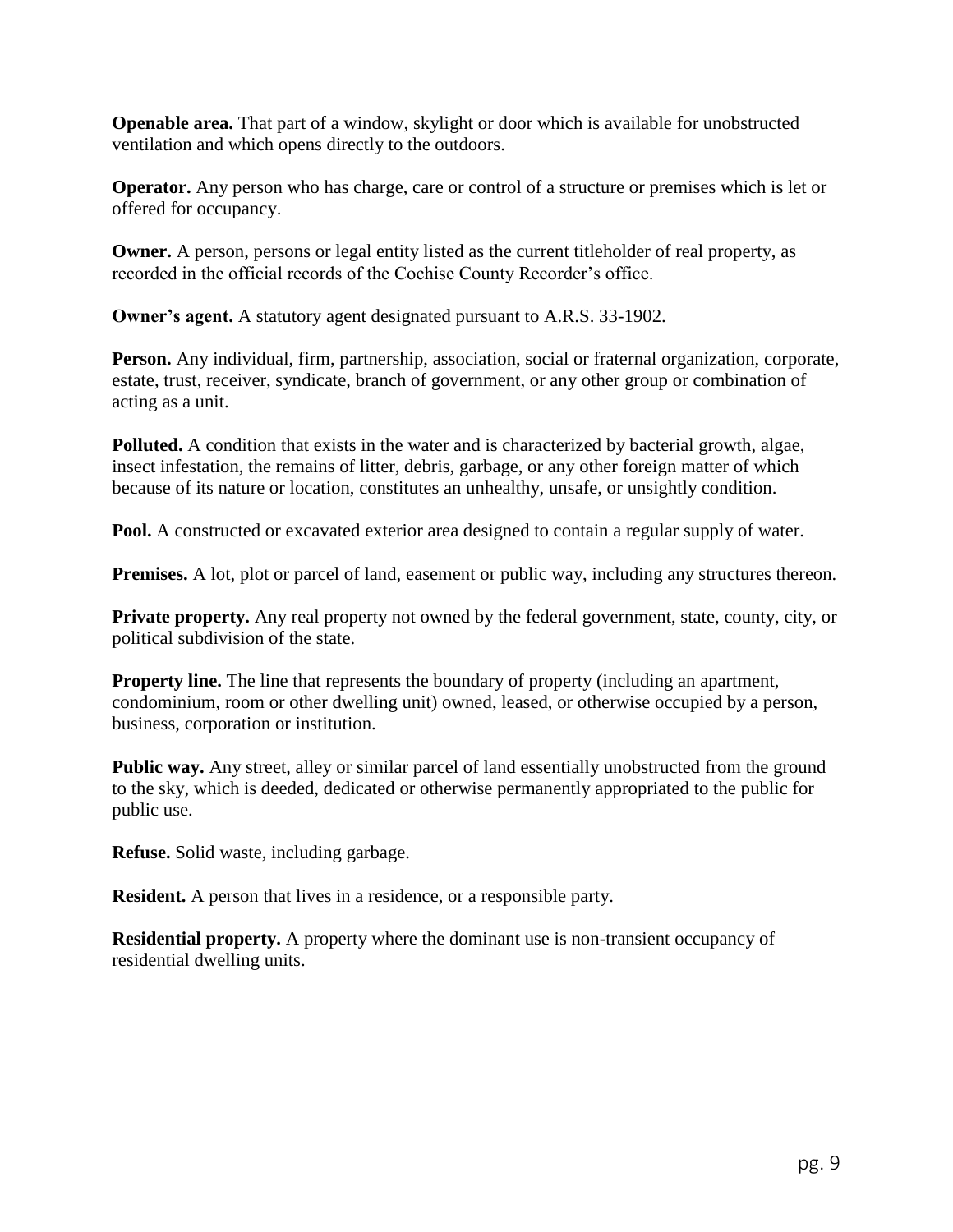**Openable area.** That part of a window, skylight or door which is available for unobstructed ventilation and which opens directly to the outdoors.

**Operator.** Any person who has charge, care or control of a structure or premises which is let or offered for occupancy.

**Owner.** A person, persons or legal entity listed as the current titleholder of real property, as recorded in the official records of the Cochise County Recorder's office.

**Owner's agent.** A statutory agent designated pursuant to A.R.S. 33-1902.

**Person.** Any individual, firm, partnership, association, social or fraternal organization, corporate, estate, trust, receiver, syndicate, branch of government, or any other group or combination of acting as a unit.

**Polluted.** A condition that exists in the water and is characterized by bacterial growth, algae, insect infestation, the remains of litter, debris, garbage, or any other foreign matter of which because of its nature or location, constitutes an unhealthy, unsafe, or unsightly condition.

**Pool.** A constructed or excavated exterior area designed to contain a regular supply of water.

**Premises.** A lot, plot or parcel of land, easement or public way, including any structures thereon.

**Private property.** Any real property not owned by the federal government, state, county, city, or political subdivision of the state.

**Property line.** The line that represents the boundary of property (including an apartment, condominium, room or other dwelling unit) owned, leased, or otherwise occupied by a person, business, corporation or institution.

Public way. Any street, alley or similar parcel of land essentially unobstructed from the ground to the sky, which is deeded, dedicated or otherwise permanently appropriated to the public for public use.

**Refuse.** Solid waste, including garbage.

**Resident.** A person that lives in a residence, or a responsible party.

**Residential property.** A property where the dominant use is non-transient occupancy of residential dwelling units.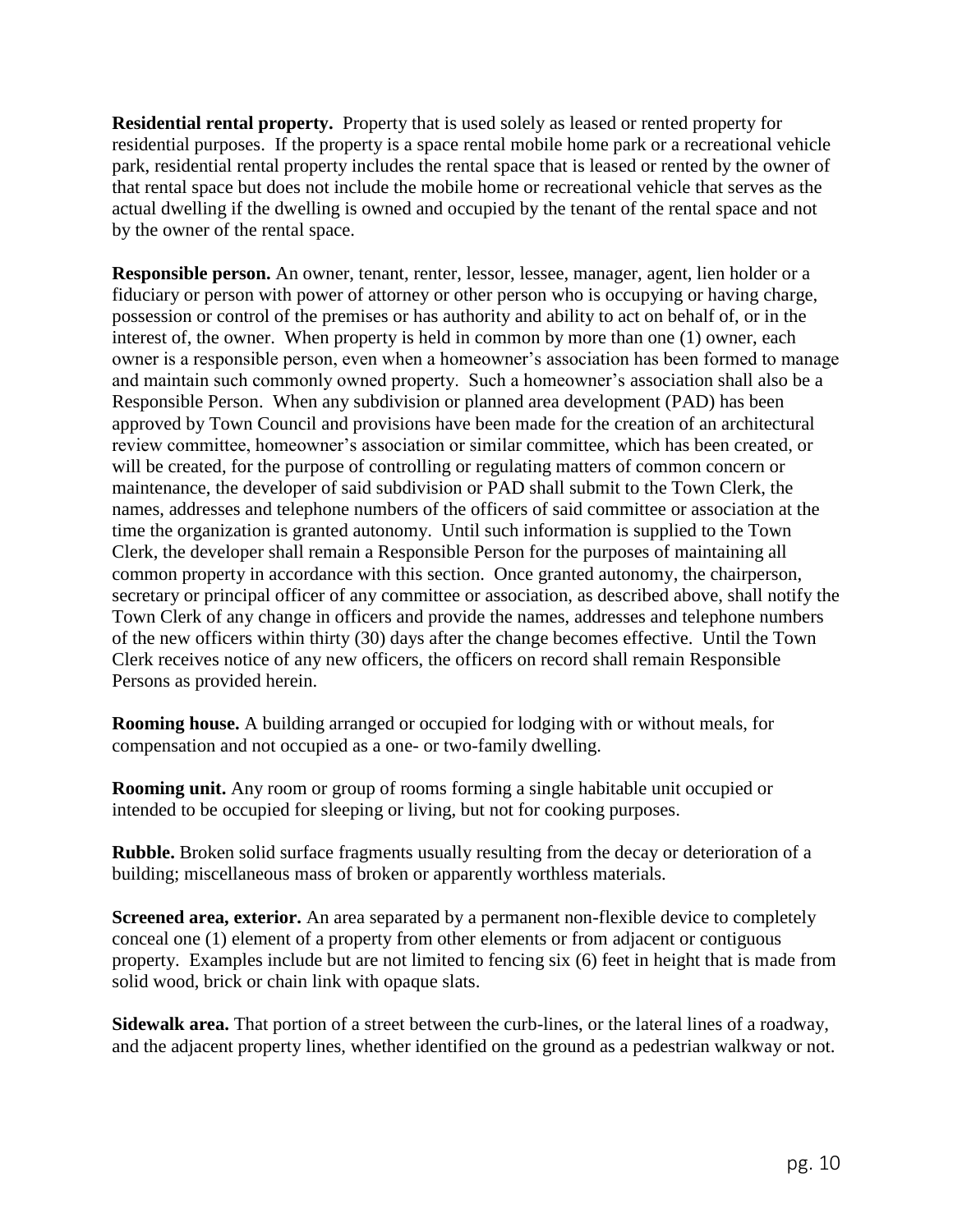**Residential rental property.** Property that is used solely as leased or rented property for residential purposes. If the property is a space rental mobile home park or a recreational vehicle park, residential rental property includes the rental space that is leased or rented by the owner of that rental space but does not include the mobile home or recreational vehicle that serves as the actual dwelling if the dwelling is owned and occupied by the tenant of the rental space and not by the owner of the rental space.

**Responsible person.** An owner, tenant, renter, lessor, lessee, manager, agent, lien holder or a fiduciary or person with power of attorney or other person who is occupying or having charge, possession or control of the premises or has authority and ability to act on behalf of, or in the interest of, the owner. When property is held in common by more than one (1) owner, each owner is a responsible person, even when a homeowner's association has been formed to manage and maintain such commonly owned property. Such a homeowner's association shall also be a Responsible Person. When any subdivision or planned area development (PAD) has been approved by Town Council and provisions have been made for the creation of an architectural review committee, homeowner's association or similar committee, which has been created, or will be created, for the purpose of controlling or regulating matters of common concern or maintenance, the developer of said subdivision or PAD shall submit to the Town Clerk, the names, addresses and telephone numbers of the officers of said committee or association at the time the organization is granted autonomy. Until such information is supplied to the Town Clerk, the developer shall remain a Responsible Person for the purposes of maintaining all common property in accordance with this section. Once granted autonomy, the chairperson, secretary or principal officer of any committee or association, as described above, shall notify the Town Clerk of any change in officers and provide the names, addresses and telephone numbers of the new officers within thirty (30) days after the change becomes effective. Until the Town Clerk receives notice of any new officers, the officers on record shall remain Responsible Persons as provided herein.

**Rooming house.** A building arranged or occupied for lodging with or without meals, for compensation and not occupied as a one- or two-family dwelling.

**Rooming unit.** Any room or group of rooms forming a single habitable unit occupied or intended to be occupied for sleeping or living, but not for cooking purposes.

**Rubble.** Broken solid surface fragments usually resulting from the decay or deterioration of a building; miscellaneous mass of broken or apparently worthless materials.

**Screened area, exterior.** An area separated by a permanent non-flexible device to completely conceal one (1) element of a property from other elements or from adjacent or contiguous property. Examples include but are not limited to fencing six (6) feet in height that is made from solid wood, brick or chain link with opaque slats.

**Sidewalk area.** That portion of a street between the curb-lines, or the lateral lines of a roadway, and the adjacent property lines, whether identified on the ground as a pedestrian walkway or not.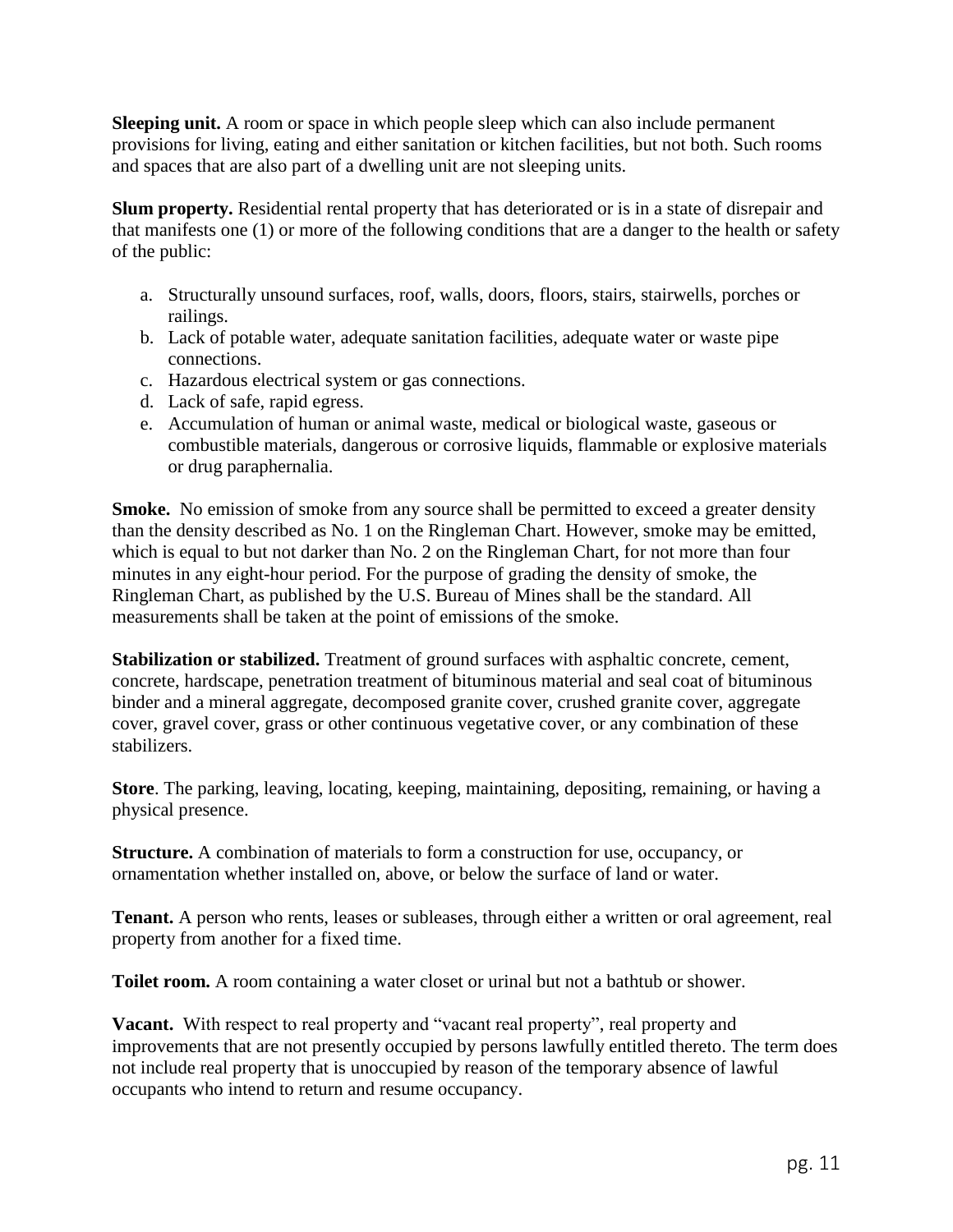**Sleeping unit.** A room or space in which people sleep which can also include permanent provisions for living, eating and either sanitation or kitchen facilities, but not both. Such rooms and spaces that are also part of a dwelling unit are not sleeping units.

**Slum property.** Residential rental property that has deteriorated or is in a state of disrepair and that manifests one (1) or more of the following conditions that are a danger to the health or safety of the public:

- a. Structurally unsound surfaces, roof, walls, doors, floors, stairs, stairwells, porches or railings.
- b. Lack of potable water, adequate sanitation facilities, adequate water or waste pipe connections.
- c. Hazardous electrical system or gas connections.
- d. Lack of safe, rapid egress.
- e. Accumulation of human or animal waste, medical or biological waste, gaseous or combustible materials, dangerous or corrosive liquids, flammable or explosive materials or drug paraphernalia.

Smoke. No emission of smoke from any source shall be permitted to exceed a greater density than the density described as No. 1 on the Ringleman Chart. However, smoke may be emitted, which is equal to but not darker than No. 2 on the Ringleman Chart, for not more than four minutes in any eight-hour period. For the purpose of grading the density of smoke, the Ringleman Chart, as published by the U.S. Bureau of Mines shall be the standard. All measurements shall be taken at the point of emissions of the smoke.

**Stabilization or stabilized.** Treatment of ground surfaces with asphaltic concrete, cement, concrete, hardscape, penetration treatment of bituminous material and seal coat of bituminous binder and a mineral aggregate, decomposed granite cover, crushed granite cover, aggregate cover, gravel cover, grass or other continuous vegetative cover, or any combination of these stabilizers.

**Store**. The parking, leaving, locating, keeping, maintaining, depositing, remaining, or having a physical presence.

**Structure.** A combination of materials to form a construction for use, occupancy, or ornamentation whether installed on, above, or below the surface of land or water.

**Tenant.** A person who rents, leases or subleases, through either a written or oral agreement, real property from another for a fixed time.

**Toilet room.** A room containing a water closet or urinal but not a bathtub or shower.

**Vacant.** With respect to real property and "vacant real property", real property and improvements that are not presently occupied by persons lawfully entitled thereto. The term does not include real property that is unoccupied by reason of the temporary absence of lawful occupants who intend to return and resume occupancy.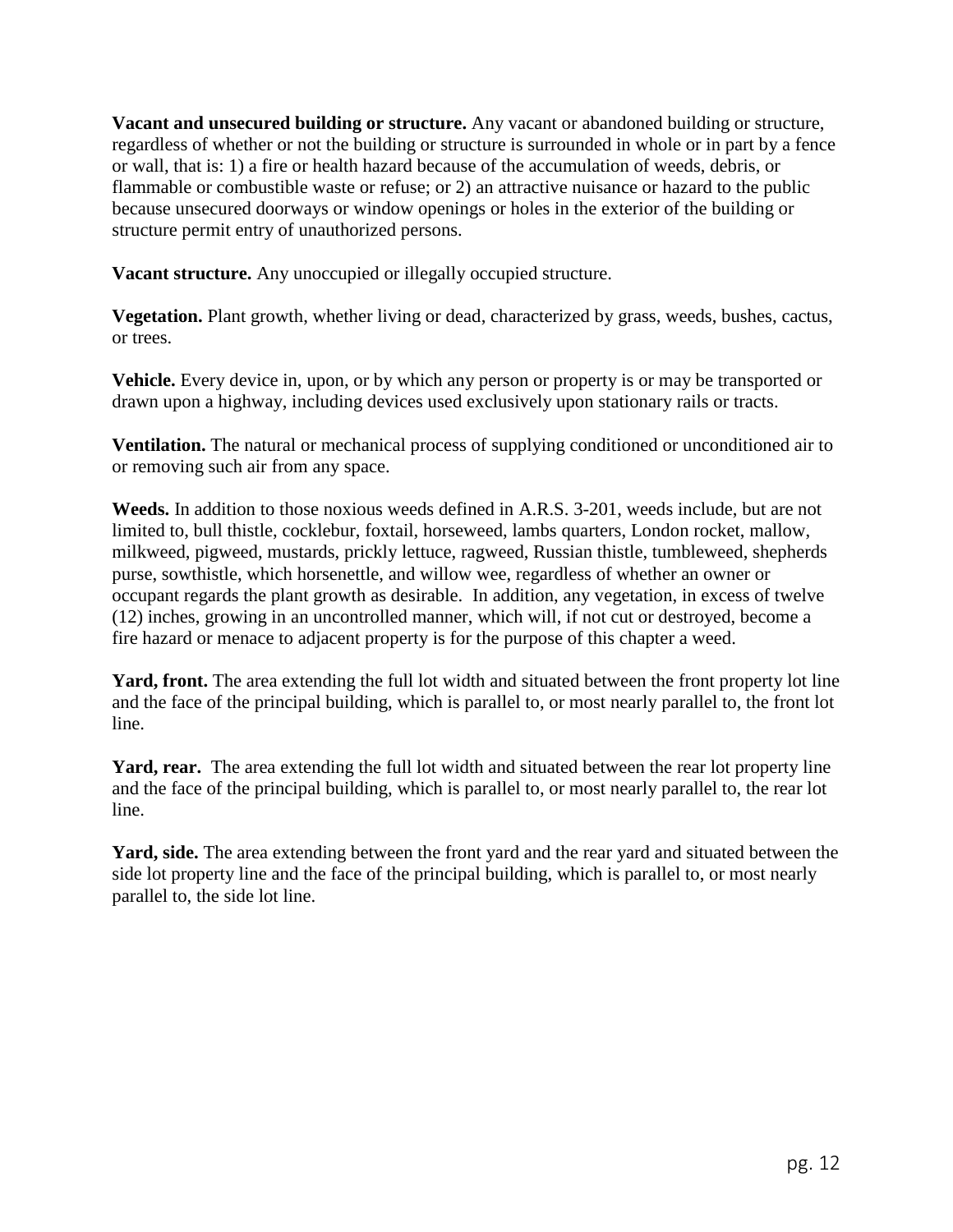**Vacant and unsecured building or structure.** Any vacant or abandoned building or structure, regardless of whether or not the building or structure is surrounded in whole or in part by a fence or wall, that is: 1) a fire or health hazard because of the accumulation of weeds, debris, or flammable or combustible waste or refuse; or 2) an attractive nuisance or hazard to the public because unsecured doorways or window openings or holes in the exterior of the building or structure permit entry of unauthorized persons.

**Vacant structure.** Any unoccupied or illegally occupied structure.

**Vegetation.** Plant growth, whether living or dead, characterized by grass, weeds, bushes, cactus, or trees.

**Vehicle.** Every device in, upon, or by which any person or property is or may be transported or drawn upon a highway, including devices used exclusively upon stationary rails or tracts.

**Ventilation.** The natural or mechanical process of supplying conditioned or unconditioned air to or removing such air from any space.

**Weeds.** In addition to those noxious weeds defined in A.R.S. 3-201, weeds include, but are not limited to, bull thistle, cocklebur, foxtail, horseweed, lambs quarters, London rocket, mallow, milkweed, pigweed, mustards, prickly lettuce, ragweed, Russian thistle, tumbleweed, shepherds purse, sowthistle, which horsenettle, and willow wee, regardless of whether an owner or occupant regards the plant growth as desirable. In addition, any vegetation, in excess of twelve (12) inches, growing in an uncontrolled manner, which will, if not cut or destroyed, become a fire hazard or menace to adjacent property is for the purpose of this chapter a weed.

**Yard, front.** The area extending the full lot width and situated between the front property lot line and the face of the principal building, which is parallel to, or most nearly parallel to, the front lot line.

**Yard, rear.** The area extending the full lot width and situated between the rear lot property line and the face of the principal building, which is parallel to, or most nearly parallel to, the rear lot line.

**Yard, side.** The area extending between the front yard and the rear yard and situated between the side lot property line and the face of the principal building, which is parallel to, or most nearly parallel to, the side lot line.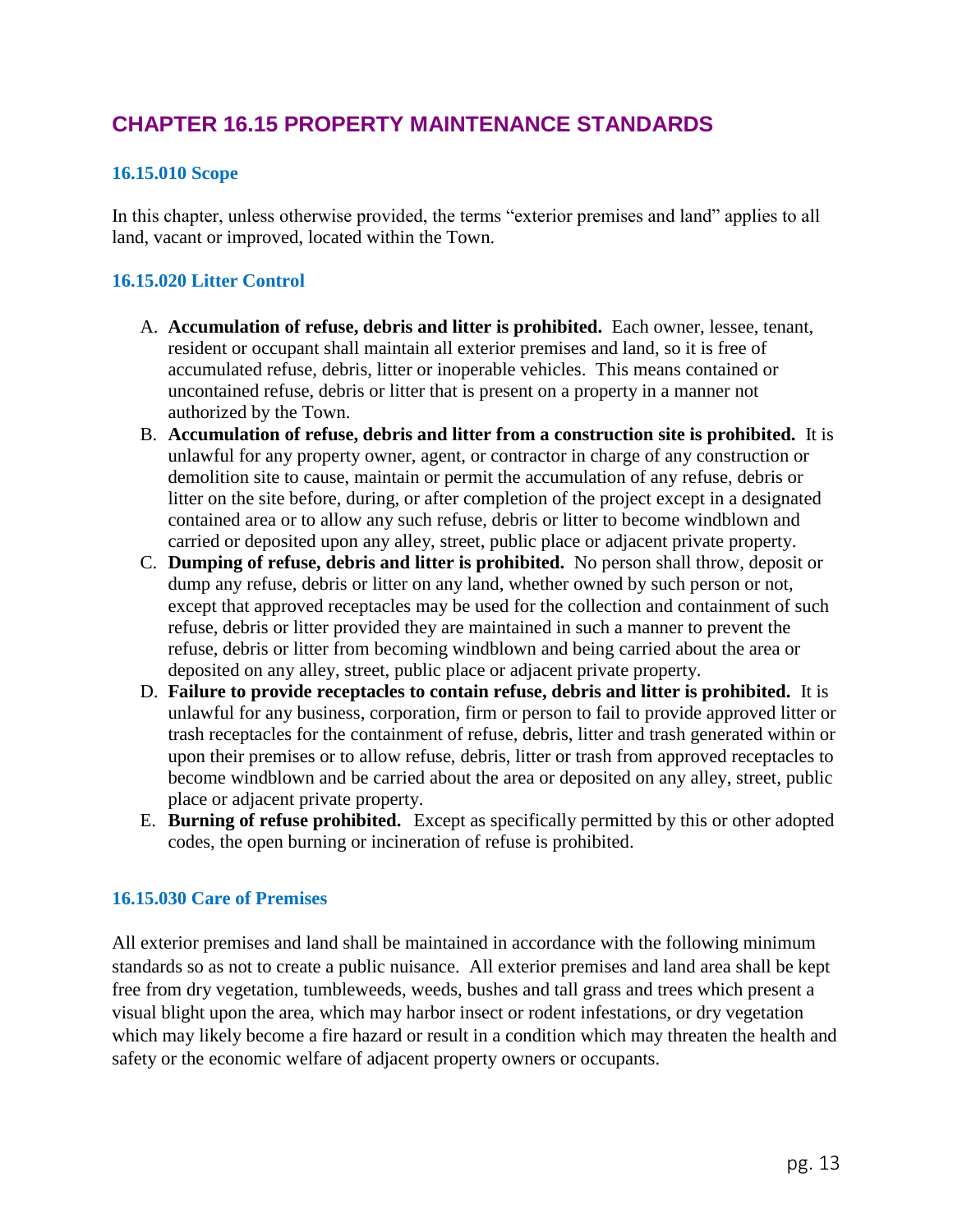## **CHAPTER 16.15 PROPERTY MAINTENANCE STANDARDS**

## **16.15.010 Scope**

In this chapter, unless otherwise provided, the terms "exterior premises and land" applies to all land, vacant or improved, located within the Town.

## **16.15.020 Litter Control**

- A. **Accumulation of refuse, debris and litter is prohibited.** Each owner, lessee, tenant, resident or occupant shall maintain all exterior premises and land, so it is free of accumulated refuse, debris, litter or inoperable vehicles. This means contained or uncontained refuse, debris or litter that is present on a property in a manner not authorized by the Town.
- B. **Accumulation of refuse, debris and litter from a construction site is prohibited.** It is unlawful for any property owner, agent, or contractor in charge of any construction or demolition site to cause, maintain or permit the accumulation of any refuse, debris or litter on the site before, during, or after completion of the project except in a designated contained area or to allow any such refuse, debris or litter to become windblown and carried or deposited upon any alley, street, public place or adjacent private property.
- C. **Dumping of refuse, debris and litter is prohibited.** No person shall throw, deposit or dump any refuse, debris or litter on any land, whether owned by such person or not, except that approved receptacles may be used for the collection and containment of such refuse, debris or litter provided they are maintained in such a manner to prevent the refuse, debris or litter from becoming windblown and being carried about the area or deposited on any alley, street, public place or adjacent private property.
- D. **Failure to provide receptacles to contain refuse, debris and litter is prohibited.** It is unlawful for any business, corporation, firm or person to fail to provide approved litter or trash receptacles for the containment of refuse, debris, litter and trash generated within or upon their premises or to allow refuse, debris, litter or trash from approved receptacles to become windblown and be carried about the area or deposited on any alley, street, public place or adjacent private property.
- E. **Burning of refuse prohibited.** Except as specifically permitted by this or other adopted codes, the open burning or incineration of refuse is prohibited.

## **16.15.030 Care of Premises**

All exterior premises and land shall be maintained in accordance with the following minimum standards so as not to create a public nuisance. All exterior premises and land area shall be kept free from dry vegetation, tumbleweeds, weeds, bushes and tall grass and trees which present a visual blight upon the area, which may harbor insect or rodent infestations, or dry vegetation which may likely become a fire hazard or result in a condition which may threaten the health and safety or the economic welfare of adjacent property owners or occupants.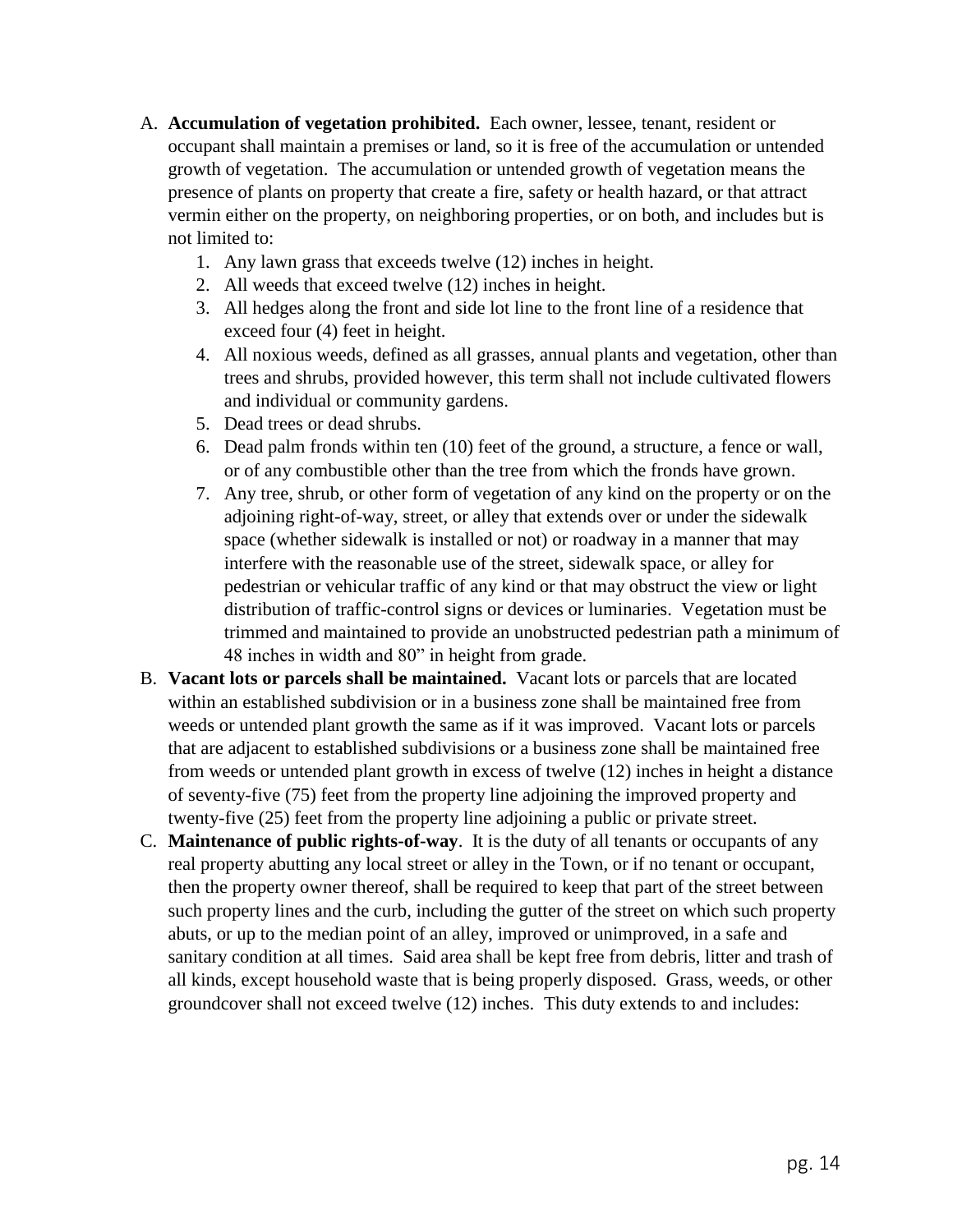- A. **Accumulation of vegetation prohibited.** Each owner, lessee, tenant, resident or occupant shall maintain a premises or land, so it is free of the accumulation or untended growth of vegetation. The accumulation or untended growth of vegetation means the presence of plants on property that create a fire, safety or health hazard, or that attract vermin either on the property, on neighboring properties, or on both, and includes but is not limited to:
	- 1. Any lawn grass that exceeds twelve (12) inches in height.
	- 2. All weeds that exceed twelve (12) inches in height.
	- 3. All hedges along the front and side lot line to the front line of a residence that exceed four (4) feet in height.
	- 4. All noxious weeds, defined as all grasses, annual plants and vegetation, other than trees and shrubs, provided however, this term shall not include cultivated flowers and individual or community gardens.
	- 5. Dead trees or dead shrubs.
	- 6. Dead palm fronds within ten (10) feet of the ground, a structure, a fence or wall, or of any combustible other than the tree from which the fronds have grown.
	- 7. Any tree, shrub, or other form of vegetation of any kind on the property or on the adjoining right-of-way, street, or alley that extends over or under the sidewalk space (whether sidewalk is installed or not) or roadway in a manner that may interfere with the reasonable use of the street, sidewalk space, or alley for pedestrian or vehicular traffic of any kind or that may obstruct the view or light distribution of traffic-control signs or devices or luminaries. Vegetation must be trimmed and maintained to provide an unobstructed pedestrian path a minimum of 48 inches in width and 80" in height from grade.
- B. **Vacant lots or parcels shall be maintained.** Vacant lots or parcels that are located within an established subdivision or in a business zone shall be maintained free from weeds or untended plant growth the same as if it was improved. Vacant lots or parcels that are adjacent to established subdivisions or a business zone shall be maintained free from weeds or untended plant growth in excess of twelve (12) inches in height a distance of seventy-five (75) feet from the property line adjoining the improved property and twenty-five (25) feet from the property line adjoining a public or private street.
- C. **Maintenance of public rights-of-way**. It is the duty of all tenants or occupants of any real property abutting any local street or alley in the Town, or if no tenant or occupant, then the property owner thereof, shall be required to keep that part of the street between such property lines and the curb, including the gutter of the street on which such property abuts, or up to the median point of an alley, improved or unimproved, in a safe and sanitary condition at all times. Said area shall be kept free from debris, litter and trash of all kinds, except household waste that is being properly disposed. Grass, weeds, or other groundcover shall not exceed twelve (12) inches. This duty extends to and includes: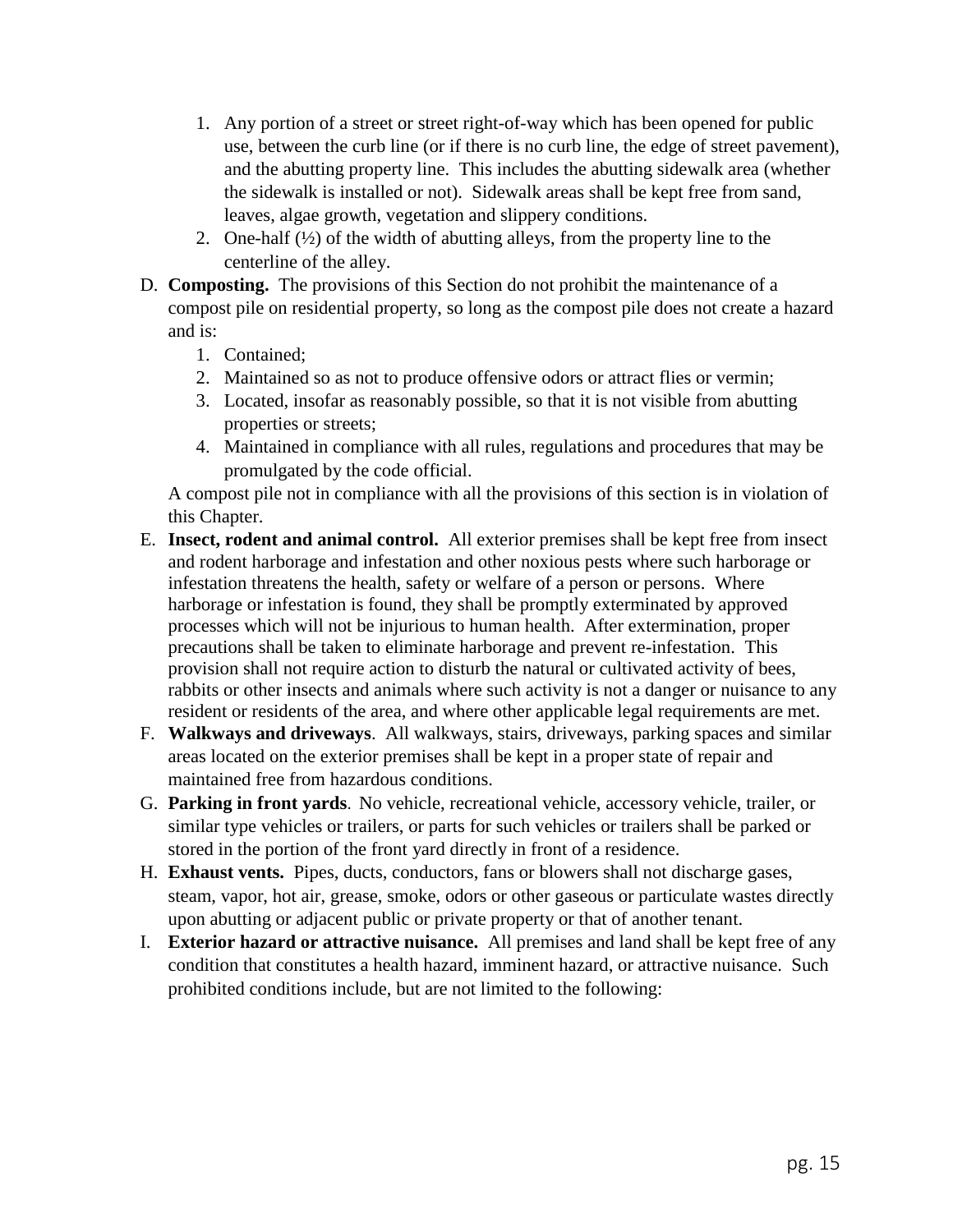- 1. Any portion of a street or street right-of-way which has been opened for public use, between the curb line (or if there is no curb line, the edge of street pavement), and the abutting property line. This includes the abutting sidewalk area (whether the sidewalk is installed or not). Sidewalk areas shall be kept free from sand, leaves, algae growth, vegetation and slippery conditions.
- 2. One-half  $(\frac{1}{2})$  of the width of abutting alleys, from the property line to the centerline of the alley.
- D. **Composting.** The provisions of this Section do not prohibit the maintenance of a compost pile on residential property, so long as the compost pile does not create a hazard and is:
	- 1. Contained;
	- 2. Maintained so as not to produce offensive odors or attract flies or vermin;
	- 3. Located, insofar as reasonably possible, so that it is not visible from abutting properties or streets;
	- 4. Maintained in compliance with all rules, regulations and procedures that may be promulgated by the code official.

A compost pile not in compliance with all the provisions of this section is in violation of this Chapter.

- E. **Insect, rodent and animal control.** All exterior premises shall be kept free from insect and rodent harborage and infestation and other noxious pests where such harborage or infestation threatens the health, safety or welfare of a person or persons. Where harborage or infestation is found, they shall be promptly exterminated by approved processes which will not be injurious to human health. After extermination, proper precautions shall be taken to eliminate harborage and prevent re-infestation. This provision shall not require action to disturb the natural or cultivated activity of bees, rabbits or other insects and animals where such activity is not a danger or nuisance to any resident or residents of the area, and where other applicable legal requirements are met.
- F. **Walkways and driveways**. All walkways, stairs, driveways, parking spaces and similar areas located on the exterior premises shall be kept in a proper state of repair and maintained free from hazardous conditions.
- G. **Parking in front yards**. No vehicle, recreational vehicle, accessory vehicle, trailer, or similar type vehicles or trailers, or parts for such vehicles or trailers shall be parked or stored in the portion of the front yard directly in front of a residence.
- H. **Exhaust vents.** Pipes, ducts, conductors, fans or blowers shall not discharge gases, steam, vapor, hot air, grease, smoke, odors or other gaseous or particulate wastes directly upon abutting or adjacent public or private property or that of another tenant.
- I. **Exterior hazard or attractive nuisance.** All premises and land shall be kept free of any condition that constitutes a health hazard, imminent hazard, or attractive nuisance. Such prohibited conditions include, but are not limited to the following: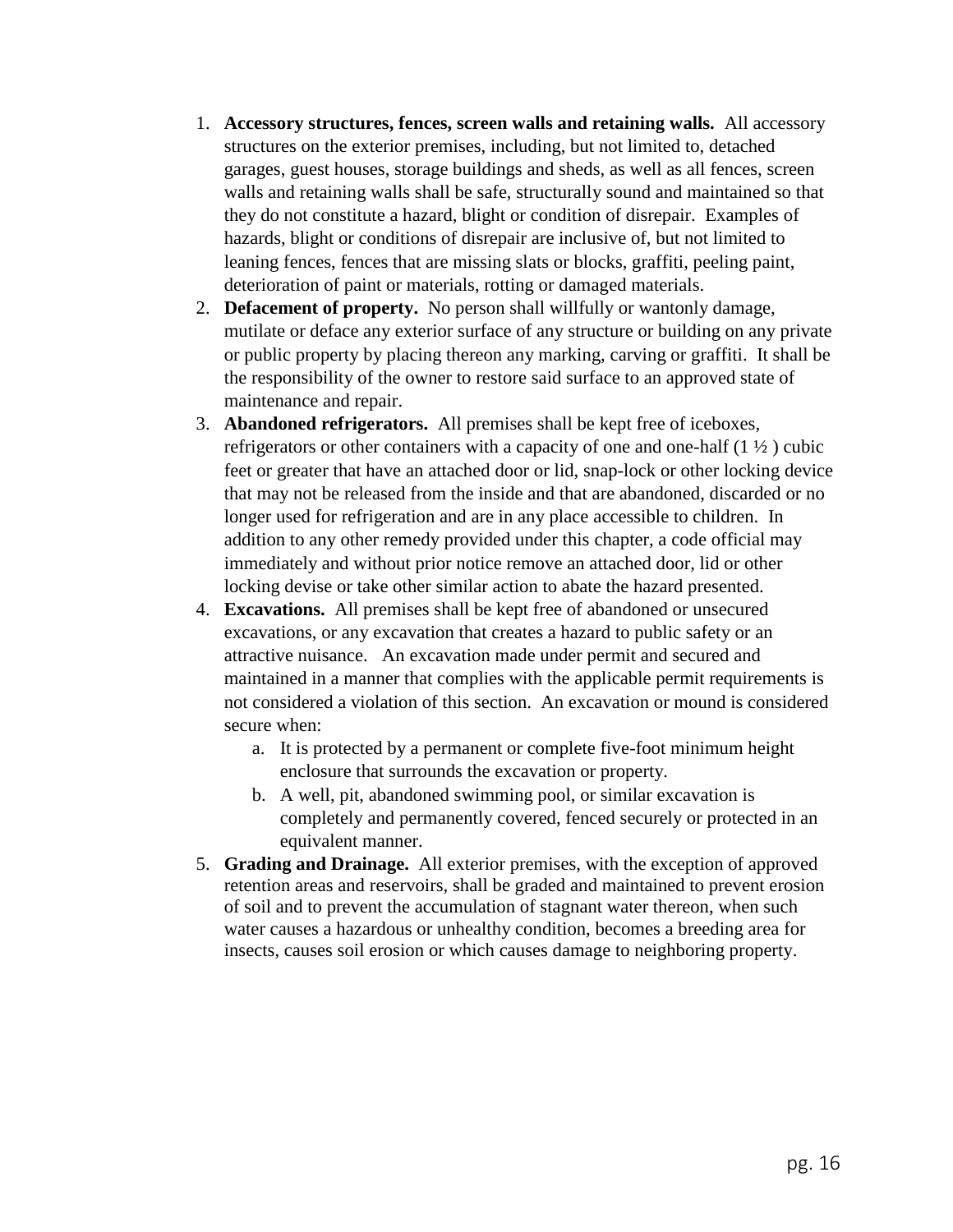- 1. **Accessory structures, fences, screen walls and retaining walls.** All accessory structures on the exterior premises, including, but not limited to, detached garages, guest houses, storage buildings and sheds, as well as all fences, screen walls and retaining walls shall be safe, structurally sound and maintained so that they do not constitute a hazard, blight or condition of disrepair. Examples of hazards, blight or conditions of disrepair are inclusive of, but not limited to leaning fences, fences that are missing slats or blocks, graffiti, peeling paint, deterioration of paint or materials, rotting or damaged materials.
- 2. **Defacement of property.** No person shall willfully or wantonly damage, mutilate or deface any exterior surface of any structure or building on any private or public property by placing thereon any marking, carving or graffiti. It shall be the responsibility of the owner to restore said surface to an approved state of maintenance and repair.
- 3. **Abandoned refrigerators.** All premises shall be kept free of iceboxes, refrigerators or other containers with a capacity of one and one-half (1 ½ ) cubic feet or greater that have an attached door or lid, snap-lock or other locking device that may not be released from the inside and that are abandoned, discarded or no longer used for refrigeration and are in any place accessible to children. In addition to any other remedy provided under this chapter, a code official may immediately and without prior notice remove an attached door, lid or other locking devise or take other similar action to abate the hazard presented.
- 4. **Excavations.** All premises shall be kept free of abandoned or unsecured excavations, or any excavation that creates a hazard to public safety or an attractive nuisance. An excavation made under permit and secured and maintained in a manner that complies with the applicable permit requirements is not considered a violation of this section. An excavation or mound is considered secure when:
	- a. It is protected by a permanent or complete five-foot minimum height enclosure that surrounds the excavation or property.
	- b. A well, pit, abandoned swimming pool, or similar excavation is completely and permanently covered, fenced securely or protected in an equivalent manner.
- 5. **Grading and Drainage.** All exterior premises, with the exception of approved retention areas and reservoirs, shall be graded and maintained to prevent erosion of soil and to prevent the accumulation of stagnant water thereon, when such water causes a hazardous or unhealthy condition, becomes a breeding area for insects, causes soil erosion or which causes damage to neighboring property.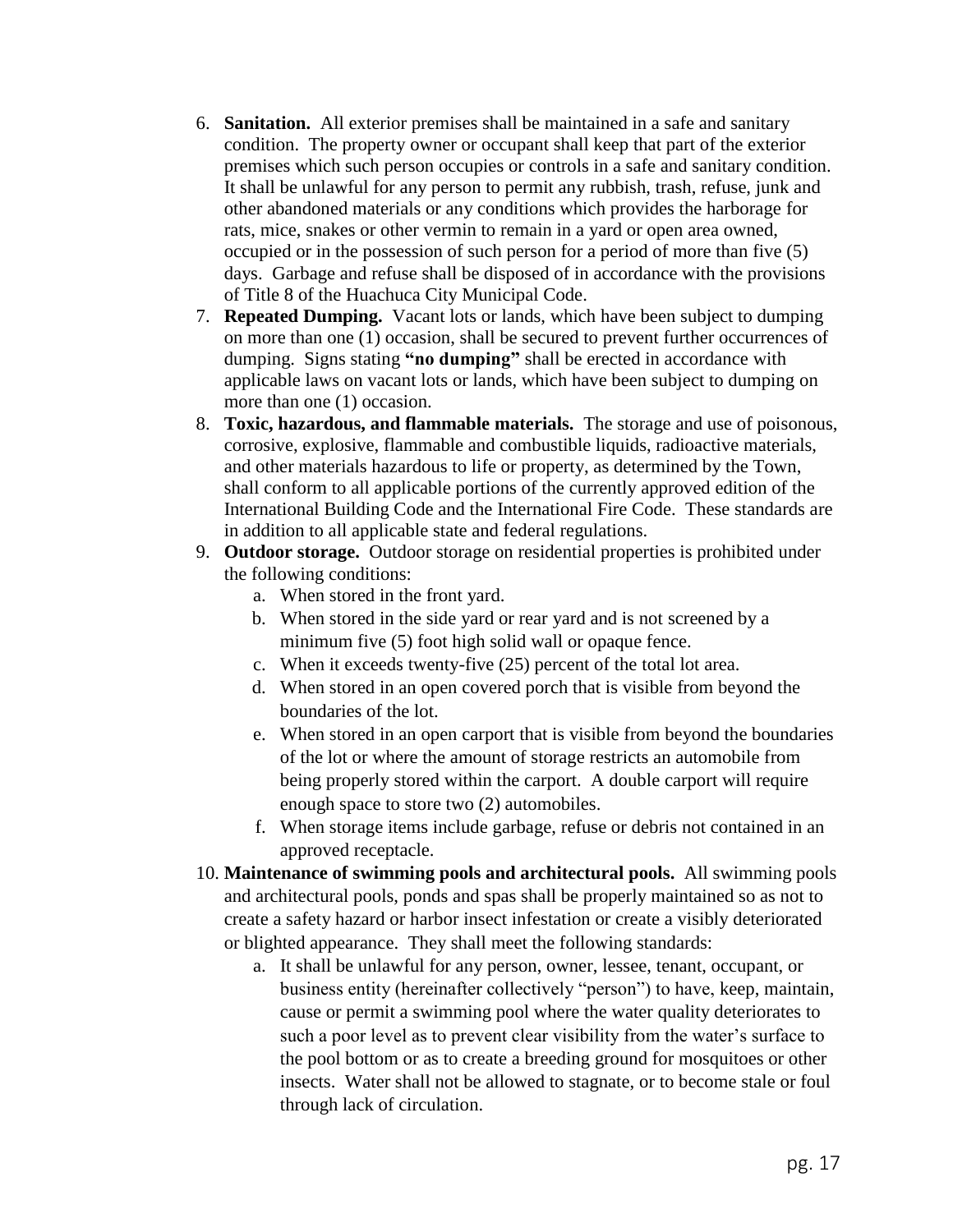- 6. **Sanitation.** All exterior premises shall be maintained in a safe and sanitary condition. The property owner or occupant shall keep that part of the exterior premises which such person occupies or controls in a safe and sanitary condition. It shall be unlawful for any person to permit any rubbish, trash, refuse, junk and other abandoned materials or any conditions which provides the harborage for rats, mice, snakes or other vermin to remain in a yard or open area owned, occupied or in the possession of such person for a period of more than five (5) days. Garbage and refuse shall be disposed of in accordance with the provisions of Title 8 of the Huachuca City Municipal Code.
- 7. **Repeated Dumping.** Vacant lots or lands, which have been subject to dumping on more than one (1) occasion, shall be secured to prevent further occurrences of dumping. Signs stating **"no dumping"** shall be erected in accordance with applicable laws on vacant lots or lands, which have been subject to dumping on more than one (1) occasion.
- 8. **Toxic, hazardous, and flammable materials.** The storage and use of poisonous, corrosive, explosive, flammable and combustible liquids, radioactive materials, and other materials hazardous to life or property, as determined by the Town, shall conform to all applicable portions of the currently approved edition of the International Building Code and the International Fire Code. These standards are in addition to all applicable state and federal regulations.
- 9. **Outdoor storage.** Outdoor storage on residential properties is prohibited under the following conditions:
	- a. When stored in the front yard.
	- b. When stored in the side yard or rear yard and is not screened by a minimum five (5) foot high solid wall or opaque fence.
	- c. When it exceeds twenty-five (25) percent of the total lot area.
	- d. When stored in an open covered porch that is visible from beyond the boundaries of the lot.
	- e. When stored in an open carport that is visible from beyond the boundaries of the lot or where the amount of storage restricts an automobile from being properly stored within the carport. A double carport will require enough space to store two (2) automobiles.
	- f. When storage items include garbage, refuse or debris not contained in an approved receptacle.
- 10. **Maintenance of swimming pools and architectural pools.** All swimming pools and architectural pools, ponds and spas shall be properly maintained so as not to create a safety hazard or harbor insect infestation or create a visibly deteriorated or blighted appearance. They shall meet the following standards:
	- a. It shall be unlawful for any person, owner, lessee, tenant, occupant, or business entity (hereinafter collectively "person") to have, keep, maintain, cause or permit a swimming pool where the water quality deteriorates to such a poor level as to prevent clear visibility from the water's surface to the pool bottom or as to create a breeding ground for mosquitoes or other insects. Water shall not be allowed to stagnate, or to become stale or foul through lack of circulation.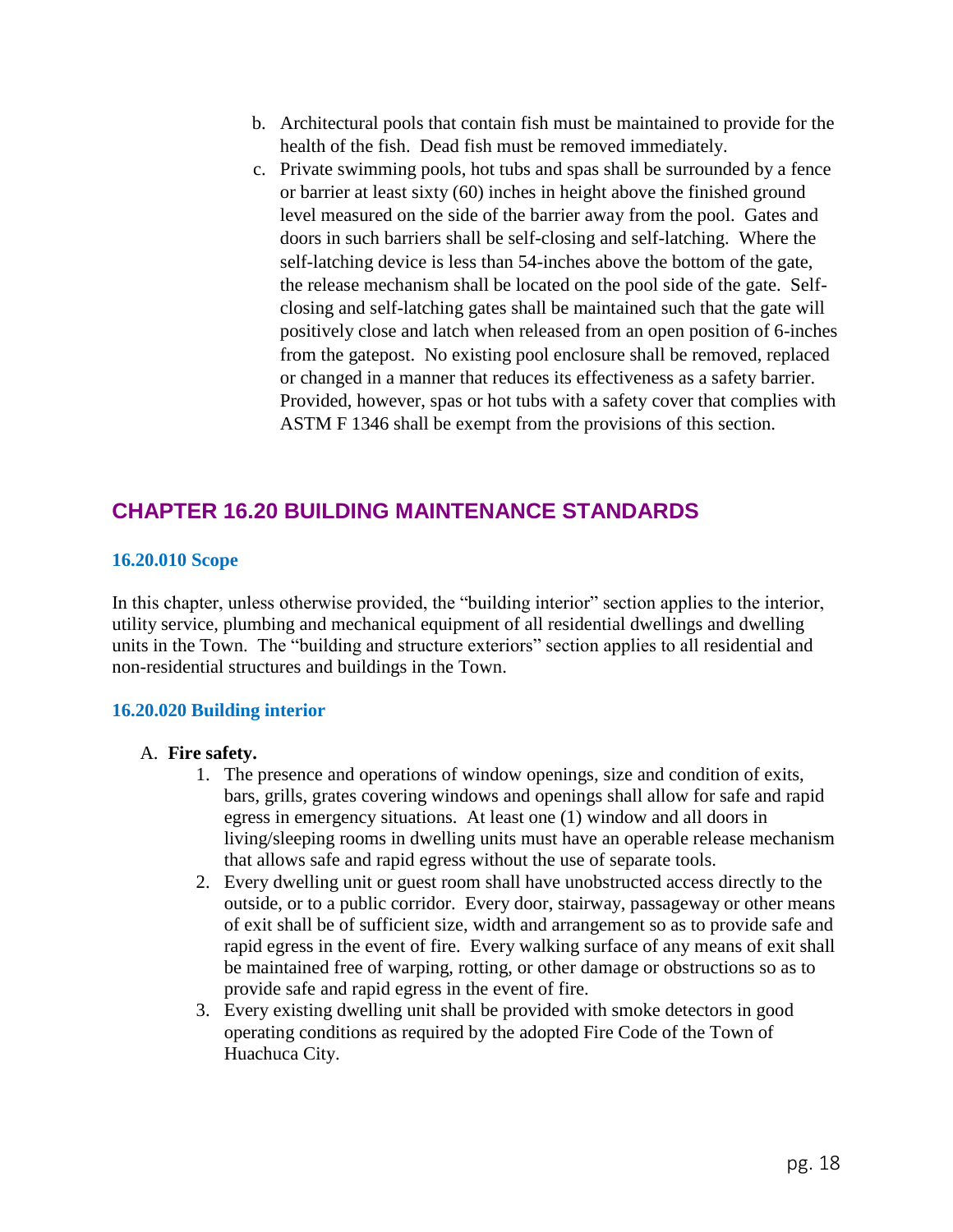- b. Architectural pools that contain fish must be maintained to provide for the health of the fish. Dead fish must be removed immediately.
- c. Private swimming pools, hot tubs and spas shall be surrounded by a fence or barrier at least sixty (60) inches in height above the finished ground level measured on the side of the barrier away from the pool. Gates and doors in such barriers shall be self-closing and self-latching. Where the self-latching device is less than 54-inches above the bottom of the gate, the release mechanism shall be located on the pool side of the gate. Selfclosing and self-latching gates shall be maintained such that the gate will positively close and latch when released from an open position of 6-inches from the gatepost. No existing pool enclosure shall be removed, replaced or changed in a manner that reduces its effectiveness as a safety barrier. Provided, however, spas or hot tubs with a safety cover that complies with ASTM F 1346 shall be exempt from the provisions of this section.

# **CHAPTER 16.20 BUILDING MAINTENANCE STANDARDS**

## **16.20.010 Scope**

In this chapter, unless otherwise provided, the "building interior" section applies to the interior, utility service, plumbing and mechanical equipment of all residential dwellings and dwelling units in the Town. The "building and structure exteriors" section applies to all residential and non-residential structures and buildings in the Town.

## **16.20.020 Building interior**

## A. **Fire safety.**

- 1. The presence and operations of window openings, size and condition of exits, bars, grills, grates covering windows and openings shall allow for safe and rapid egress in emergency situations. At least one (1) window and all doors in living/sleeping rooms in dwelling units must have an operable release mechanism that allows safe and rapid egress without the use of separate tools.
- 2. Every dwelling unit or guest room shall have unobstructed access directly to the outside, or to a public corridor. Every door, stairway, passageway or other means of exit shall be of sufficient size, width and arrangement so as to provide safe and rapid egress in the event of fire. Every walking surface of any means of exit shall be maintained free of warping, rotting, or other damage or obstructions so as to provide safe and rapid egress in the event of fire.
- 3. Every existing dwelling unit shall be provided with smoke detectors in good operating conditions as required by the adopted Fire Code of the Town of Huachuca City.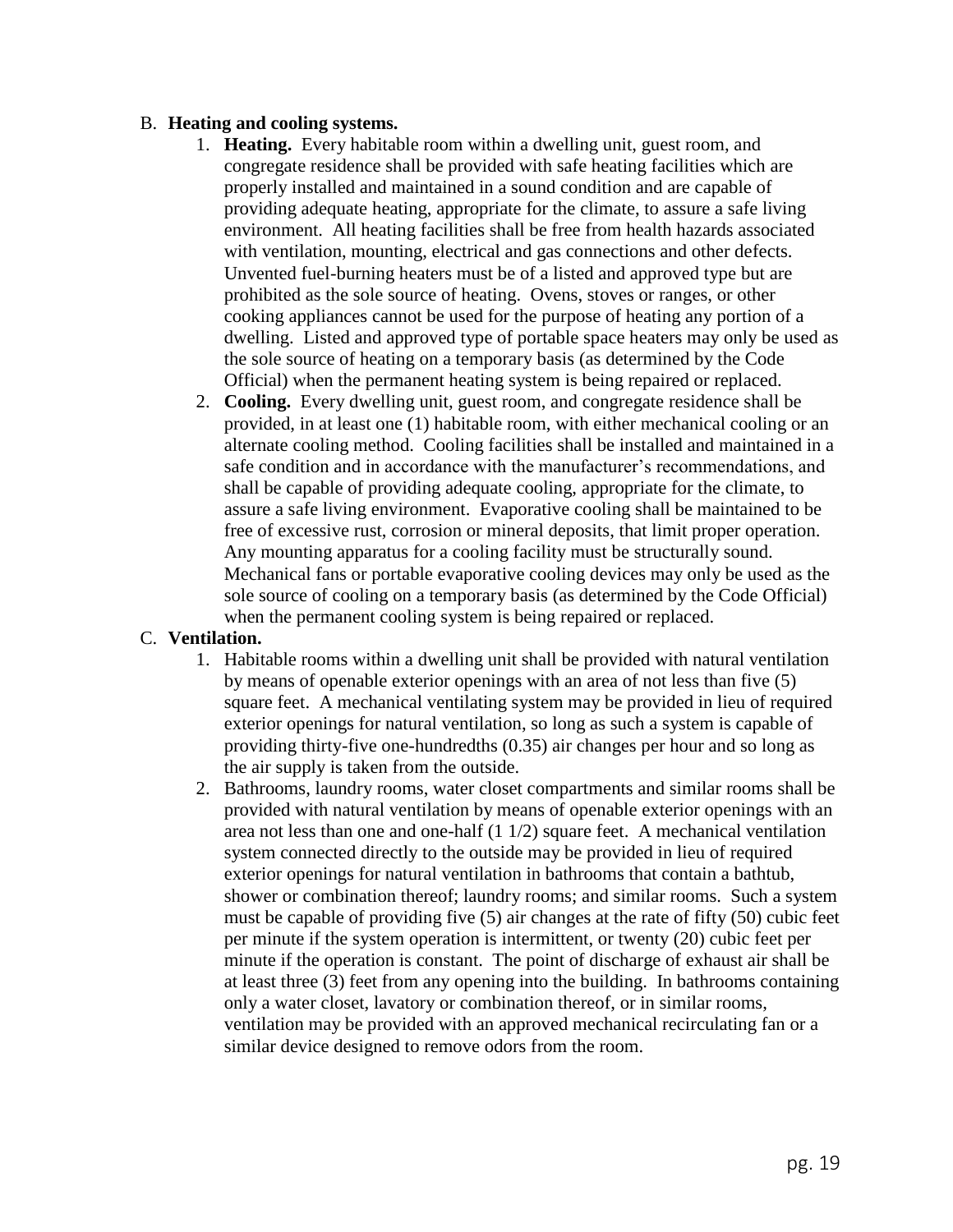### B. **Heating and cooling systems.**

- 1. **Heating.** Every habitable room within a dwelling unit, guest room, and congregate residence shall be provided with safe heating facilities which are properly installed and maintained in a sound condition and are capable of providing adequate heating, appropriate for the climate, to assure a safe living environment. All heating facilities shall be free from health hazards associated with ventilation, mounting, electrical and gas connections and other defects. Unvented fuel-burning heaters must be of a listed and approved type but are prohibited as the sole source of heating. Ovens, stoves or ranges, or other cooking appliances cannot be used for the purpose of heating any portion of a dwelling. Listed and approved type of portable space heaters may only be used as the sole source of heating on a temporary basis (as determined by the Code Official) when the permanent heating system is being repaired or replaced.
- 2. **Cooling.** Every dwelling unit, guest room, and congregate residence shall be provided, in at least one (1) habitable room, with either mechanical cooling or an alternate cooling method. Cooling facilities shall be installed and maintained in a safe condition and in accordance with the manufacturer's recommendations, and shall be capable of providing adequate cooling, appropriate for the climate, to assure a safe living environment. Evaporative cooling shall be maintained to be free of excessive rust, corrosion or mineral deposits, that limit proper operation. Any mounting apparatus for a cooling facility must be structurally sound. Mechanical fans or portable evaporative cooling devices may only be used as the sole source of cooling on a temporary basis (as determined by the Code Official) when the permanent cooling system is being repaired or replaced.

### C. **Ventilation.**

- 1. Habitable rooms within a dwelling unit shall be provided with natural ventilation by means of openable exterior openings with an area of not less than five (5) square feet. A mechanical ventilating system may be provided in lieu of required exterior openings for natural ventilation, so long as such a system is capable of providing thirty-five one-hundredths (0.35) air changes per hour and so long as the air supply is taken from the outside.
- 2. Bathrooms, laundry rooms, water closet compartments and similar rooms shall be provided with natural ventilation by means of openable exterior openings with an area not less than one and one-half (1 1/2) square feet. A mechanical ventilation system connected directly to the outside may be provided in lieu of required exterior openings for natural ventilation in bathrooms that contain a bathtub, shower or combination thereof; laundry rooms; and similar rooms. Such a system must be capable of providing five (5) air changes at the rate of fifty (50) cubic feet per minute if the system operation is intermittent, or twenty (20) cubic feet per minute if the operation is constant. The point of discharge of exhaust air shall be at least three (3) feet from any opening into the building. In bathrooms containing only a water closet, lavatory or combination thereof, or in similar rooms, ventilation may be provided with an approved mechanical recirculating fan or a similar device designed to remove odors from the room.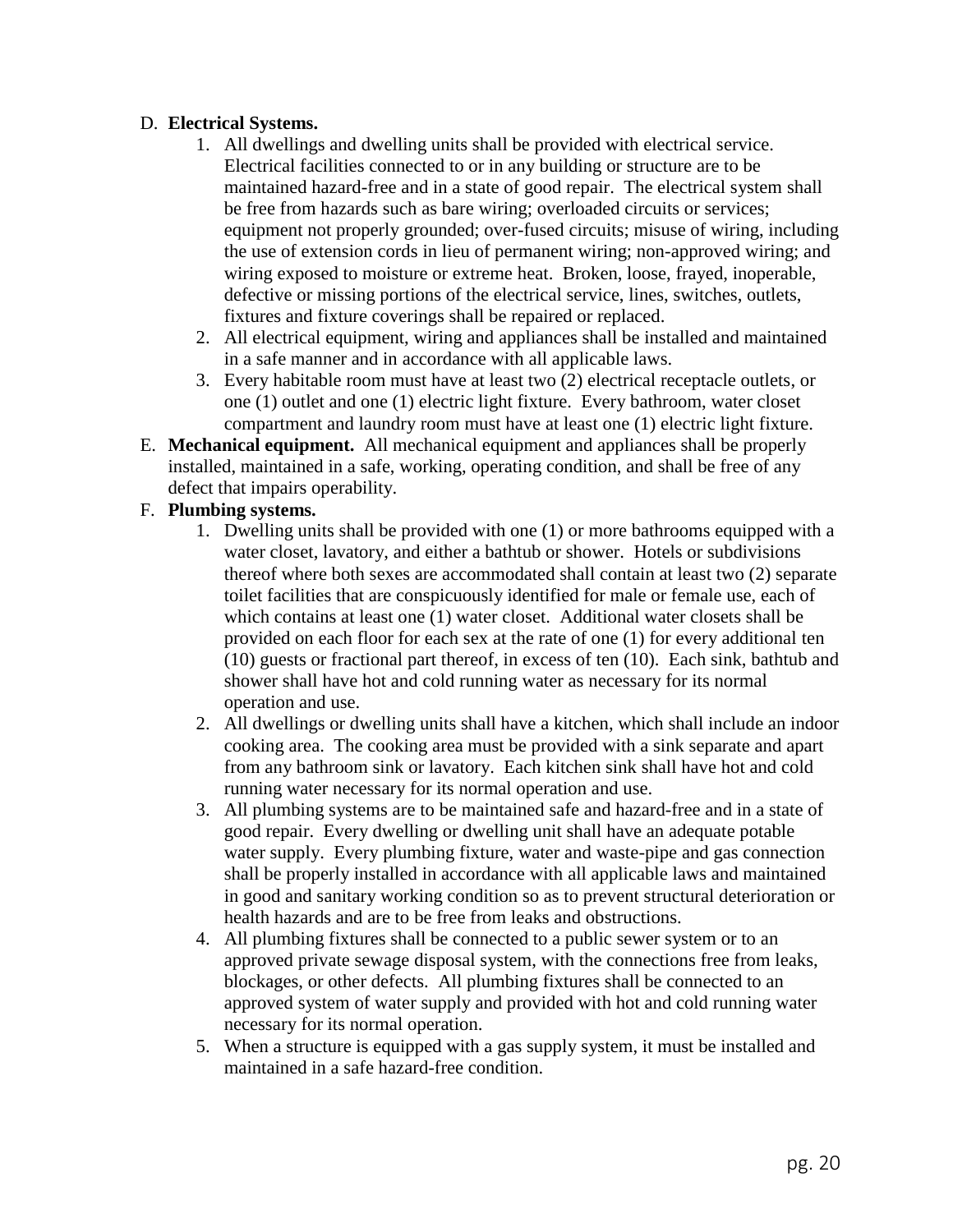## D. **Electrical Systems.**

- 1. All dwellings and dwelling units shall be provided with electrical service. Electrical facilities connected to or in any building or structure are to be maintained hazard-free and in a state of good repair. The electrical system shall be free from hazards such as bare wiring; overloaded circuits or services; equipment not properly grounded; over-fused circuits; misuse of wiring, including the use of extension cords in lieu of permanent wiring; non-approved wiring; and wiring exposed to moisture or extreme heat. Broken, loose, frayed, inoperable, defective or missing portions of the electrical service, lines, switches, outlets, fixtures and fixture coverings shall be repaired or replaced.
- 2. All electrical equipment, wiring and appliances shall be installed and maintained in a safe manner and in accordance with all applicable laws.
- 3. Every habitable room must have at least two (2) electrical receptacle outlets, or one (1) outlet and one (1) electric light fixture. Every bathroom, water closet compartment and laundry room must have at least one (1) electric light fixture.
- E. **Mechanical equipment.** All mechanical equipment and appliances shall be properly installed, maintained in a safe, working, operating condition, and shall be free of any defect that impairs operability.

## F. **Plumbing systems.**

- 1. Dwelling units shall be provided with one (1) or more bathrooms equipped with a water closet, lavatory, and either a bathtub or shower. Hotels or subdivisions thereof where both sexes are accommodated shall contain at least two (2) separate toilet facilities that are conspicuously identified for male or female use, each of which contains at least one (1) water closet. Additional water closets shall be provided on each floor for each sex at the rate of one (1) for every additional ten (10) guests or fractional part thereof, in excess of ten (10). Each sink, bathtub and shower shall have hot and cold running water as necessary for its normal operation and use.
- 2. All dwellings or dwelling units shall have a kitchen, which shall include an indoor cooking area. The cooking area must be provided with a sink separate and apart from any bathroom sink or lavatory. Each kitchen sink shall have hot and cold running water necessary for its normal operation and use.
- 3. All plumbing systems are to be maintained safe and hazard-free and in a state of good repair. Every dwelling or dwelling unit shall have an adequate potable water supply. Every plumbing fixture, water and waste-pipe and gas connection shall be properly installed in accordance with all applicable laws and maintained in good and sanitary working condition so as to prevent structural deterioration or health hazards and are to be free from leaks and obstructions.
- 4. All plumbing fixtures shall be connected to a public sewer system or to an approved private sewage disposal system, with the connections free from leaks, blockages, or other defects. All plumbing fixtures shall be connected to an approved system of water supply and provided with hot and cold running water necessary for its normal operation.
- 5. When a structure is equipped with a gas supply system, it must be installed and maintained in a safe hazard-free condition.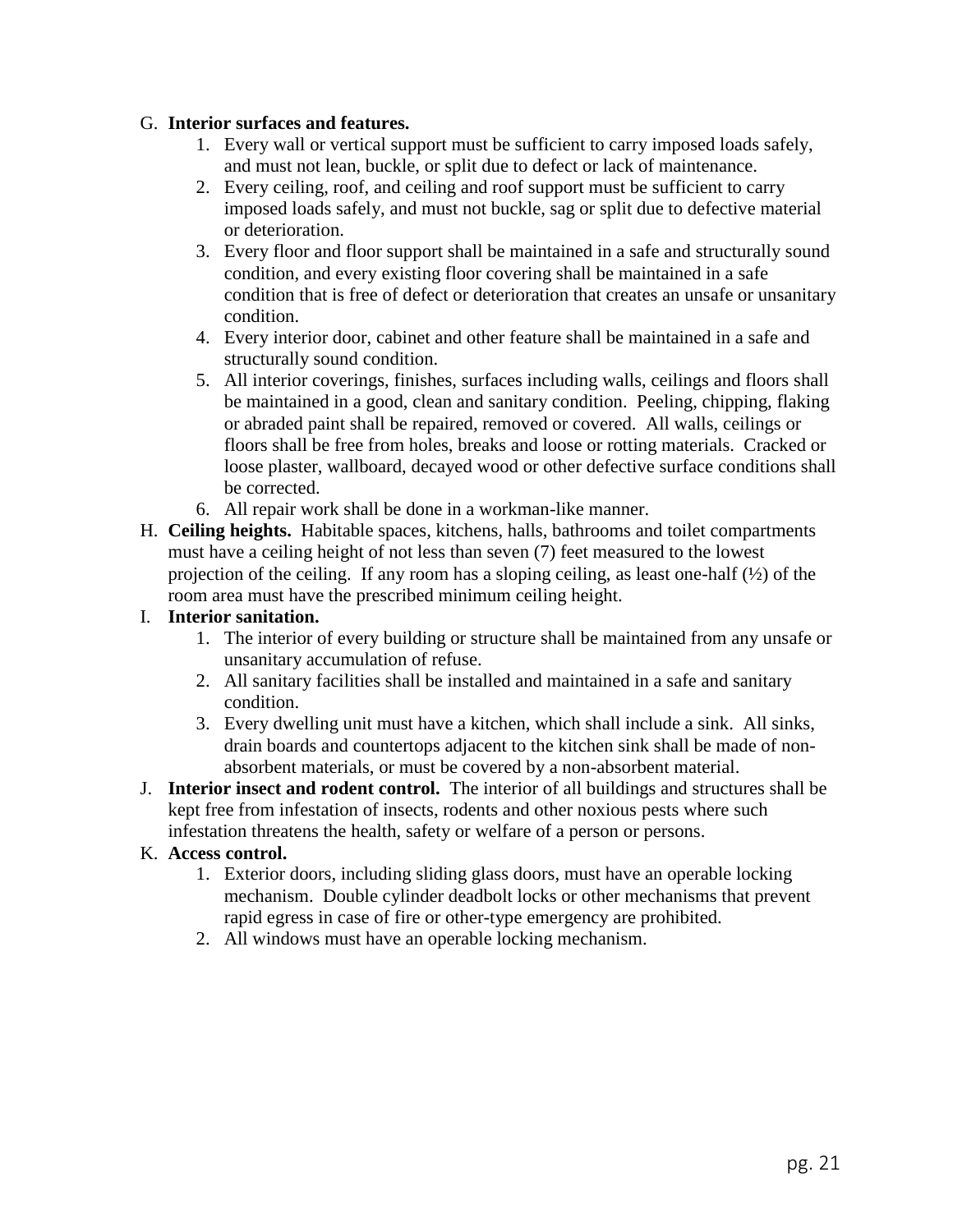## G. **Interior surfaces and features.**

- 1. Every wall or vertical support must be sufficient to carry imposed loads safely, and must not lean, buckle, or split due to defect or lack of maintenance.
- 2. Every ceiling, roof, and ceiling and roof support must be sufficient to carry imposed loads safely, and must not buckle, sag or split due to defective material or deterioration.
- 3. Every floor and floor support shall be maintained in a safe and structurally sound condition, and every existing floor covering shall be maintained in a safe condition that is free of defect or deterioration that creates an unsafe or unsanitary condition.
- 4. Every interior door, cabinet and other feature shall be maintained in a safe and structurally sound condition.
- 5. All interior coverings, finishes, surfaces including walls, ceilings and floors shall be maintained in a good, clean and sanitary condition. Peeling, chipping, flaking or abraded paint shall be repaired, removed or covered. All walls, ceilings or floors shall be free from holes, breaks and loose or rotting materials. Cracked or loose plaster, wallboard, decayed wood or other defective surface conditions shall be corrected.
- 6. All repair work shall be done in a workman-like manner.
- H. **Ceiling heights.** Habitable spaces, kitchens, halls, bathrooms and toilet compartments must have a ceiling height of not less than seven (7) feet measured to the lowest projection of the ceiling. If any room has a sloping ceiling, as least one-half (½) of the room area must have the prescribed minimum ceiling height.

## I. **Interior sanitation.**

- 1. The interior of every building or structure shall be maintained from any unsafe or unsanitary accumulation of refuse.
- 2. All sanitary facilities shall be installed and maintained in a safe and sanitary condition.
- 3. Every dwelling unit must have a kitchen, which shall include a sink. All sinks, drain boards and countertops adjacent to the kitchen sink shall be made of nonabsorbent materials, or must be covered by a non-absorbent material.
- J. **Interior insect and rodent control.** The interior of all buildings and structures shall be kept free from infestation of insects, rodents and other noxious pests where such infestation threatens the health, safety or welfare of a person or persons.

## K. **Access control.**

- 1. Exterior doors, including sliding glass doors, must have an operable locking mechanism. Double cylinder deadbolt locks or other mechanisms that prevent rapid egress in case of fire or other-type emergency are prohibited.
- 2. All windows must have an operable locking mechanism.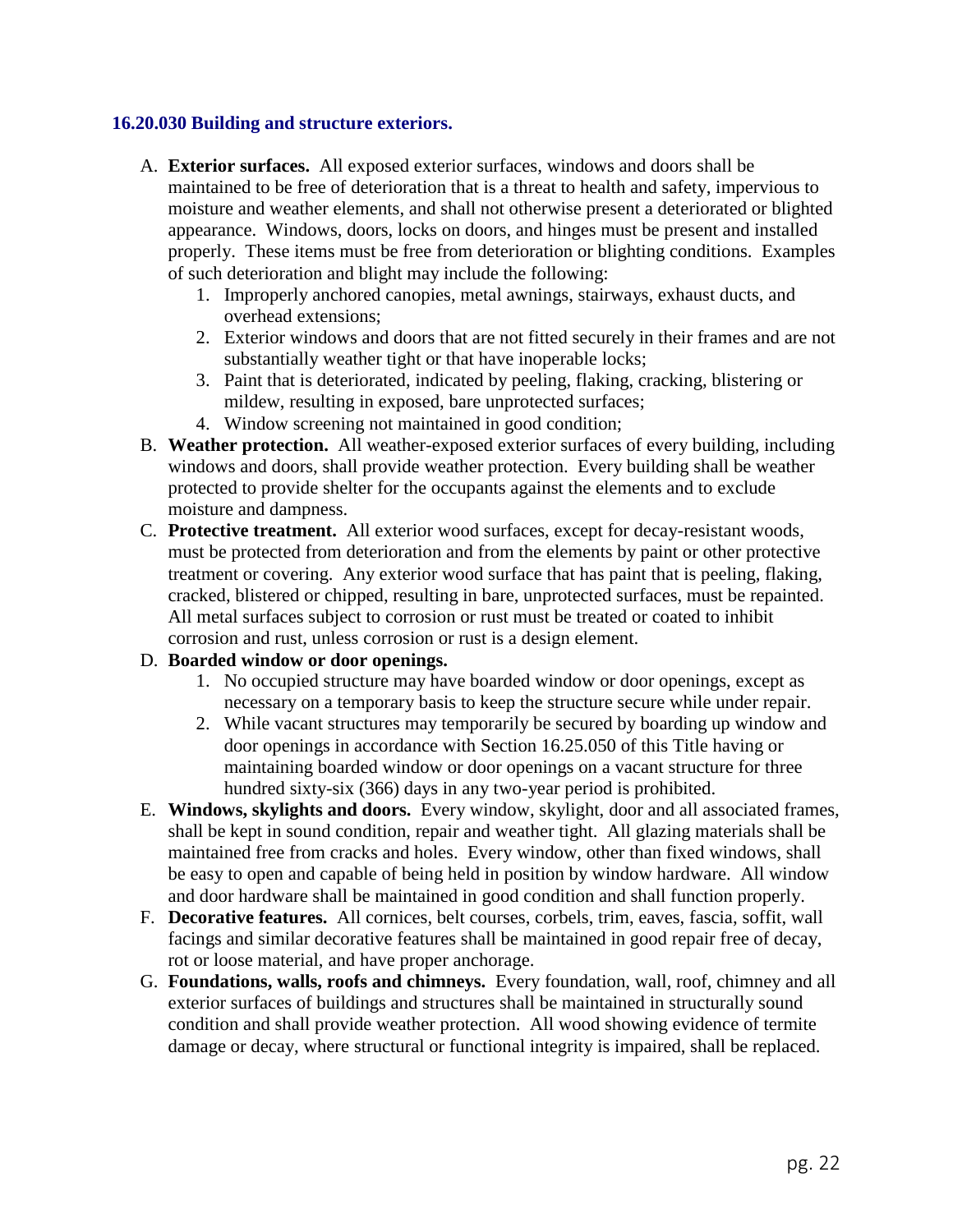## **16.20.030 Building and structure exteriors.**

- A. **Exterior surfaces.** All exposed exterior surfaces, windows and doors shall be maintained to be free of deterioration that is a threat to health and safety, impervious to moisture and weather elements, and shall not otherwise present a deteriorated or blighted appearance. Windows, doors, locks on doors, and hinges must be present and installed properly. These items must be free from deterioration or blighting conditions. Examples of such deterioration and blight may include the following:
	- 1. Improperly anchored canopies, metal awnings, stairways, exhaust ducts, and overhead extensions;
	- 2. Exterior windows and doors that are not fitted securely in their frames and are not substantially weather tight or that have inoperable locks;
	- 3. Paint that is deteriorated, indicated by peeling, flaking, cracking, blistering or mildew, resulting in exposed, bare unprotected surfaces;
	- 4. Window screening not maintained in good condition;
- B. **Weather protection.** All weather-exposed exterior surfaces of every building, including windows and doors, shall provide weather protection. Every building shall be weather protected to provide shelter for the occupants against the elements and to exclude moisture and dampness.
- C. **Protective treatment.** All exterior wood surfaces, except for decay-resistant woods, must be protected from deterioration and from the elements by paint or other protective treatment or covering. Any exterior wood surface that has paint that is peeling, flaking, cracked, blistered or chipped, resulting in bare, unprotected surfaces, must be repainted. All metal surfaces subject to corrosion or rust must be treated or coated to inhibit corrosion and rust, unless corrosion or rust is a design element.

### D. **Boarded window or door openings.**

- 1. No occupied structure may have boarded window or door openings, except as necessary on a temporary basis to keep the structure secure while under repair.
- 2. While vacant structures may temporarily be secured by boarding up window and door openings in accordance with Section 16.25.050 of this Title having or maintaining boarded window or door openings on a vacant structure for three hundred sixty-six (366) days in any two-year period is prohibited.
- E. **Windows, skylights and doors.** Every window, skylight, door and all associated frames, shall be kept in sound condition, repair and weather tight. All glazing materials shall be maintained free from cracks and holes. Every window, other than fixed windows, shall be easy to open and capable of being held in position by window hardware. All window and door hardware shall be maintained in good condition and shall function properly.
- F. **Decorative features.** All cornices, belt courses, corbels, trim, eaves, fascia, soffit, wall facings and similar decorative features shall be maintained in good repair free of decay, rot or loose material, and have proper anchorage.
- G. **Foundations, walls, roofs and chimneys.** Every foundation, wall, roof, chimney and all exterior surfaces of buildings and structures shall be maintained in structurally sound condition and shall provide weather protection. All wood showing evidence of termite damage or decay, where structural or functional integrity is impaired, shall be replaced.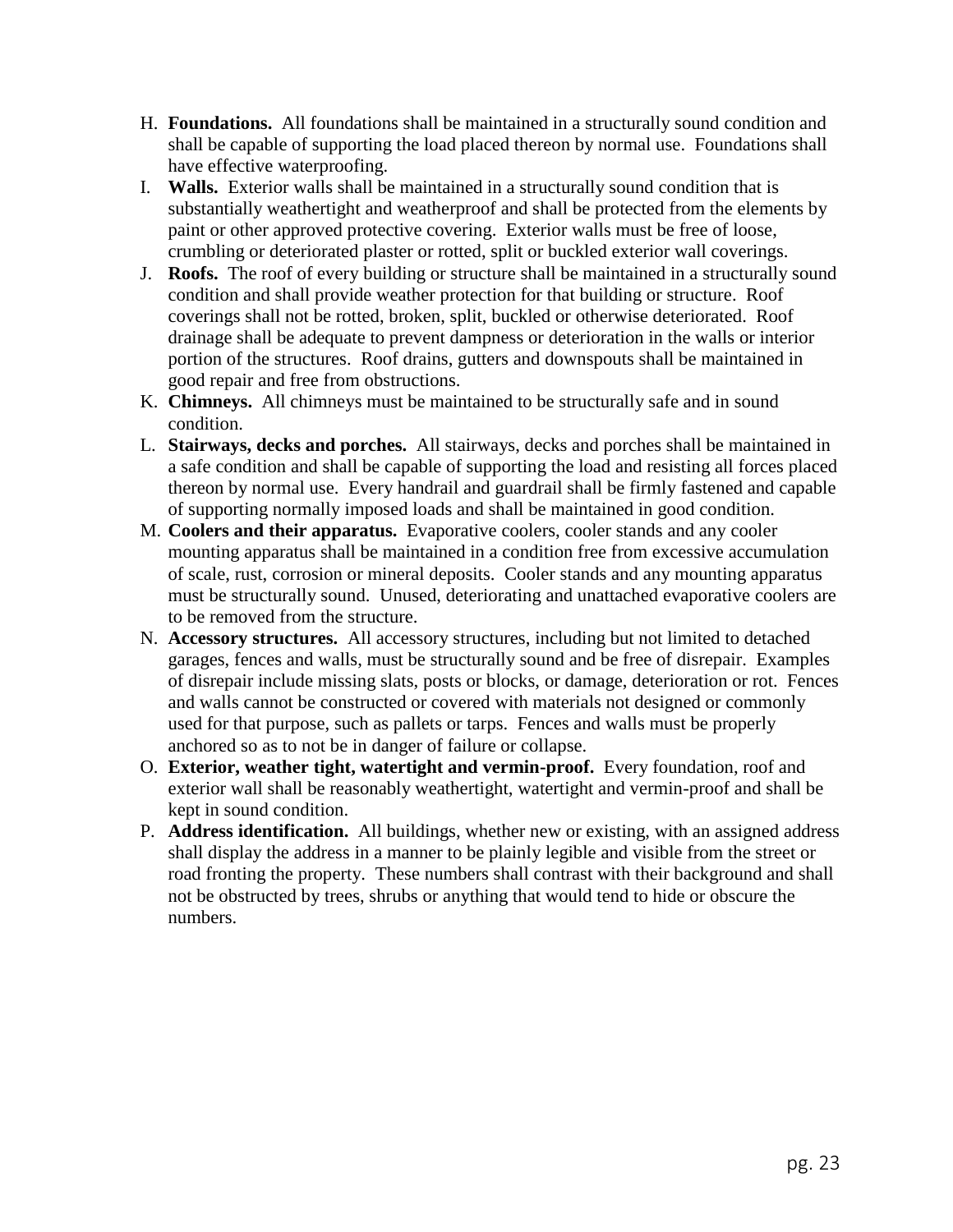- H. **Foundations.** All foundations shall be maintained in a structurally sound condition and shall be capable of supporting the load placed thereon by normal use. Foundations shall have effective waterproofing.
- I. **Walls.** Exterior walls shall be maintained in a structurally sound condition that is substantially weathertight and weatherproof and shall be protected from the elements by paint or other approved protective covering. Exterior walls must be free of loose, crumbling or deteriorated plaster or rotted, split or buckled exterior wall coverings.
- J. **Roofs.** The roof of every building or structure shall be maintained in a structurally sound condition and shall provide weather protection for that building or structure. Roof coverings shall not be rotted, broken, split, buckled or otherwise deteriorated. Roof drainage shall be adequate to prevent dampness or deterioration in the walls or interior portion of the structures. Roof drains, gutters and downspouts shall be maintained in good repair and free from obstructions.
- K. **Chimneys.** All chimneys must be maintained to be structurally safe and in sound condition.
- L. **Stairways, decks and porches.** All stairways, decks and porches shall be maintained in a safe condition and shall be capable of supporting the load and resisting all forces placed thereon by normal use. Every handrail and guardrail shall be firmly fastened and capable of supporting normally imposed loads and shall be maintained in good condition.
- M. **Coolers and their apparatus.** Evaporative coolers, cooler stands and any cooler mounting apparatus shall be maintained in a condition free from excessive accumulation of scale, rust, corrosion or mineral deposits. Cooler stands and any mounting apparatus must be structurally sound. Unused, deteriorating and unattached evaporative coolers are to be removed from the structure.
- N. **Accessory structures.** All accessory structures, including but not limited to detached garages, fences and walls, must be structurally sound and be free of disrepair. Examples of disrepair include missing slats, posts or blocks, or damage, deterioration or rot. Fences and walls cannot be constructed or covered with materials not designed or commonly used for that purpose, such as pallets or tarps. Fences and walls must be properly anchored so as to not be in danger of failure or collapse.
- O. **Exterior, weather tight, watertight and vermin-proof.** Every foundation, roof and exterior wall shall be reasonably weathertight, watertight and vermin-proof and shall be kept in sound condition.
- P. **Address identification.** All buildings, whether new or existing, with an assigned address shall display the address in a manner to be plainly legible and visible from the street or road fronting the property. These numbers shall contrast with their background and shall not be obstructed by trees, shrubs or anything that would tend to hide or obscure the numbers.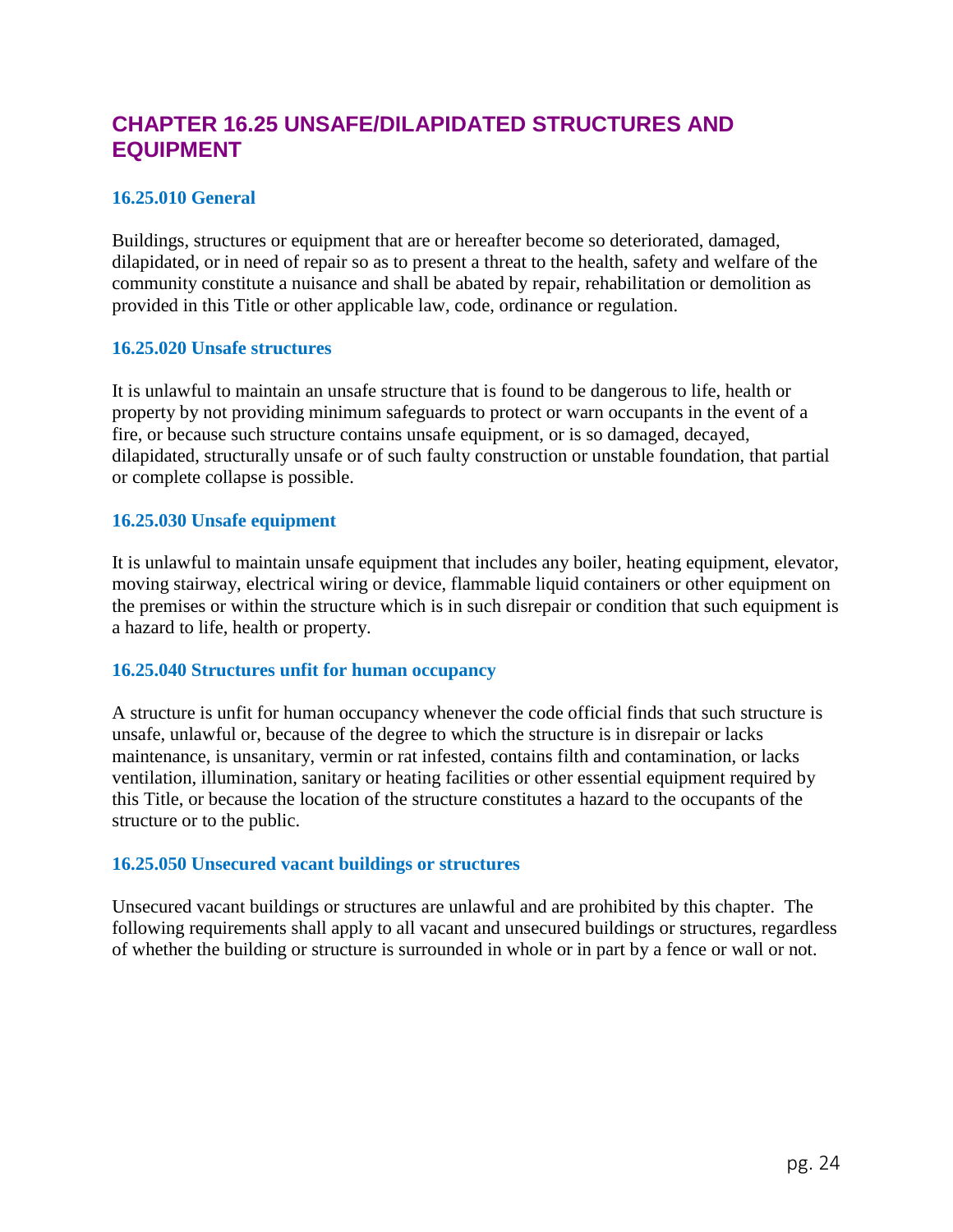## **CHAPTER 16.25 UNSAFE/DILAPIDATED STRUCTURES AND EQUIPMENT**

## **16.25.010 General**

Buildings, structures or equipment that are or hereafter become so deteriorated, damaged, dilapidated, or in need of repair so as to present a threat to the health, safety and welfare of the community constitute a nuisance and shall be abated by repair, rehabilitation or demolition as provided in this Title or other applicable law, code, ordinance or regulation.

#### **16.25.020 Unsafe structures**

It is unlawful to maintain an unsafe structure that is found to be dangerous to life, health or property by not providing minimum safeguards to protect or warn occupants in the event of a fire, or because such structure contains unsafe equipment, or is so damaged, decayed, dilapidated, structurally unsafe or of such faulty construction or unstable foundation, that partial or complete collapse is possible.

#### **16.25.030 Unsafe equipment**

It is unlawful to maintain unsafe equipment that includes any boiler, heating equipment, elevator, moving stairway, electrical wiring or device, flammable liquid containers or other equipment on the premises or within the structure which is in such disrepair or condition that such equipment is a hazard to life, health or property.

### **16.25.040 Structures unfit for human occupancy**

A structure is unfit for human occupancy whenever the code official finds that such structure is unsafe, unlawful or, because of the degree to which the structure is in disrepair or lacks maintenance, is unsanitary, vermin or rat infested, contains filth and contamination, or lacks ventilation, illumination, sanitary or heating facilities or other essential equipment required by this Title, or because the location of the structure constitutes a hazard to the occupants of the structure or to the public.

### **16.25.050 Unsecured vacant buildings or structures**

Unsecured vacant buildings or structures are unlawful and are prohibited by this chapter. The following requirements shall apply to all vacant and unsecured buildings or structures, regardless of whether the building or structure is surrounded in whole or in part by a fence or wall or not.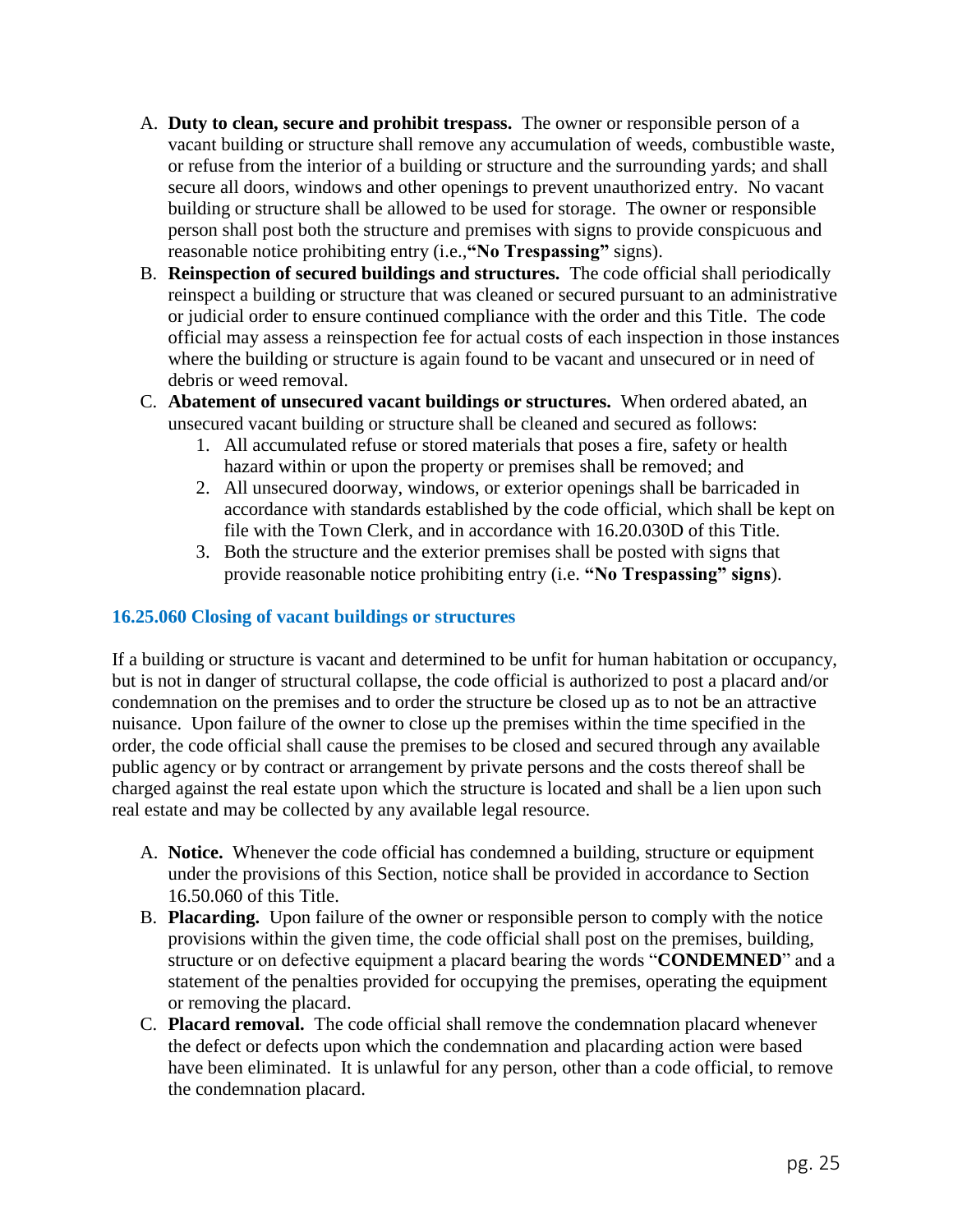- A. **Duty to clean, secure and prohibit trespass.** The owner or responsible person of a vacant building or structure shall remove any accumulation of weeds, combustible waste, or refuse from the interior of a building or structure and the surrounding yards; and shall secure all doors, windows and other openings to prevent unauthorized entry. No vacant building or structure shall be allowed to be used for storage. The owner or responsible person shall post both the structure and premises with signs to provide conspicuous and reasonable notice prohibiting entry (i.e.,**"No Trespassing"** signs).
- B. **Reinspection of secured buildings and structures.** The code official shall periodically reinspect a building or structure that was cleaned or secured pursuant to an administrative or judicial order to ensure continued compliance with the order and this Title. The code official may assess a reinspection fee for actual costs of each inspection in those instances where the building or structure is again found to be vacant and unsecured or in need of debris or weed removal.
- C. **Abatement of unsecured vacant buildings or structures.** When ordered abated, an unsecured vacant building or structure shall be cleaned and secured as follows:
	- 1. All accumulated refuse or stored materials that poses a fire, safety or health hazard within or upon the property or premises shall be removed; and
	- 2. All unsecured doorway, windows, or exterior openings shall be barricaded in accordance with standards established by the code official, which shall be kept on file with the Town Clerk, and in accordance with 16.20.030D of this Title.
	- 3. Both the structure and the exterior premises shall be posted with signs that provide reasonable notice prohibiting entry (i.e. **"No Trespassing" signs**).

## **16.25.060 Closing of vacant buildings or structures**

If a building or structure is vacant and determined to be unfit for human habitation or occupancy, but is not in danger of structural collapse, the code official is authorized to post a placard and/or condemnation on the premises and to order the structure be closed up as to not be an attractive nuisance. Upon failure of the owner to close up the premises within the time specified in the order, the code official shall cause the premises to be closed and secured through any available public agency or by contract or arrangement by private persons and the costs thereof shall be charged against the real estate upon which the structure is located and shall be a lien upon such real estate and may be collected by any available legal resource.

- A. **Notice.** Whenever the code official has condemned a building, structure or equipment under the provisions of this Section, notice shall be provided in accordance to Section 16.50.060 of this Title.
- B. **Placarding.** Upon failure of the owner or responsible person to comply with the notice provisions within the given time, the code official shall post on the premises, building, structure or on defective equipment a placard bearing the words "**CONDEMNED**" and a statement of the penalties provided for occupying the premises, operating the equipment or removing the placard.
- C. **Placard removal.** The code official shall remove the condemnation placard whenever the defect or defects upon which the condemnation and placarding action were based have been eliminated. It is unlawful for any person, other than a code official, to remove the condemnation placard.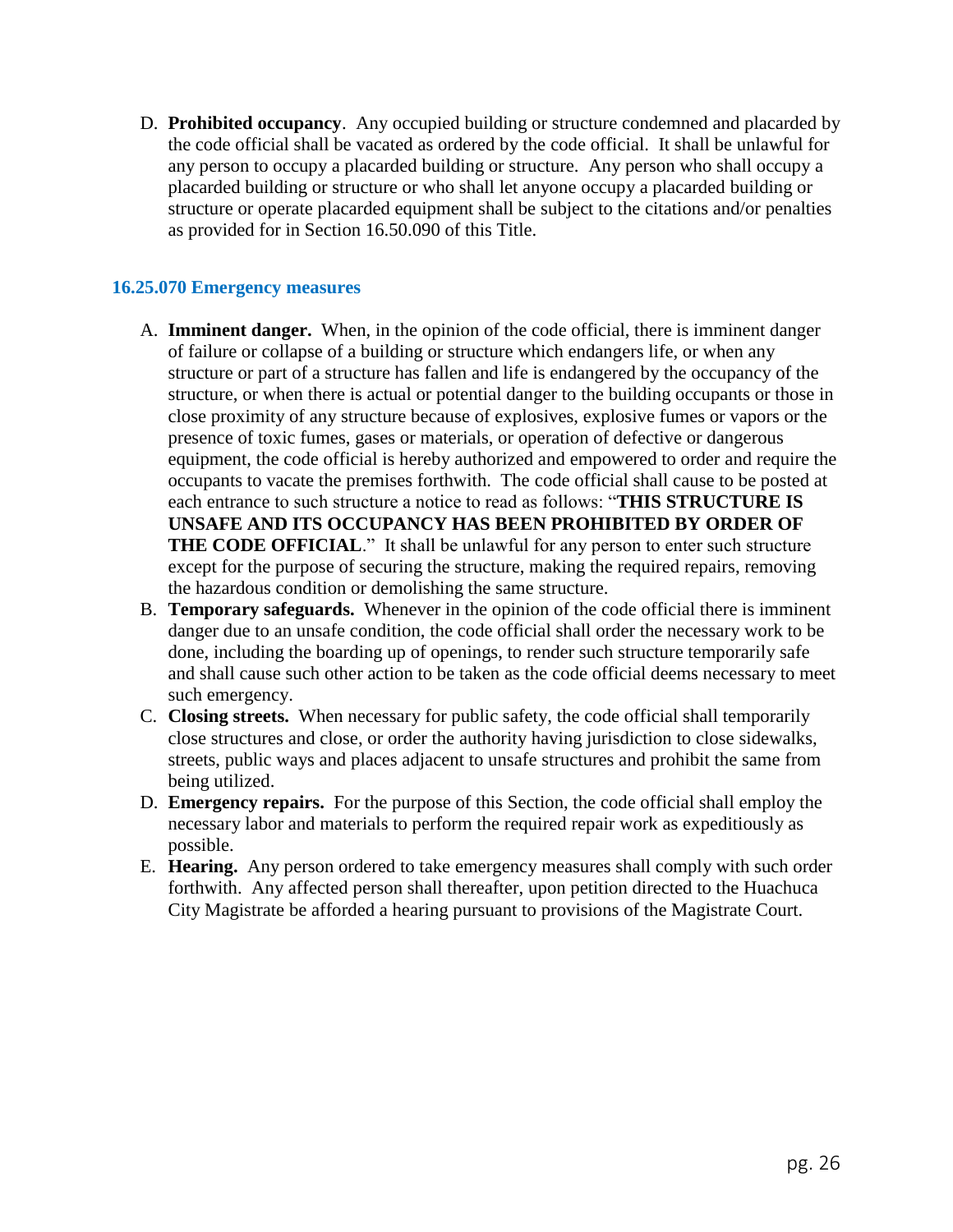D. **Prohibited occupancy**. Any occupied building or structure condemned and placarded by the code official shall be vacated as ordered by the code official. It shall be unlawful for any person to occupy a placarded building or structure. Any person who shall occupy a placarded building or structure or who shall let anyone occupy a placarded building or structure or operate placarded equipment shall be subject to the citations and/or penalties as provided for in Section 16.50.090 of this Title.

## **16.25.070 Emergency measures**

- A. **Imminent danger.** When, in the opinion of the code official, there is imminent danger of failure or collapse of a building or structure which endangers life, or when any structure or part of a structure has fallen and life is endangered by the occupancy of the structure, or when there is actual or potential danger to the building occupants or those in close proximity of any structure because of explosives, explosive fumes or vapors or the presence of toxic fumes, gases or materials, or operation of defective or dangerous equipment, the code official is hereby authorized and empowered to order and require the occupants to vacate the premises forthwith. The code official shall cause to be posted at each entrance to such structure a notice to read as follows: "**THIS STRUCTURE IS UNSAFE AND ITS OCCUPANCY HAS BEEN PROHIBITED BY ORDER OF THE CODE OFFICIAL.**" It shall be unlawful for any person to enter such structure except for the purpose of securing the structure, making the required repairs, removing the hazardous condition or demolishing the same structure.
- B. **Temporary safeguards.** Whenever in the opinion of the code official there is imminent danger due to an unsafe condition, the code official shall order the necessary work to be done, including the boarding up of openings, to render such structure temporarily safe and shall cause such other action to be taken as the code official deems necessary to meet such emergency.
- C. **Closing streets.** When necessary for public safety, the code official shall temporarily close structures and close, or order the authority having jurisdiction to close sidewalks, streets, public ways and places adjacent to unsafe structures and prohibit the same from being utilized.
- D. **Emergency repairs.** For the purpose of this Section, the code official shall employ the necessary labor and materials to perform the required repair work as expeditiously as possible.
- E. **Hearing.** Any person ordered to take emergency measures shall comply with such order forthwith. Any affected person shall thereafter, upon petition directed to the Huachuca City Magistrate be afforded a hearing pursuant to provisions of the Magistrate Court.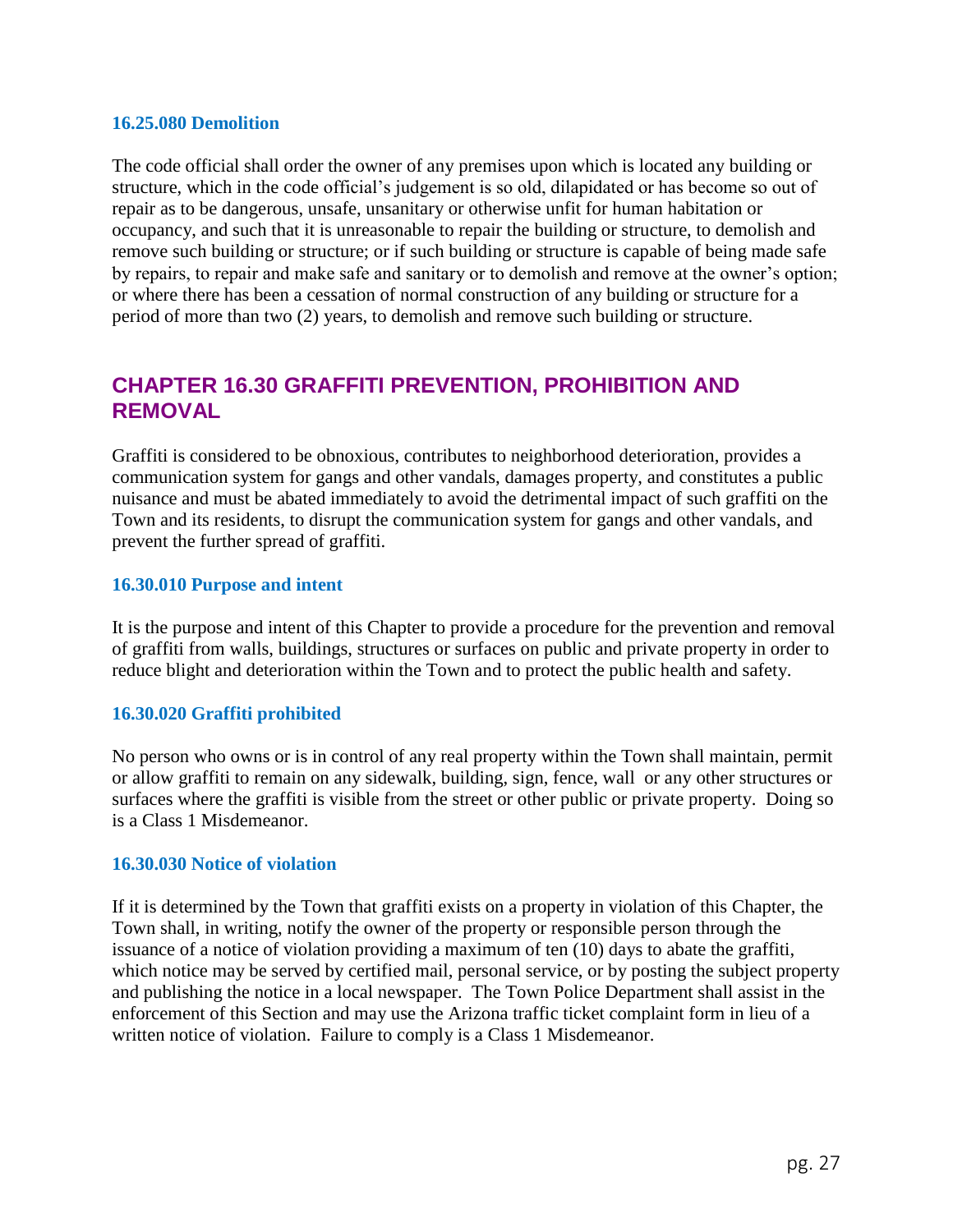#### **16.25.080 Demolition**

The code official shall order the owner of any premises upon which is located any building or structure, which in the code official's judgement is so old, dilapidated or has become so out of repair as to be dangerous, unsafe, unsanitary or otherwise unfit for human habitation or occupancy, and such that it is unreasonable to repair the building or structure, to demolish and remove such building or structure; or if such building or structure is capable of being made safe by repairs, to repair and make safe and sanitary or to demolish and remove at the owner's option; or where there has been a cessation of normal construction of any building or structure for a period of more than two (2) years, to demolish and remove such building or structure.

## **CHAPTER 16.30 GRAFFITI PREVENTION, PROHIBITION AND REMOVAL**

Graffiti is considered to be obnoxious, contributes to neighborhood deterioration, provides a communication system for gangs and other vandals, damages property, and constitutes a public nuisance and must be abated immediately to avoid the detrimental impact of such graffiti on the Town and its residents, to disrupt the communication system for gangs and other vandals, and prevent the further spread of graffiti.

### **16.30.010 Purpose and intent**

It is the purpose and intent of this Chapter to provide a procedure for the prevention and removal of graffiti from walls, buildings, structures or surfaces on public and private property in order to reduce blight and deterioration within the Town and to protect the public health and safety.

### **16.30.020 Graffiti prohibited**

No person who owns or is in control of any real property within the Town shall maintain, permit or allow graffiti to remain on any sidewalk, building, sign, fence, wall or any other structures or surfaces where the graffiti is visible from the street or other public or private property. Doing so is a Class 1 Misdemeanor.

### **16.30.030 Notice of violation**

If it is determined by the Town that graffiti exists on a property in violation of this Chapter, the Town shall, in writing, notify the owner of the property or responsible person through the issuance of a notice of violation providing a maximum of ten (10) days to abate the graffiti, which notice may be served by certified mail, personal service, or by posting the subject property and publishing the notice in a local newspaper. The Town Police Department shall assist in the enforcement of this Section and may use the Arizona traffic ticket complaint form in lieu of a written notice of violation. Failure to comply is a Class 1 Misdemeanor.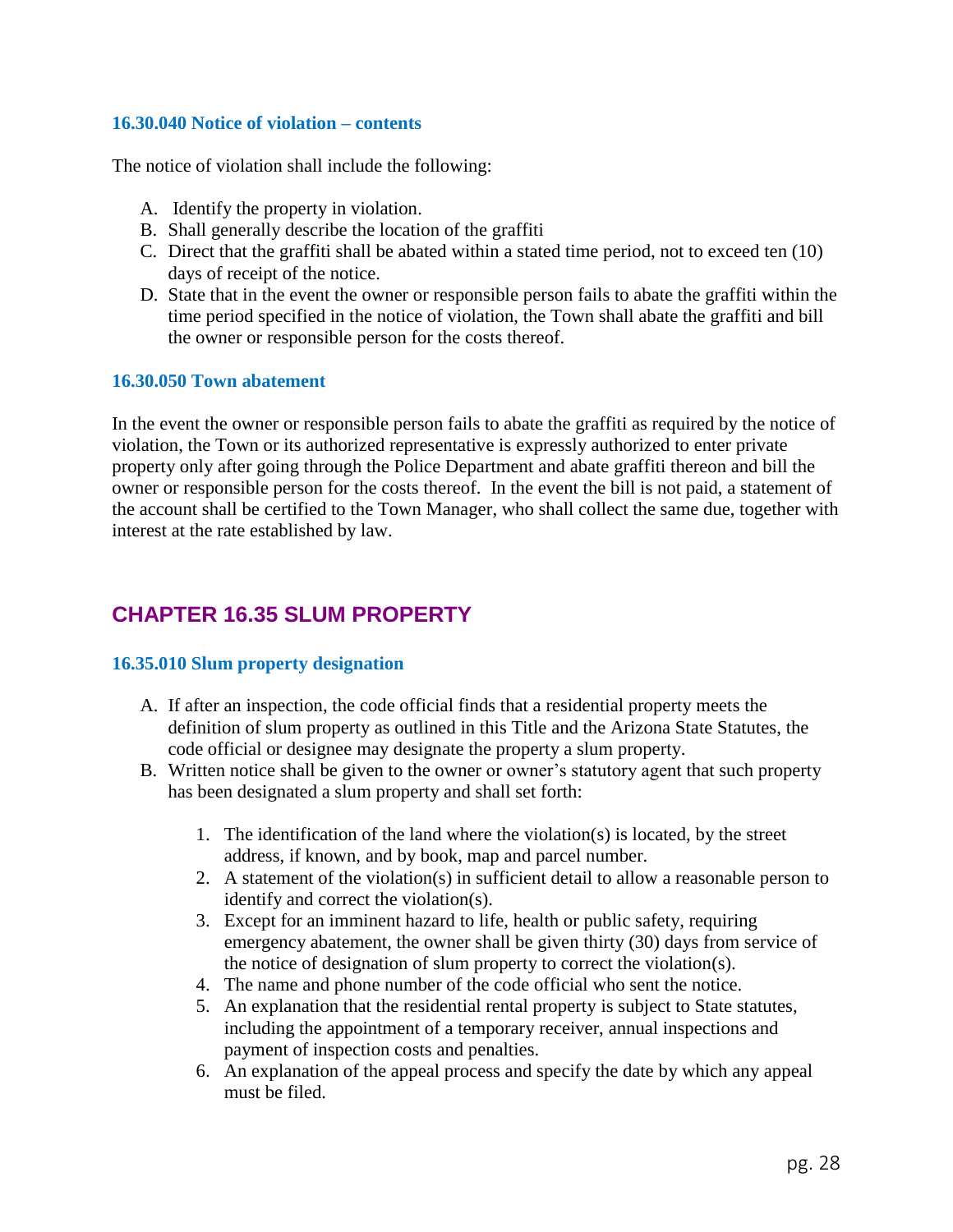## **16.30.040 Notice of violation – contents**

The notice of violation shall include the following:

- A. Identify the property in violation.
- B. Shall generally describe the location of the graffiti
- C. Direct that the graffiti shall be abated within a stated time period, not to exceed ten (10) days of receipt of the notice.
- D. State that in the event the owner or responsible person fails to abate the graffiti within the time period specified in the notice of violation, the Town shall abate the graffiti and bill the owner or responsible person for the costs thereof.

### **16.30.050 Town abatement**

In the event the owner or responsible person fails to abate the graffiti as required by the notice of violation, the Town or its authorized representative is expressly authorized to enter private property only after going through the Police Department and abate graffiti thereon and bill the owner or responsible person for the costs thereof. In the event the bill is not paid, a statement of the account shall be certified to the Town Manager, who shall collect the same due, together with interest at the rate established by law.

## **CHAPTER 16.35 SLUM PROPERTY**

## **16.35.010 Slum property designation**

- A. If after an inspection, the code official finds that a residential property meets the definition of slum property as outlined in this Title and the Arizona State Statutes, the code official or designee may designate the property a slum property.
- B. Written notice shall be given to the owner or owner's statutory agent that such property has been designated a slum property and shall set forth:
	- 1. The identification of the land where the violation(s) is located, by the street address, if known, and by book, map and parcel number.
	- 2. A statement of the violation(s) in sufficient detail to allow a reasonable person to identify and correct the violation(s).
	- 3. Except for an imminent hazard to life, health or public safety, requiring emergency abatement, the owner shall be given thirty (30) days from service of the notice of designation of slum property to correct the violation(s).
	- 4. The name and phone number of the code official who sent the notice.
	- 5. An explanation that the residential rental property is subject to State statutes, including the appointment of a temporary receiver, annual inspections and payment of inspection costs and penalties.
	- 6. An explanation of the appeal process and specify the date by which any appeal must be filed.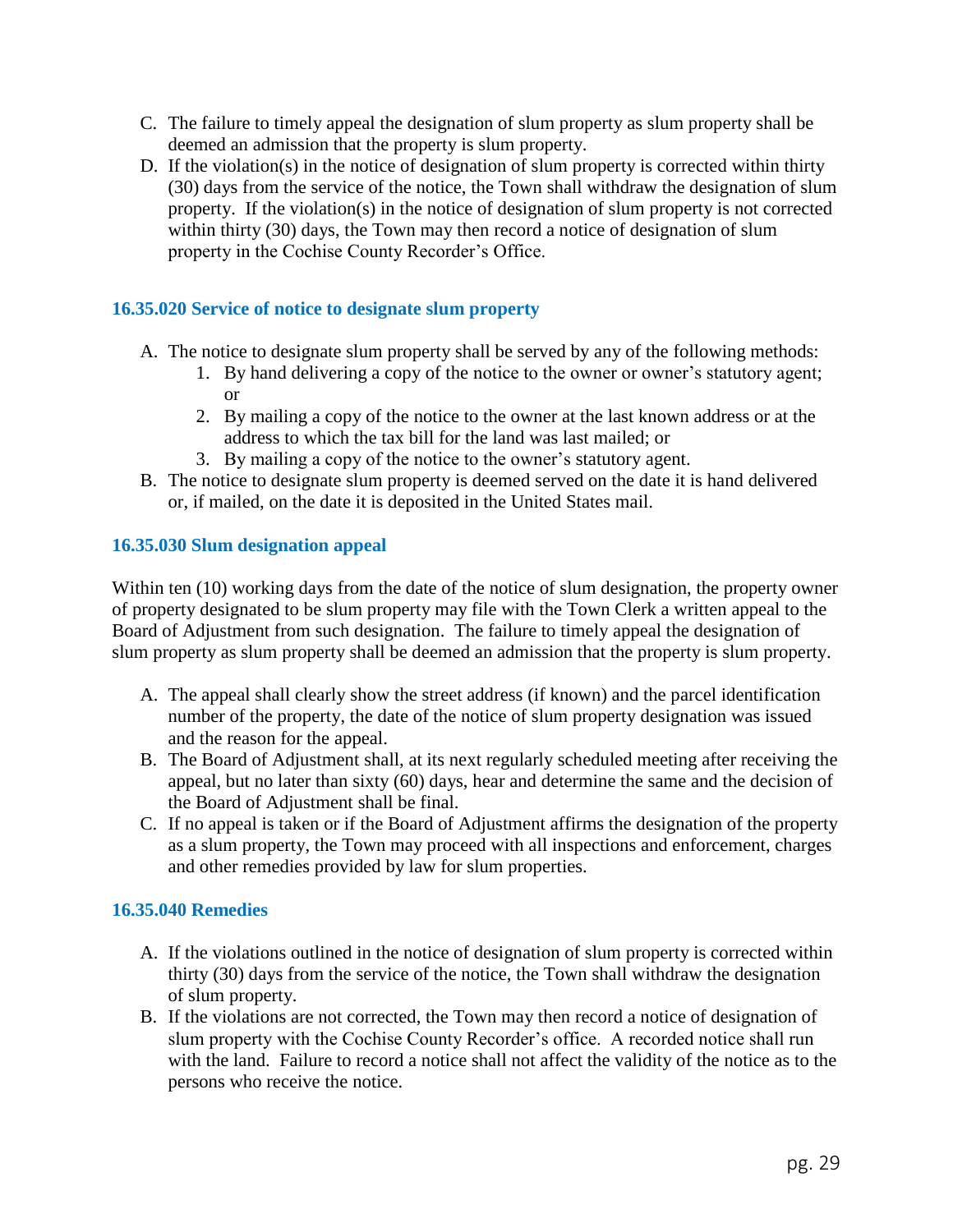- C. The failure to timely appeal the designation of slum property as slum property shall be deemed an admission that the property is slum property.
- D. If the violation(s) in the notice of designation of slum property is corrected within thirty (30) days from the service of the notice, the Town shall withdraw the designation of slum property. If the violation(s) in the notice of designation of slum property is not corrected within thirty (30) days, the Town may then record a notice of designation of slum property in the Cochise County Recorder's Office.

## **16.35.020 Service of notice to designate slum property**

- A. The notice to designate slum property shall be served by any of the following methods:
	- 1. By hand delivering a copy of the notice to the owner or owner's statutory agent; or
	- 2. By mailing a copy of the notice to the owner at the last known address or at the address to which the tax bill for the land was last mailed; or
	- 3. By mailing a copy of the notice to the owner's statutory agent.
- B. The notice to designate slum property is deemed served on the date it is hand delivered or, if mailed, on the date it is deposited in the United States mail.

### **16.35.030 Slum designation appeal**

Within ten (10) working days from the date of the notice of slum designation, the property owner of property designated to be slum property may file with the Town Clerk a written appeal to the Board of Adjustment from such designation. The failure to timely appeal the designation of slum property as slum property shall be deemed an admission that the property is slum property.

- A. The appeal shall clearly show the street address (if known) and the parcel identification number of the property, the date of the notice of slum property designation was issued and the reason for the appeal.
- B. The Board of Adjustment shall, at its next regularly scheduled meeting after receiving the appeal, but no later than sixty (60) days, hear and determine the same and the decision of the Board of Adjustment shall be final.
- C. If no appeal is taken or if the Board of Adjustment affirms the designation of the property as a slum property, the Town may proceed with all inspections and enforcement, charges and other remedies provided by law for slum properties.

## **16.35.040 Remedies**

- A. If the violations outlined in the notice of designation of slum property is corrected within thirty (30) days from the service of the notice, the Town shall withdraw the designation of slum property.
- B. If the violations are not corrected, the Town may then record a notice of designation of slum property with the Cochise County Recorder's office. A recorded notice shall run with the land. Failure to record a notice shall not affect the validity of the notice as to the persons who receive the notice.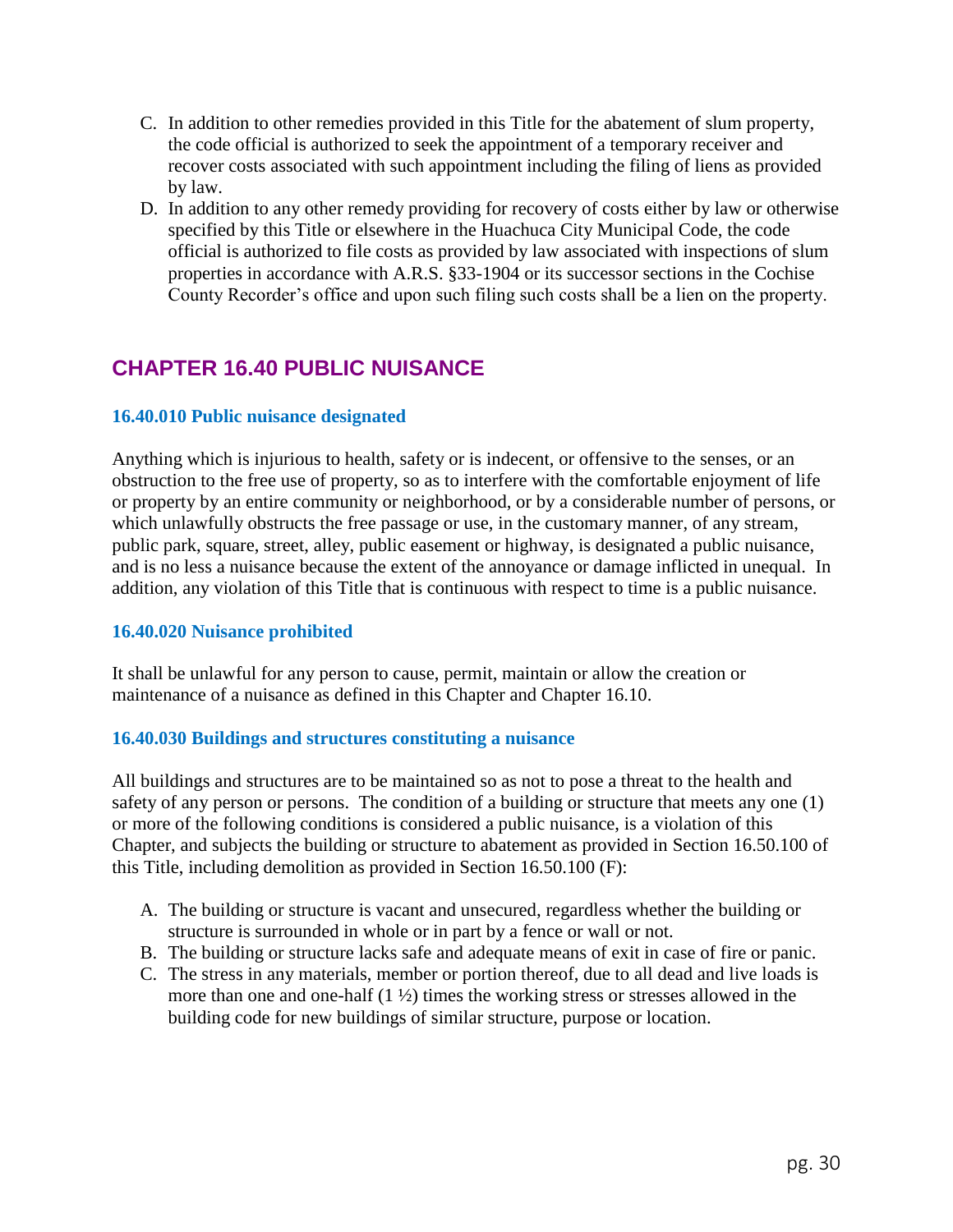- C. In addition to other remedies provided in this Title for the abatement of slum property, the code official is authorized to seek the appointment of a temporary receiver and recover costs associated with such appointment including the filing of liens as provided by law.
- D. In addition to any other remedy providing for recovery of costs either by law or otherwise specified by this Title or elsewhere in the Huachuca City Municipal Code, the code official is authorized to file costs as provided by law associated with inspections of slum properties in accordance with A.R.S. §33-1904 or its successor sections in the Cochise County Recorder's office and upon such filing such costs shall be a lien on the property.

## **CHAPTER 16.40 PUBLIC NUISANCE**

## **16.40.010 Public nuisance designated**

Anything which is injurious to health, safety or is indecent, or offensive to the senses, or an obstruction to the free use of property, so as to interfere with the comfortable enjoyment of life or property by an entire community or neighborhood, or by a considerable number of persons, or which unlawfully obstructs the free passage or use, in the customary manner, of any stream, public park, square, street, alley, public easement or highway, is designated a public nuisance, and is no less a nuisance because the extent of the annoyance or damage inflicted in unequal. In addition, any violation of this Title that is continuous with respect to time is a public nuisance.

### **16.40.020 Nuisance prohibited**

It shall be unlawful for any person to cause, permit, maintain or allow the creation or maintenance of a nuisance as defined in this Chapter and Chapter 16.10.

### **16.40.030 Buildings and structures constituting a nuisance**

All buildings and structures are to be maintained so as not to pose a threat to the health and safety of any person or persons. The condition of a building or structure that meets any one (1) or more of the following conditions is considered a public nuisance, is a violation of this Chapter, and subjects the building or structure to abatement as provided in Section 16.50.100 of this Title, including demolition as provided in Section 16.50.100 (F):

- A. The building or structure is vacant and unsecured, regardless whether the building or structure is surrounded in whole or in part by a fence or wall or not.
- B. The building or structure lacks safe and adequate means of exit in case of fire or panic.
- C. The stress in any materials, member or portion thereof, due to all dead and live loads is more than one and one-half (1 ½) times the working stress or stresses allowed in the building code for new buildings of similar structure, purpose or location.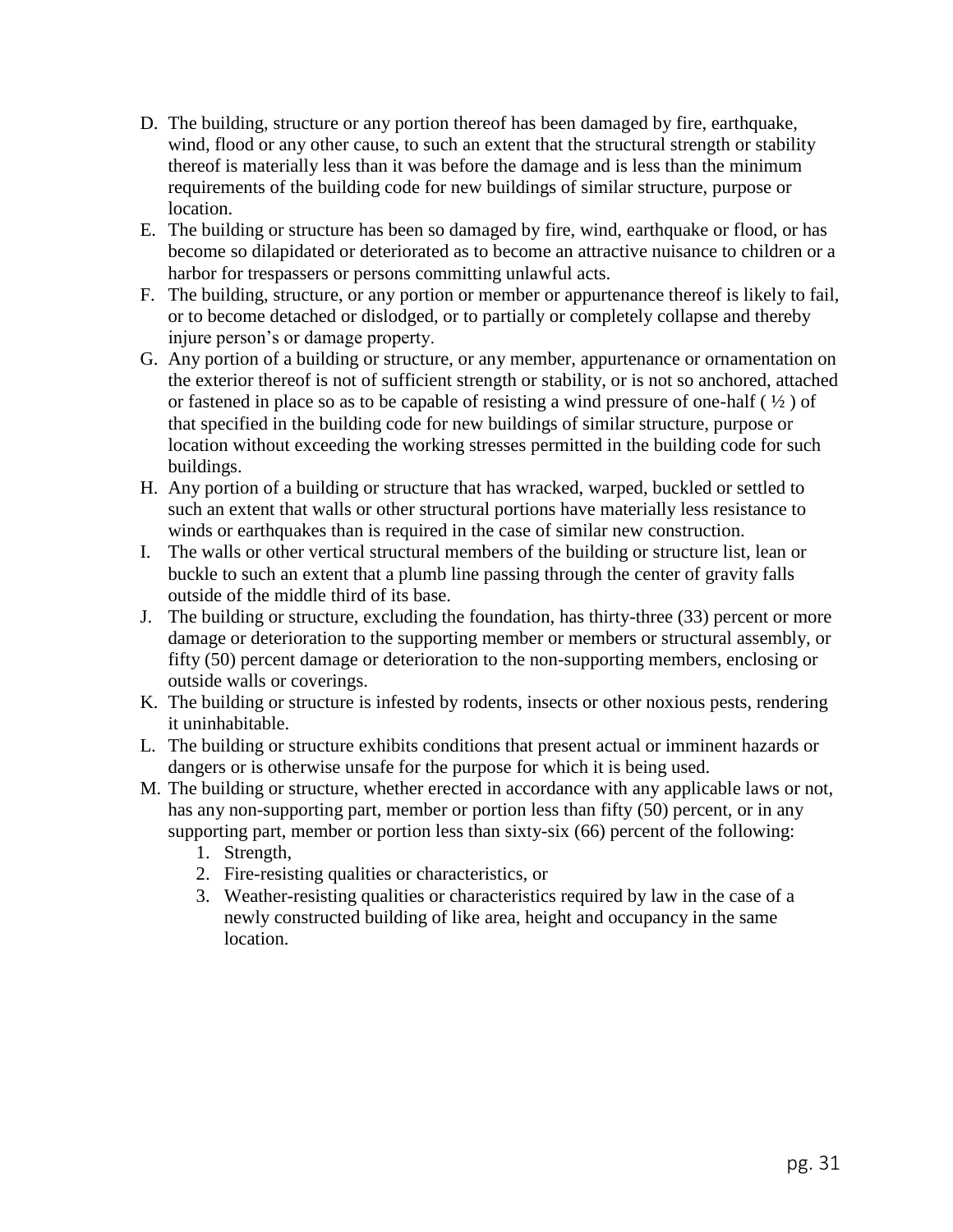- D. The building, structure or any portion thereof has been damaged by fire, earthquake, wind, flood or any other cause, to such an extent that the structural strength or stability thereof is materially less than it was before the damage and is less than the minimum requirements of the building code for new buildings of similar structure, purpose or location.
- E. The building or structure has been so damaged by fire, wind, earthquake or flood, or has become so dilapidated or deteriorated as to become an attractive nuisance to children or a harbor for trespassers or persons committing unlawful acts.
- F. The building, structure, or any portion or member or appurtenance thereof is likely to fail, or to become detached or dislodged, or to partially or completely collapse and thereby injure person's or damage property.
- G. Any portion of a building or structure, or any member, appurtenance or ornamentation on the exterior thereof is not of sufficient strength or stability, or is not so anchored, attached or fastened in place so as to be capable of resisting a wind pressure of one-half  $(1/2)$  of that specified in the building code for new buildings of similar structure, purpose or location without exceeding the working stresses permitted in the building code for such buildings.
- H. Any portion of a building or structure that has wracked, warped, buckled or settled to such an extent that walls or other structural portions have materially less resistance to winds or earthquakes than is required in the case of similar new construction.
- I. The walls or other vertical structural members of the building or structure list, lean or buckle to such an extent that a plumb line passing through the center of gravity falls outside of the middle third of its base.
- J. The building or structure, excluding the foundation, has thirty-three (33) percent or more damage or deterioration to the supporting member or members or structural assembly, or fifty (50) percent damage or deterioration to the non-supporting members, enclosing or outside walls or coverings.
- K. The building or structure is infested by rodents, insects or other noxious pests, rendering it uninhabitable.
- L. The building or structure exhibits conditions that present actual or imminent hazards or dangers or is otherwise unsafe for the purpose for which it is being used.
- M. The building or structure, whether erected in accordance with any applicable laws or not, has any non-supporting part, member or portion less than fifty (50) percent, or in any supporting part, member or portion less than sixty-six (66) percent of the following:
	- 1. Strength,
	- 2. Fire-resisting qualities or characteristics, or
	- 3. Weather-resisting qualities or characteristics required by law in the case of a newly constructed building of like area, height and occupancy in the same location.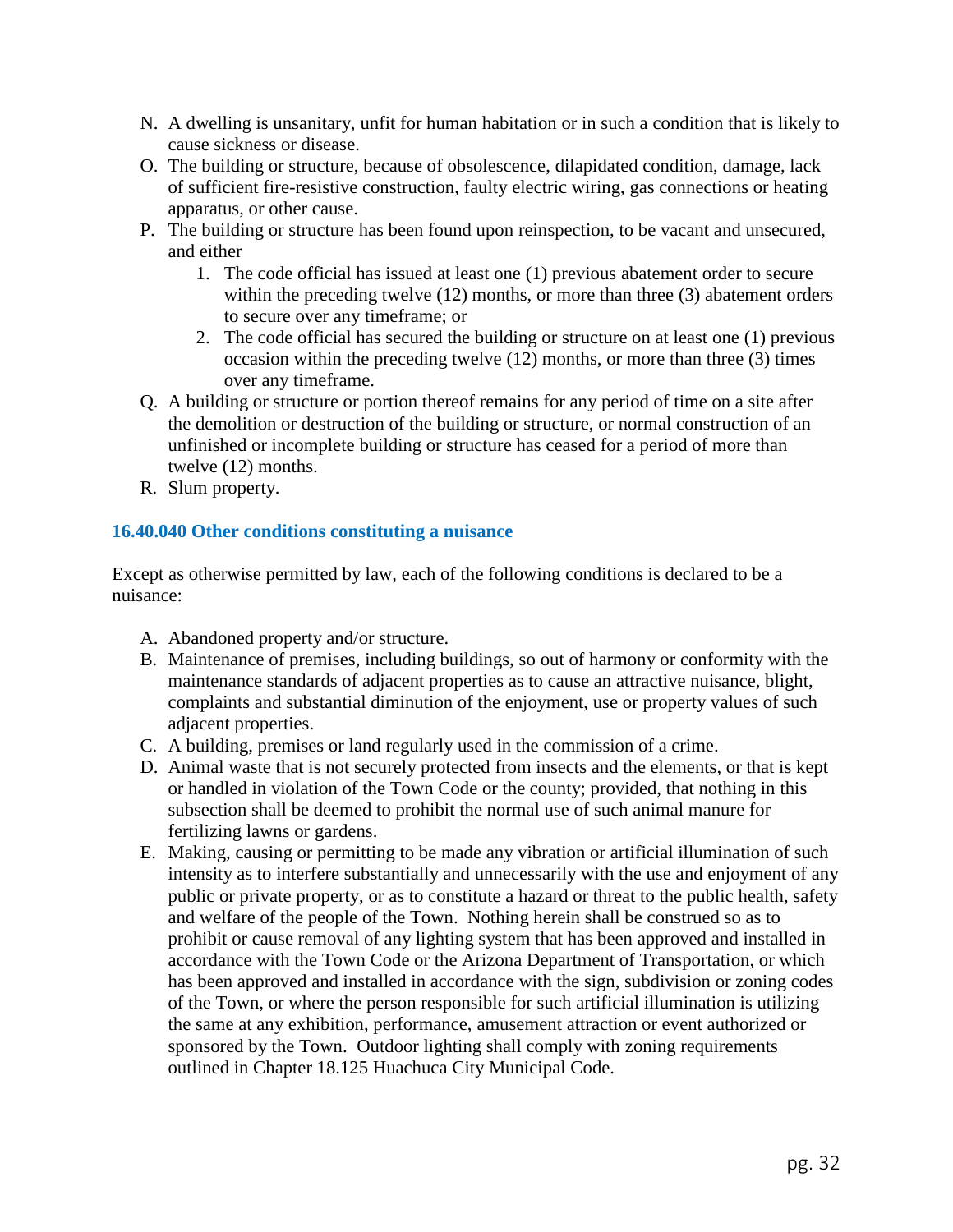- N. A dwelling is unsanitary, unfit for human habitation or in such a condition that is likely to cause sickness or disease.
- O. The building or structure, because of obsolescence, dilapidated condition, damage, lack of sufficient fire-resistive construction, faulty electric wiring, gas connections or heating apparatus, or other cause.
- P. The building or structure has been found upon reinspection, to be vacant and unsecured, and either
	- 1. The code official has issued at least one (1) previous abatement order to secure within the preceding twelve (12) months, or more than three (3) abatement orders to secure over any timeframe; or
	- 2. The code official has secured the building or structure on at least one (1) previous occasion within the preceding twelve (12) months, or more than three (3) times over any timeframe.
- Q. A building or structure or portion thereof remains for any period of time on a site after the demolition or destruction of the building or structure, or normal construction of an unfinished or incomplete building or structure has ceased for a period of more than twelve (12) months.
- R. Slum property.

## **16.40.040 Other conditions constituting a nuisance**

Except as otherwise permitted by law, each of the following conditions is declared to be a nuisance:

- A. Abandoned property and/or structure.
- B. Maintenance of premises, including buildings, so out of harmony or conformity with the maintenance standards of adjacent properties as to cause an attractive nuisance, blight, complaints and substantial diminution of the enjoyment, use or property values of such adjacent properties.
- C. A building, premises or land regularly used in the commission of a crime.
- D. Animal waste that is not securely protected from insects and the elements, or that is kept or handled in violation of the Town Code or the county; provided, that nothing in this subsection shall be deemed to prohibit the normal use of such animal manure for fertilizing lawns or gardens.
- E. Making, causing or permitting to be made any vibration or artificial illumination of such intensity as to interfere substantially and unnecessarily with the use and enjoyment of any public or private property, or as to constitute a hazard or threat to the public health, safety and welfare of the people of the Town. Nothing herein shall be construed so as to prohibit or cause removal of any lighting system that has been approved and installed in accordance with the Town Code or the Arizona Department of Transportation, or which has been approved and installed in accordance with the sign, subdivision or zoning codes of the Town, or where the person responsible for such artificial illumination is utilizing the same at any exhibition, performance, amusement attraction or event authorized or sponsored by the Town. Outdoor lighting shall comply with zoning requirements outlined in Chapter 18.125 Huachuca City Municipal Code.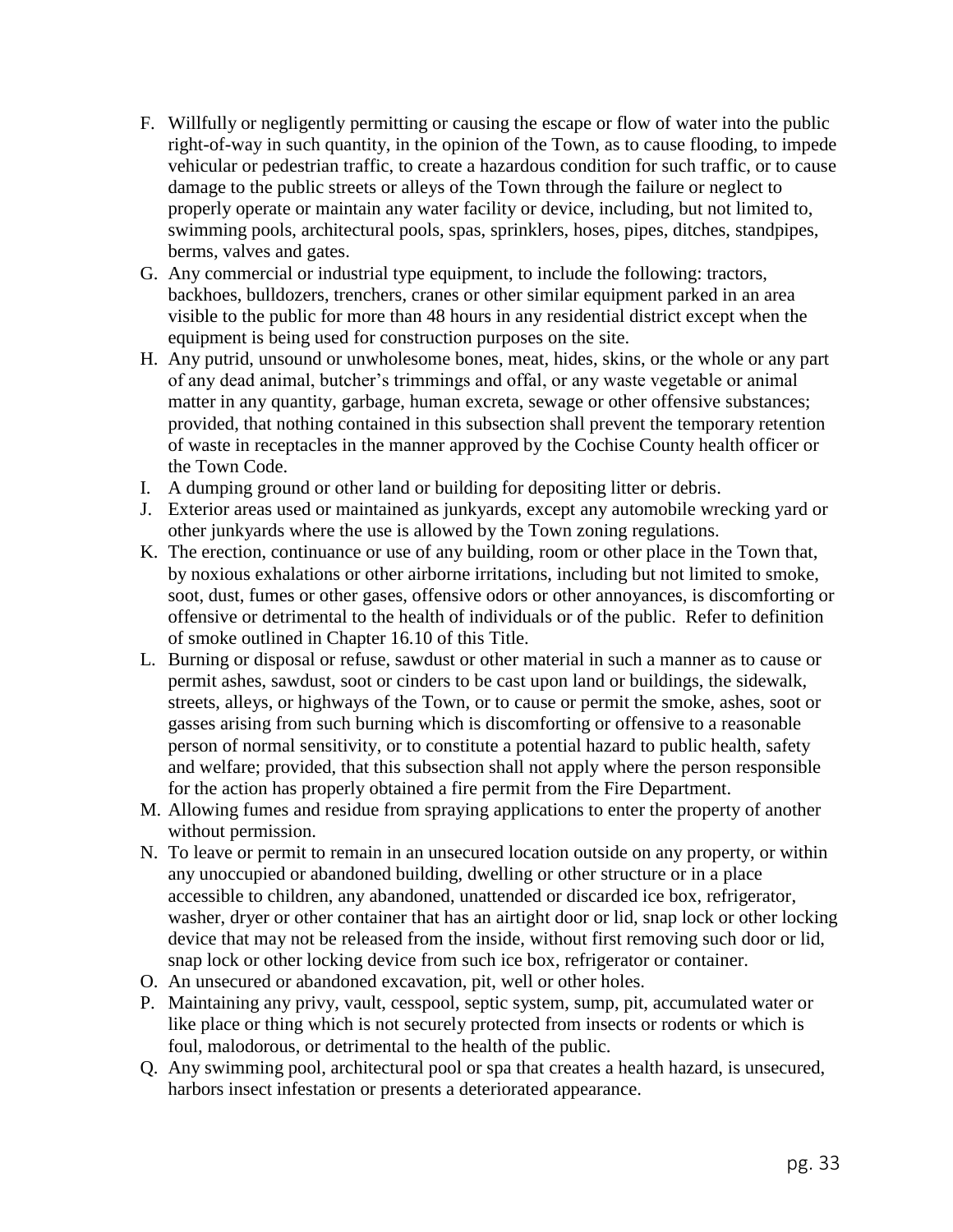- F. Willfully or negligently permitting or causing the escape or flow of water into the public right-of-way in such quantity, in the opinion of the Town, as to cause flooding, to impede vehicular or pedestrian traffic, to create a hazardous condition for such traffic, or to cause damage to the public streets or alleys of the Town through the failure or neglect to properly operate or maintain any water facility or device, including, but not limited to, swimming pools, architectural pools, spas, sprinklers, hoses, pipes, ditches, standpipes, berms, valves and gates.
- G. Any commercial or industrial type equipment, to include the following: tractors, backhoes, bulldozers, trenchers, cranes or other similar equipment parked in an area visible to the public for more than 48 hours in any residential district except when the equipment is being used for construction purposes on the site.
- H. Any putrid, unsound or unwholesome bones, meat, hides, skins, or the whole or any part of any dead animal, butcher's trimmings and offal, or any waste vegetable or animal matter in any quantity, garbage, human excreta, sewage or other offensive substances; provided, that nothing contained in this subsection shall prevent the temporary retention of waste in receptacles in the manner approved by the Cochise County health officer or the Town Code.
- I. A dumping ground or other land or building for depositing litter or debris.
- J. Exterior areas used or maintained as junkyards, except any automobile wrecking yard or other junkyards where the use is allowed by the Town zoning regulations.
- K. The erection, continuance or use of any building, room or other place in the Town that, by noxious exhalations or other airborne irritations, including but not limited to smoke, soot, dust, fumes or other gases, offensive odors or other annoyances, is discomforting or offensive or detrimental to the health of individuals or of the public. Refer to definition of smoke outlined in Chapter 16.10 of this Title.
- L. Burning or disposal or refuse, sawdust or other material in such a manner as to cause or permit ashes, sawdust, soot or cinders to be cast upon land or buildings, the sidewalk, streets, alleys, or highways of the Town, or to cause or permit the smoke, ashes, soot or gasses arising from such burning which is discomforting or offensive to a reasonable person of normal sensitivity, or to constitute a potential hazard to public health, safety and welfare; provided, that this subsection shall not apply where the person responsible for the action has properly obtained a fire permit from the Fire Department.
- M. Allowing fumes and residue from spraying applications to enter the property of another without permission.
- N. To leave or permit to remain in an unsecured location outside on any property, or within any unoccupied or abandoned building, dwelling or other structure or in a place accessible to children, any abandoned, unattended or discarded ice box, refrigerator, washer, dryer or other container that has an airtight door or lid, snap lock or other locking device that may not be released from the inside, without first removing such door or lid, snap lock or other locking device from such ice box, refrigerator or container.
- O. An unsecured or abandoned excavation, pit, well or other holes.
- P. Maintaining any privy, vault, cesspool, septic system, sump, pit, accumulated water or like place or thing which is not securely protected from insects or rodents or which is foul, malodorous, or detrimental to the health of the public.
- Q. Any swimming pool, architectural pool or spa that creates a health hazard, is unsecured, harbors insect infestation or presents a deteriorated appearance.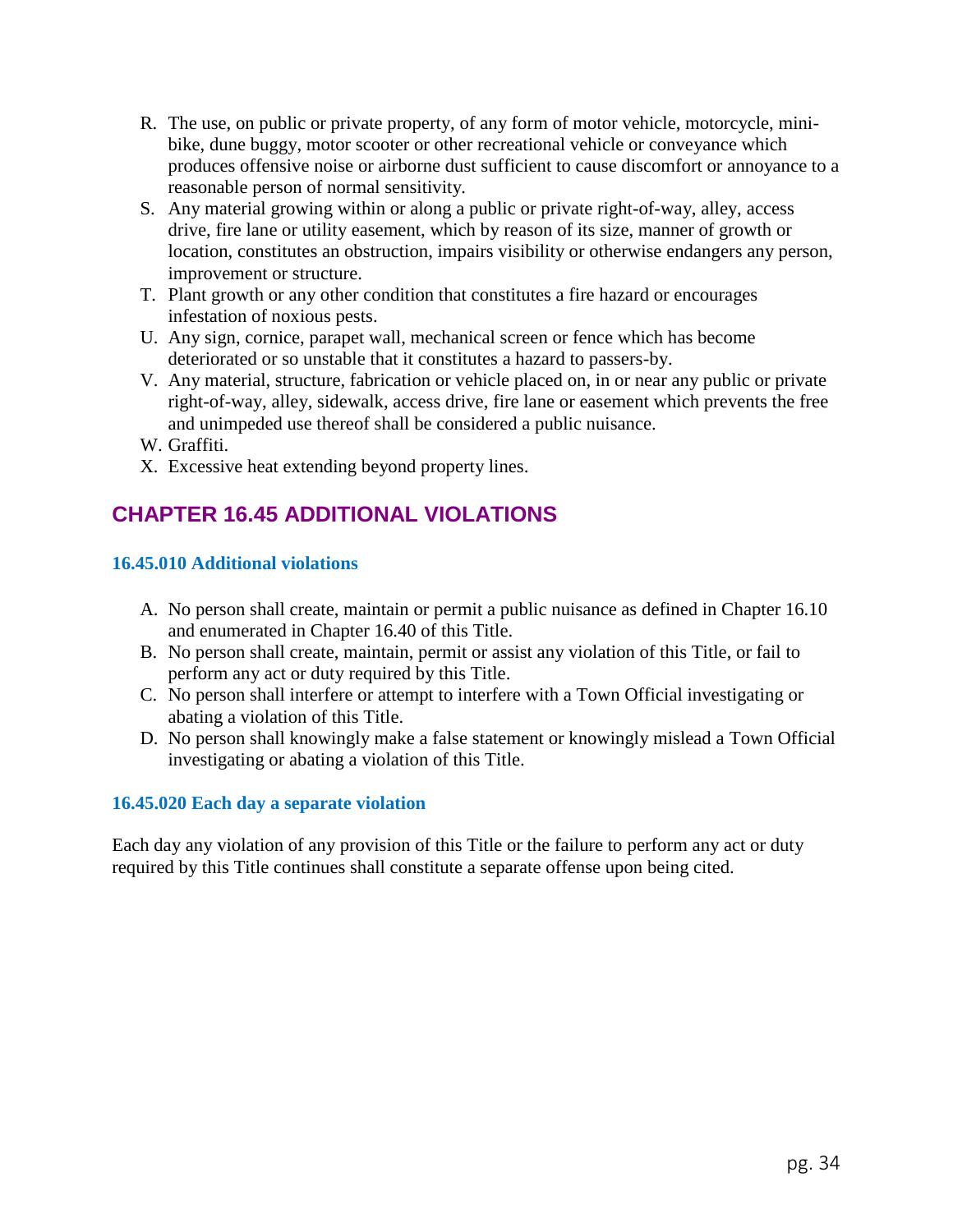- R. The use, on public or private property, of any form of motor vehicle, motorcycle, minibike, dune buggy, motor scooter or other recreational vehicle or conveyance which produces offensive noise or airborne dust sufficient to cause discomfort or annoyance to a reasonable person of normal sensitivity.
- S. Any material growing within or along a public or private right-of-way, alley, access drive, fire lane or utility easement, which by reason of its size, manner of growth or location, constitutes an obstruction, impairs visibility or otherwise endangers any person, improvement or structure.
- T. Plant growth or any other condition that constitutes a fire hazard or encourages infestation of noxious pests.
- U. Any sign, cornice, parapet wall, mechanical screen or fence which has become deteriorated or so unstable that it constitutes a hazard to passers-by.
- V. Any material, structure, fabrication or vehicle placed on, in or near any public or private right-of-way, alley, sidewalk, access drive, fire lane or easement which prevents the free and unimpeded use thereof shall be considered a public nuisance.
- W. Graffiti.
- X. Excessive heat extending beyond property lines.

# **CHAPTER 16.45 ADDITIONAL VIOLATIONS**

## **16.45.010 Additional violations**

- A. No person shall create, maintain or permit a public nuisance as defined in Chapter 16.10 and enumerated in Chapter 16.40 of this Title.
- B. No person shall create, maintain, permit or assist any violation of this Title, or fail to perform any act or duty required by this Title.
- C. No person shall interfere or attempt to interfere with a Town Official investigating or abating a violation of this Title.
- D. No person shall knowingly make a false statement or knowingly mislead a Town Official investigating or abating a violation of this Title.

## **16.45.020 Each day a separate violation**

Each day any violation of any provision of this Title or the failure to perform any act or duty required by this Title continues shall constitute a separate offense upon being cited.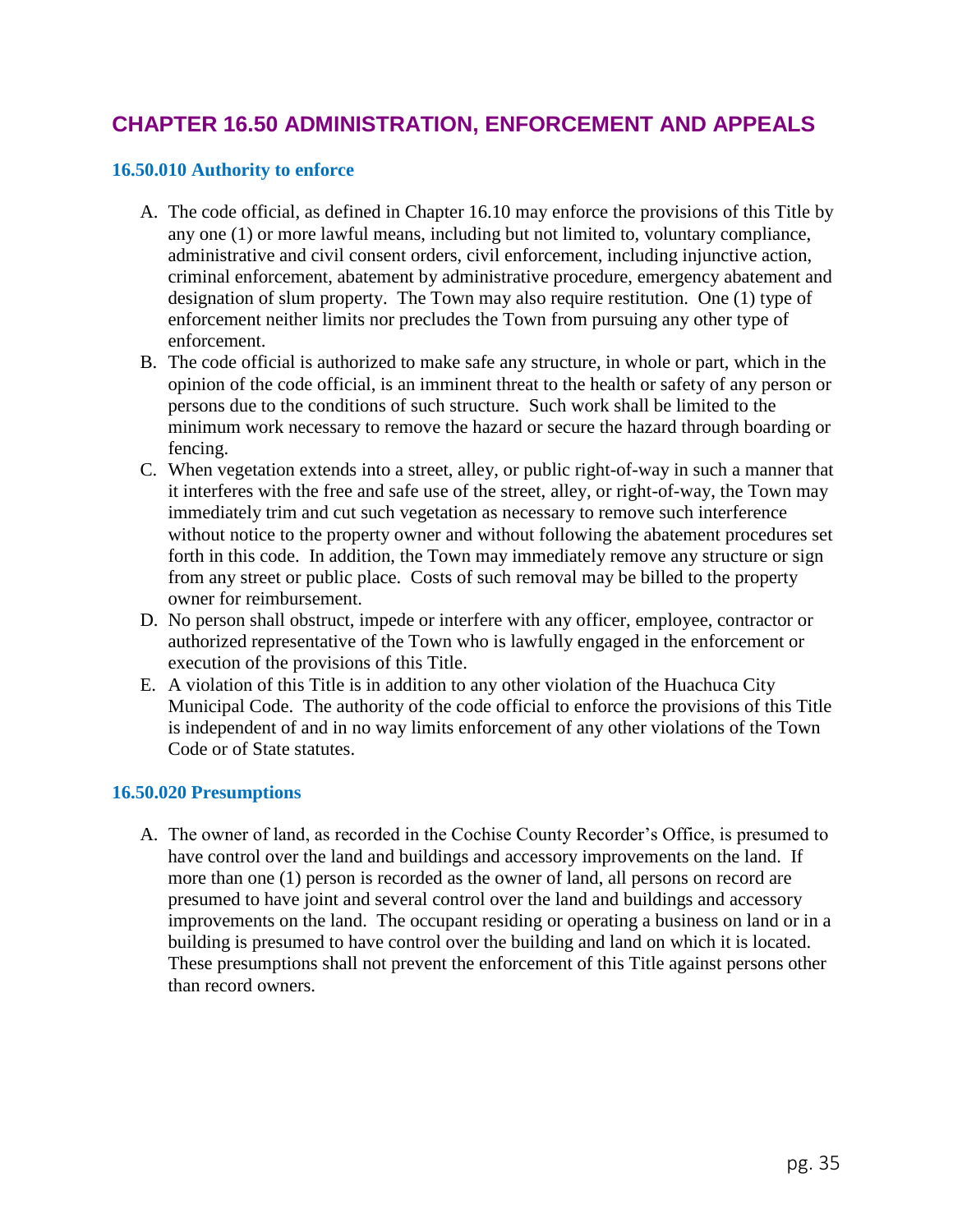## **CHAPTER 16.50 ADMINISTRATION, ENFORCEMENT AND APPEALS**

## **16.50.010 Authority to enforce**

- A. The code official, as defined in Chapter 16.10 may enforce the provisions of this Title by any one (1) or more lawful means, including but not limited to, voluntary compliance, administrative and civil consent orders, civil enforcement, including injunctive action, criminal enforcement, abatement by administrative procedure, emergency abatement and designation of slum property. The Town may also require restitution. One (1) type of enforcement neither limits nor precludes the Town from pursuing any other type of enforcement.
- B. The code official is authorized to make safe any structure, in whole or part, which in the opinion of the code official, is an imminent threat to the health or safety of any person or persons due to the conditions of such structure. Such work shall be limited to the minimum work necessary to remove the hazard or secure the hazard through boarding or fencing.
- C. When vegetation extends into a street, alley, or public right-of-way in such a manner that it interferes with the free and safe use of the street, alley, or right-of-way, the Town may immediately trim and cut such vegetation as necessary to remove such interference without notice to the property owner and without following the abatement procedures set forth in this code. In addition, the Town may immediately remove any structure or sign from any street or public place. Costs of such removal may be billed to the property owner for reimbursement.
- D. No person shall obstruct, impede or interfere with any officer, employee, contractor or authorized representative of the Town who is lawfully engaged in the enforcement or execution of the provisions of this Title.
- E. A violation of this Title is in addition to any other violation of the Huachuca City Municipal Code. The authority of the code official to enforce the provisions of this Title is independent of and in no way limits enforcement of any other violations of the Town Code or of State statutes.

## **16.50.020 Presumptions**

A. The owner of land, as recorded in the Cochise County Recorder's Office, is presumed to have control over the land and buildings and accessory improvements on the land. If more than one (1) person is recorded as the owner of land, all persons on record are presumed to have joint and several control over the land and buildings and accessory improvements on the land. The occupant residing or operating a business on land or in a building is presumed to have control over the building and land on which it is located. These presumptions shall not prevent the enforcement of this Title against persons other than record owners.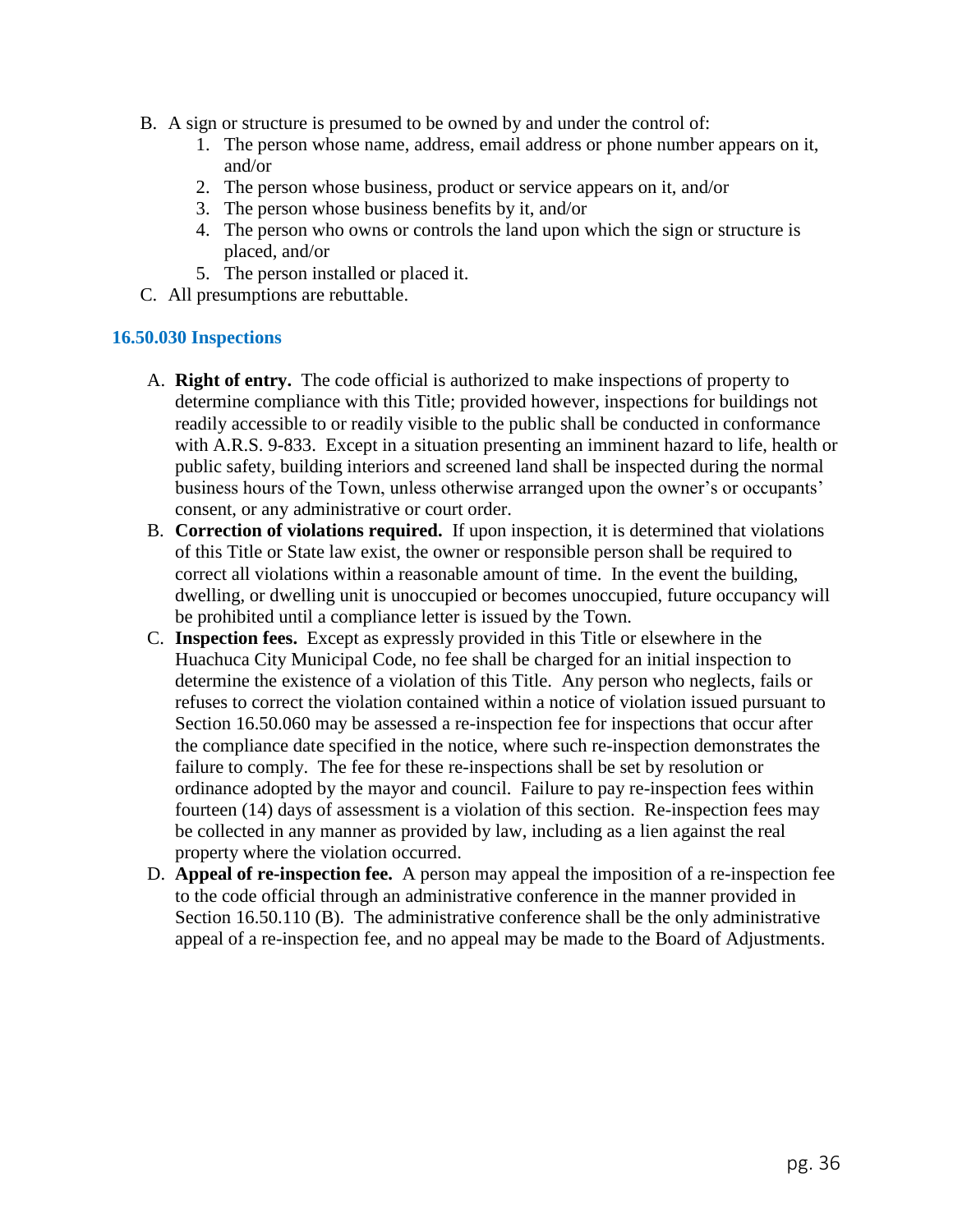- B. A sign or structure is presumed to be owned by and under the control of:
	- 1. The person whose name, address, email address or phone number appears on it, and/or
	- 2. The person whose business, product or service appears on it, and/or
	- 3. The person whose business benefits by it, and/or
	- 4. The person who owns or controls the land upon which the sign or structure is placed, and/or
	- 5. The person installed or placed it.
- C. All presumptions are rebuttable.

## **16.50.030 Inspections**

- A. **Right of entry.** The code official is authorized to make inspections of property to determine compliance with this Title; provided however, inspections for buildings not readily accessible to or readily visible to the public shall be conducted in conformance with A.R.S. 9-833. Except in a situation presenting an imminent hazard to life, health or public safety, building interiors and screened land shall be inspected during the normal business hours of the Town, unless otherwise arranged upon the owner's or occupants' consent, or any administrative or court order.
- B. **Correction of violations required.** If upon inspection, it is determined that violations of this Title or State law exist, the owner or responsible person shall be required to correct all violations within a reasonable amount of time. In the event the building, dwelling, or dwelling unit is unoccupied or becomes unoccupied, future occupancy will be prohibited until a compliance letter is issued by the Town.
- C. **Inspection fees.** Except as expressly provided in this Title or elsewhere in the Huachuca City Municipal Code, no fee shall be charged for an initial inspection to determine the existence of a violation of this Title. Any person who neglects, fails or refuses to correct the violation contained within a notice of violation issued pursuant to Section 16.50.060 may be assessed a re-inspection fee for inspections that occur after the compliance date specified in the notice, where such re-inspection demonstrates the failure to comply. The fee for these re-inspections shall be set by resolution or ordinance adopted by the mayor and council. Failure to pay re-inspection fees within fourteen (14) days of assessment is a violation of this section. Re-inspection fees may be collected in any manner as provided by law, including as a lien against the real property where the violation occurred.
- D. **Appeal of re-inspection fee.** A person may appeal the imposition of a re-inspection fee to the code official through an administrative conference in the manner provided in Section 16.50.110 (B). The administrative conference shall be the only administrative appeal of a re-inspection fee, and no appeal may be made to the Board of Adjustments.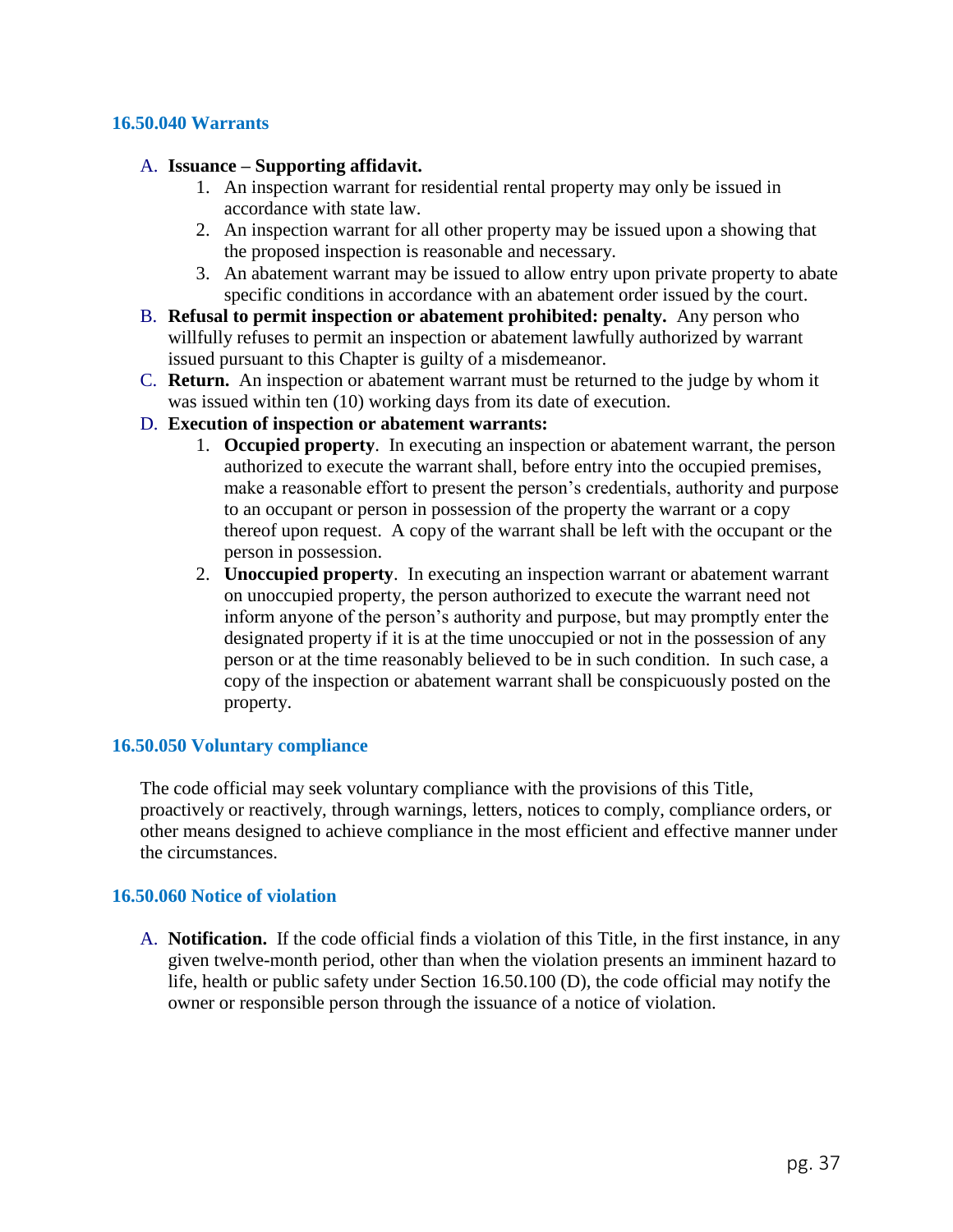#### **16.50.040 Warrants**

#### A. **Issuance – Supporting affidavit.**

- 1. An inspection warrant for residential rental property may only be issued in accordance with state law.
- 2. An inspection warrant for all other property may be issued upon a showing that the proposed inspection is reasonable and necessary.
- 3. An abatement warrant may be issued to allow entry upon private property to abate specific conditions in accordance with an abatement order issued by the court.
- B. **Refusal to permit inspection or abatement prohibited: penalty.** Any person who willfully refuses to permit an inspection or abatement lawfully authorized by warrant issued pursuant to this Chapter is guilty of a misdemeanor.
- C. **Return.** An inspection or abatement warrant must be returned to the judge by whom it was issued within ten (10) working days from its date of execution.

#### D. **Execution of inspection or abatement warrants:**

- 1. **Occupied property**. In executing an inspection or abatement warrant, the person authorized to execute the warrant shall, before entry into the occupied premises, make a reasonable effort to present the person's credentials, authority and purpose to an occupant or person in possession of the property the warrant or a copy thereof upon request. A copy of the warrant shall be left with the occupant or the person in possession.
- 2. **Unoccupied property**. In executing an inspection warrant or abatement warrant on unoccupied property, the person authorized to execute the warrant need not inform anyone of the person's authority and purpose, but may promptly enter the designated property if it is at the time unoccupied or not in the possession of any person or at the time reasonably believed to be in such condition. In such case, a copy of the inspection or abatement warrant shall be conspicuously posted on the property.

#### **16.50.050 Voluntary compliance**

The code official may seek voluntary compliance with the provisions of this Title, proactively or reactively, through warnings, letters, notices to comply, compliance orders, or other means designed to achieve compliance in the most efficient and effective manner under the circumstances.

### **16.50.060 Notice of violation**

A. **Notification.** If the code official finds a violation of this Title, in the first instance, in any given twelve-month period, other than when the violation presents an imminent hazard to life, health or public safety under Section 16.50.100 (D), the code official may notify the owner or responsible person through the issuance of a notice of violation.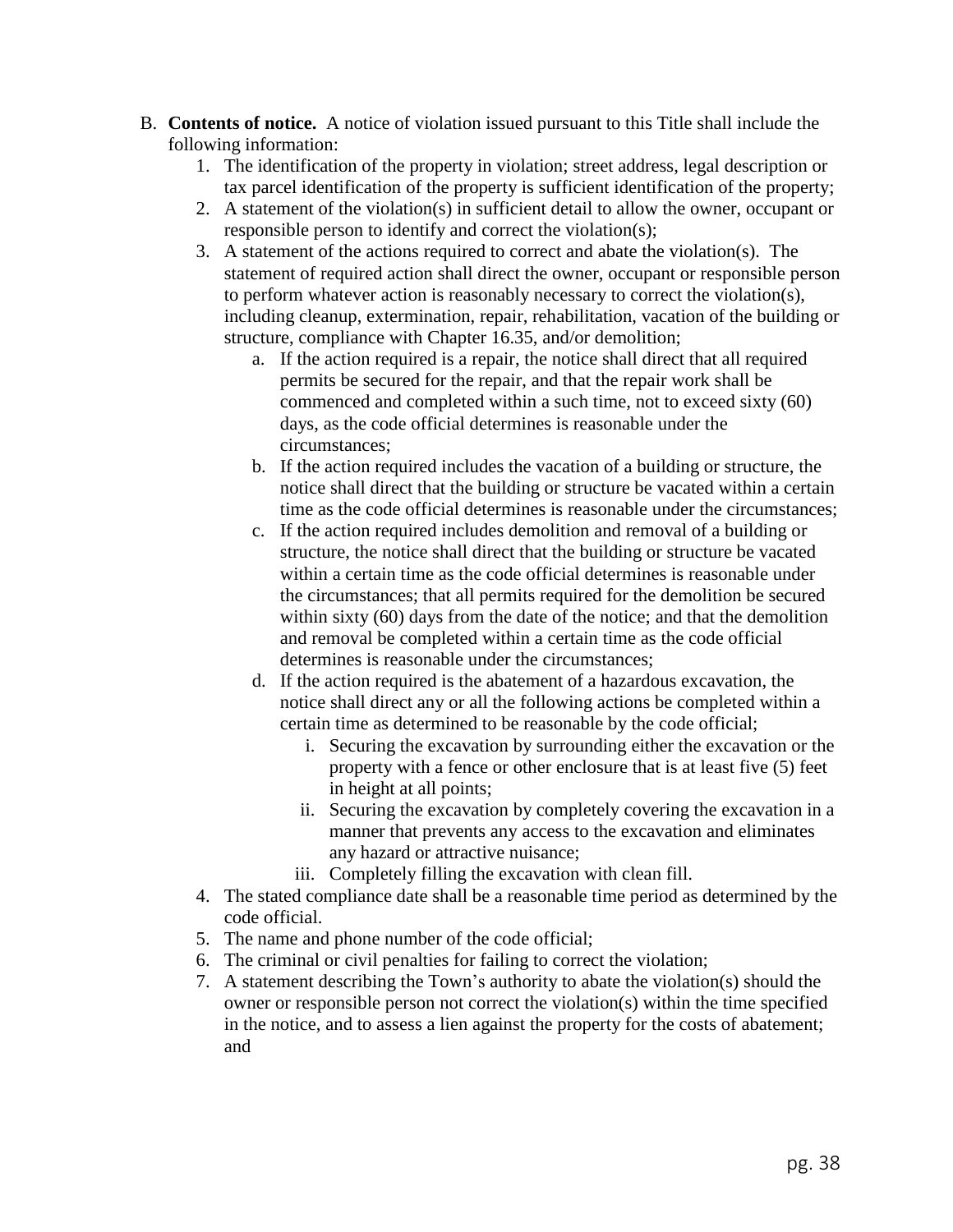- B. **Contents of notice.** A notice of violation issued pursuant to this Title shall include the following information:
	- 1. The identification of the property in violation; street address, legal description or tax parcel identification of the property is sufficient identification of the property;
	- 2. A statement of the violation(s) in sufficient detail to allow the owner, occupant or responsible person to identify and correct the violation(s);
	- 3. A statement of the actions required to correct and abate the violation(s). The statement of required action shall direct the owner, occupant or responsible person to perform whatever action is reasonably necessary to correct the violation(s), including cleanup, extermination, repair, rehabilitation, vacation of the building or structure, compliance with Chapter 16.35, and/or demolition;
		- a. If the action required is a repair, the notice shall direct that all required permits be secured for the repair, and that the repair work shall be commenced and completed within a such time, not to exceed sixty (60) days, as the code official determines is reasonable under the circumstances;
		- b. If the action required includes the vacation of a building or structure, the notice shall direct that the building or structure be vacated within a certain time as the code official determines is reasonable under the circumstances;
		- c. If the action required includes demolition and removal of a building or structure, the notice shall direct that the building or structure be vacated within a certain time as the code official determines is reasonable under the circumstances; that all permits required for the demolition be secured within sixty (60) days from the date of the notice; and that the demolition and removal be completed within a certain time as the code official determines is reasonable under the circumstances;
		- d. If the action required is the abatement of a hazardous excavation, the notice shall direct any or all the following actions be completed within a certain time as determined to be reasonable by the code official;
			- i. Securing the excavation by surrounding either the excavation or the property with a fence or other enclosure that is at least five (5) feet in height at all points;
			- ii. Securing the excavation by completely covering the excavation in a manner that prevents any access to the excavation and eliminates any hazard or attractive nuisance;
			- iii. Completely filling the excavation with clean fill.
	- 4. The stated compliance date shall be a reasonable time period as determined by the code official.
	- 5. The name and phone number of the code official;
	- 6. The criminal or civil penalties for failing to correct the violation;
	- 7. A statement describing the Town's authority to abate the violation(s) should the owner or responsible person not correct the violation(s) within the time specified in the notice, and to assess a lien against the property for the costs of abatement; and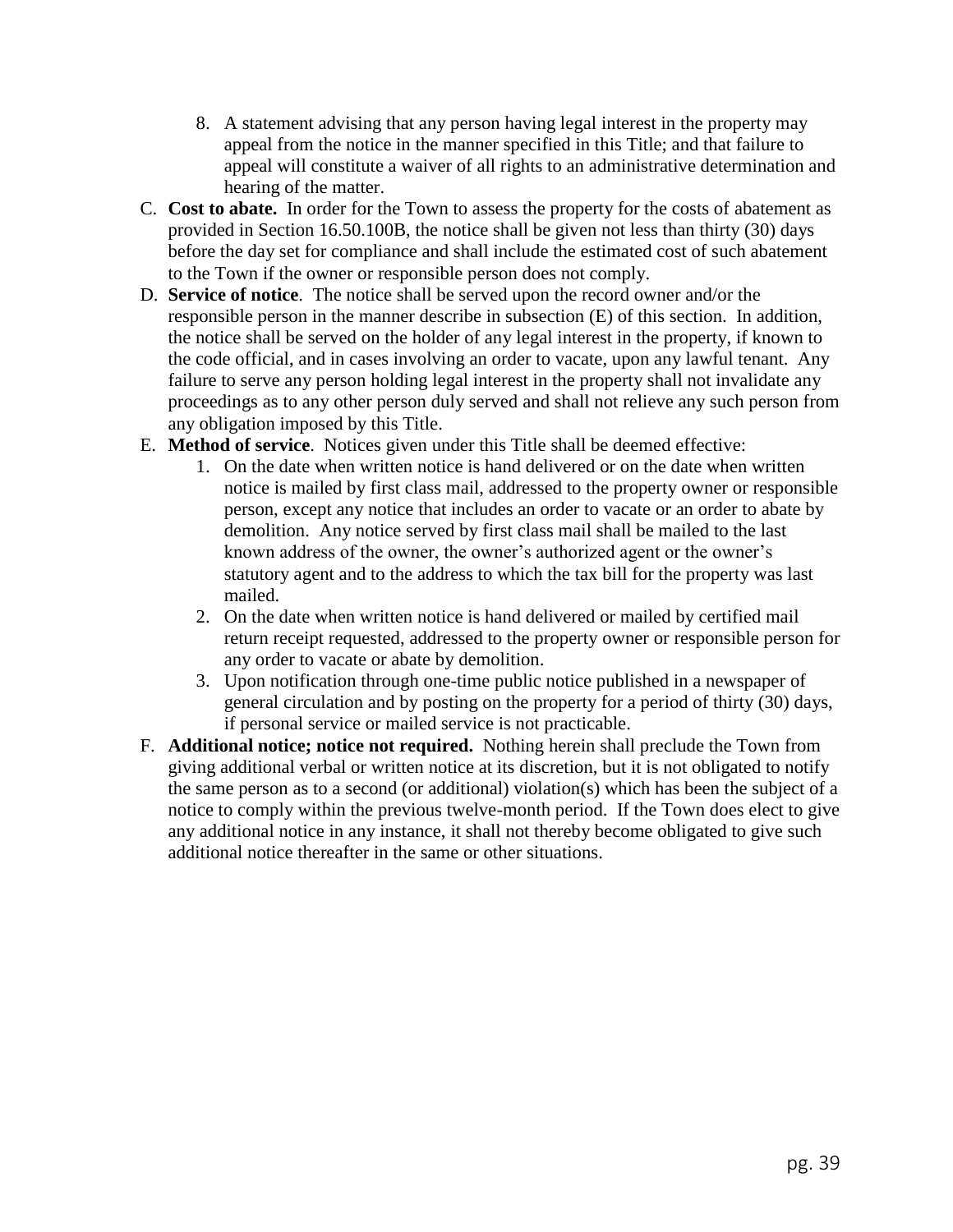- 8. A statement advising that any person having legal interest in the property may appeal from the notice in the manner specified in this Title; and that failure to appeal will constitute a waiver of all rights to an administrative determination and hearing of the matter.
- C. **Cost to abate.** In order for the Town to assess the property for the costs of abatement as provided in Section 16.50.100B, the notice shall be given not less than thirty (30) days before the day set for compliance and shall include the estimated cost of such abatement to the Town if the owner or responsible person does not comply.
- D. **Service of notice**. The notice shall be served upon the record owner and/or the responsible person in the manner describe in subsection (E) of this section. In addition, the notice shall be served on the holder of any legal interest in the property, if known to the code official, and in cases involving an order to vacate, upon any lawful tenant. Any failure to serve any person holding legal interest in the property shall not invalidate any proceedings as to any other person duly served and shall not relieve any such person from any obligation imposed by this Title.
- E. **Method of service**. Notices given under this Title shall be deemed effective:
	- 1. On the date when written notice is hand delivered or on the date when written notice is mailed by first class mail, addressed to the property owner or responsible person, except any notice that includes an order to vacate or an order to abate by demolition. Any notice served by first class mail shall be mailed to the last known address of the owner, the owner's authorized agent or the owner's statutory agent and to the address to which the tax bill for the property was last mailed.
	- 2. On the date when written notice is hand delivered or mailed by certified mail return receipt requested, addressed to the property owner or responsible person for any order to vacate or abate by demolition.
	- 3. Upon notification through one-time public notice published in a newspaper of general circulation and by posting on the property for a period of thirty (30) days, if personal service or mailed service is not practicable.
- F. **Additional notice; notice not required.** Nothing herein shall preclude the Town from giving additional verbal or written notice at its discretion, but it is not obligated to notify the same person as to a second (or additional) violation(s) which has been the subject of a notice to comply within the previous twelve-month period. If the Town does elect to give any additional notice in any instance, it shall not thereby become obligated to give such additional notice thereafter in the same or other situations.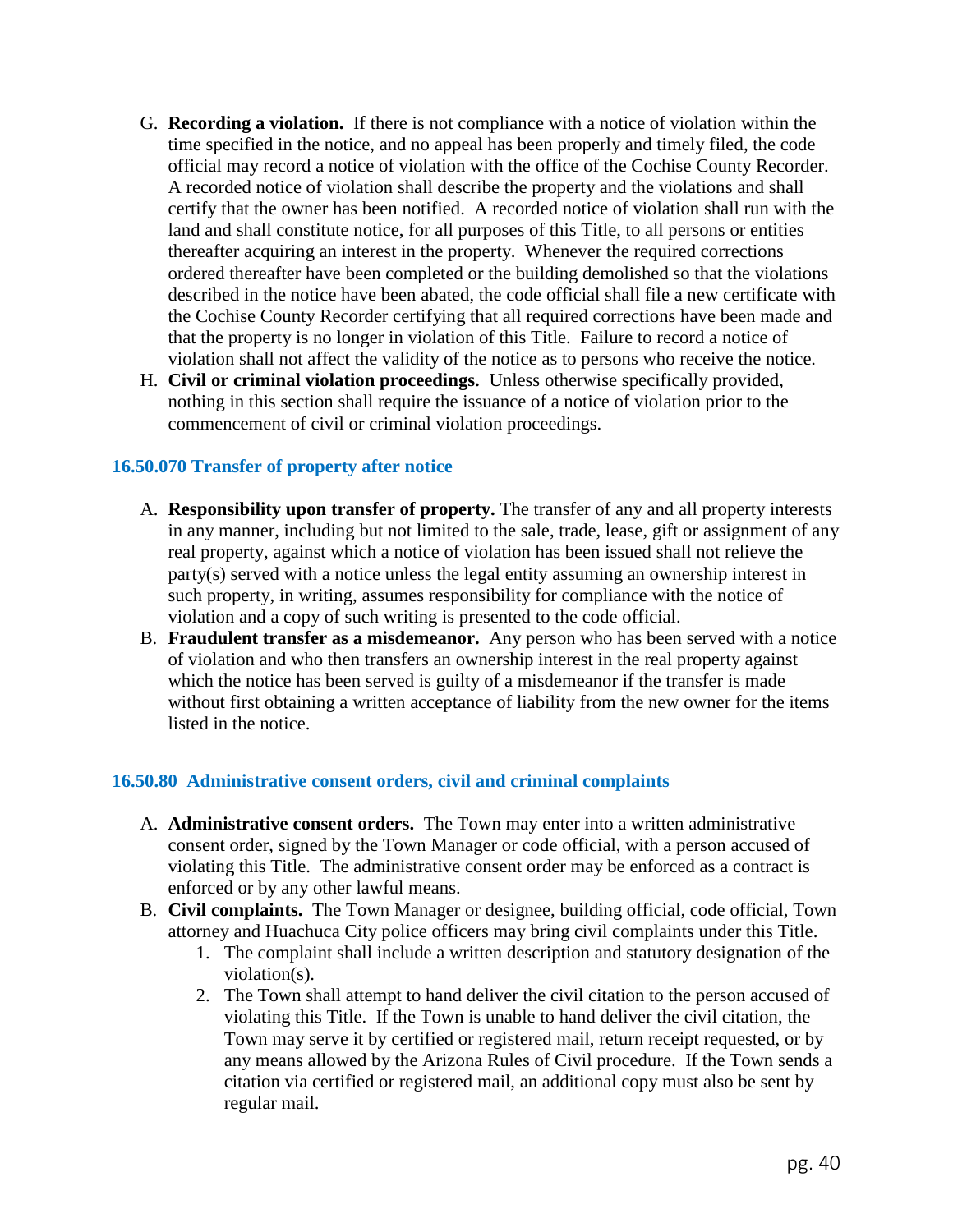- G. **Recording a violation.** If there is not compliance with a notice of violation within the time specified in the notice, and no appeal has been properly and timely filed, the code official may record a notice of violation with the office of the Cochise County Recorder. A recorded notice of violation shall describe the property and the violations and shall certify that the owner has been notified. A recorded notice of violation shall run with the land and shall constitute notice, for all purposes of this Title, to all persons or entities thereafter acquiring an interest in the property. Whenever the required corrections ordered thereafter have been completed or the building demolished so that the violations described in the notice have been abated, the code official shall file a new certificate with the Cochise County Recorder certifying that all required corrections have been made and that the property is no longer in violation of this Title. Failure to record a notice of violation shall not affect the validity of the notice as to persons who receive the notice.
- H. **Civil or criminal violation proceedings.** Unless otherwise specifically provided, nothing in this section shall require the issuance of a notice of violation prior to the commencement of civil or criminal violation proceedings.

## **16.50.070 Transfer of property after notice**

- A. **Responsibility upon transfer of property.** The transfer of any and all property interests in any manner, including but not limited to the sale, trade, lease, gift or assignment of any real property, against which a notice of violation has been issued shall not relieve the party(s) served with a notice unless the legal entity assuming an ownership interest in such property, in writing, assumes responsibility for compliance with the notice of violation and a copy of such writing is presented to the code official.
- B. **Fraudulent transfer as a misdemeanor.** Any person who has been served with a notice of violation and who then transfers an ownership interest in the real property against which the notice has been served is guilty of a misdemeanor if the transfer is made without first obtaining a written acceptance of liability from the new owner for the items listed in the notice.

## **16.50.80 Administrative consent orders, civil and criminal complaints**

- A. **Administrative consent orders.** The Town may enter into a written administrative consent order, signed by the Town Manager or code official, with a person accused of violating this Title. The administrative consent order may be enforced as a contract is enforced or by any other lawful means.
- B. **Civil complaints.** The Town Manager or designee, building official, code official, Town attorney and Huachuca City police officers may bring civil complaints under this Title.
	- 1. The complaint shall include a written description and statutory designation of the violation(s).
	- 2. The Town shall attempt to hand deliver the civil citation to the person accused of violating this Title. If the Town is unable to hand deliver the civil citation, the Town may serve it by certified or registered mail, return receipt requested, or by any means allowed by the Arizona Rules of Civil procedure. If the Town sends a citation via certified or registered mail, an additional copy must also be sent by regular mail.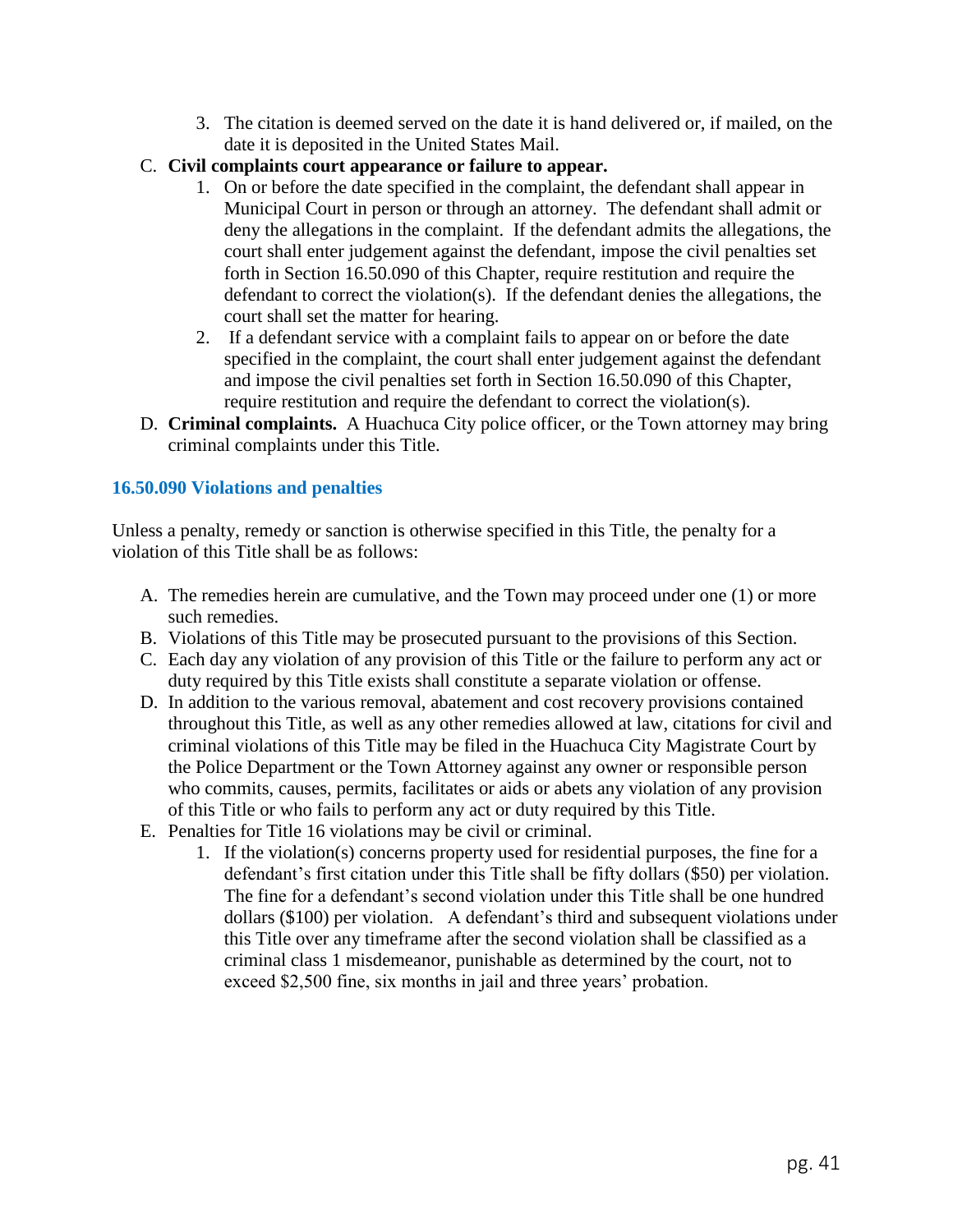- 3. The citation is deemed served on the date it is hand delivered or, if mailed, on the date it is deposited in the United States Mail.
- C. **Civil complaints court appearance or failure to appear.**
	- 1. On or before the date specified in the complaint, the defendant shall appear in Municipal Court in person or through an attorney. The defendant shall admit or deny the allegations in the complaint. If the defendant admits the allegations, the court shall enter judgement against the defendant, impose the civil penalties set forth in Section 16.50.090 of this Chapter, require restitution and require the defendant to correct the violation(s). If the defendant denies the allegations, the court shall set the matter for hearing.
	- 2. If a defendant service with a complaint fails to appear on or before the date specified in the complaint, the court shall enter judgement against the defendant and impose the civil penalties set forth in Section 16.50.090 of this Chapter, require restitution and require the defendant to correct the violation(s).
- D. **Criminal complaints.** A Huachuca City police officer, or the Town attorney may bring criminal complaints under this Title.

## **16.50.090 Violations and penalties**

Unless a penalty, remedy or sanction is otherwise specified in this Title, the penalty for a violation of this Title shall be as follows:

- A. The remedies herein are cumulative, and the Town may proceed under one (1) or more such remedies.
- B. Violations of this Title may be prosecuted pursuant to the provisions of this Section.
- C. Each day any violation of any provision of this Title or the failure to perform any act or duty required by this Title exists shall constitute a separate violation or offense.
- D. In addition to the various removal, abatement and cost recovery provisions contained throughout this Title, as well as any other remedies allowed at law, citations for civil and criminal violations of this Title may be filed in the Huachuca City Magistrate Court by the Police Department or the Town Attorney against any owner or responsible person who commits, causes, permits, facilitates or aids or abets any violation of any provision of this Title or who fails to perform any act or duty required by this Title.
- E. Penalties for Title 16 violations may be civil or criminal.
	- 1. If the violation(s) concerns property used for residential purposes, the fine for a defendant's first citation under this Title shall be fifty dollars (\$50) per violation. The fine for a defendant's second violation under this Title shall be one hundred dollars (\$100) per violation. A defendant's third and subsequent violations under this Title over any timeframe after the second violation shall be classified as a criminal class 1 misdemeanor, punishable as determined by the court, not to exceed \$2,500 fine, six months in jail and three years' probation.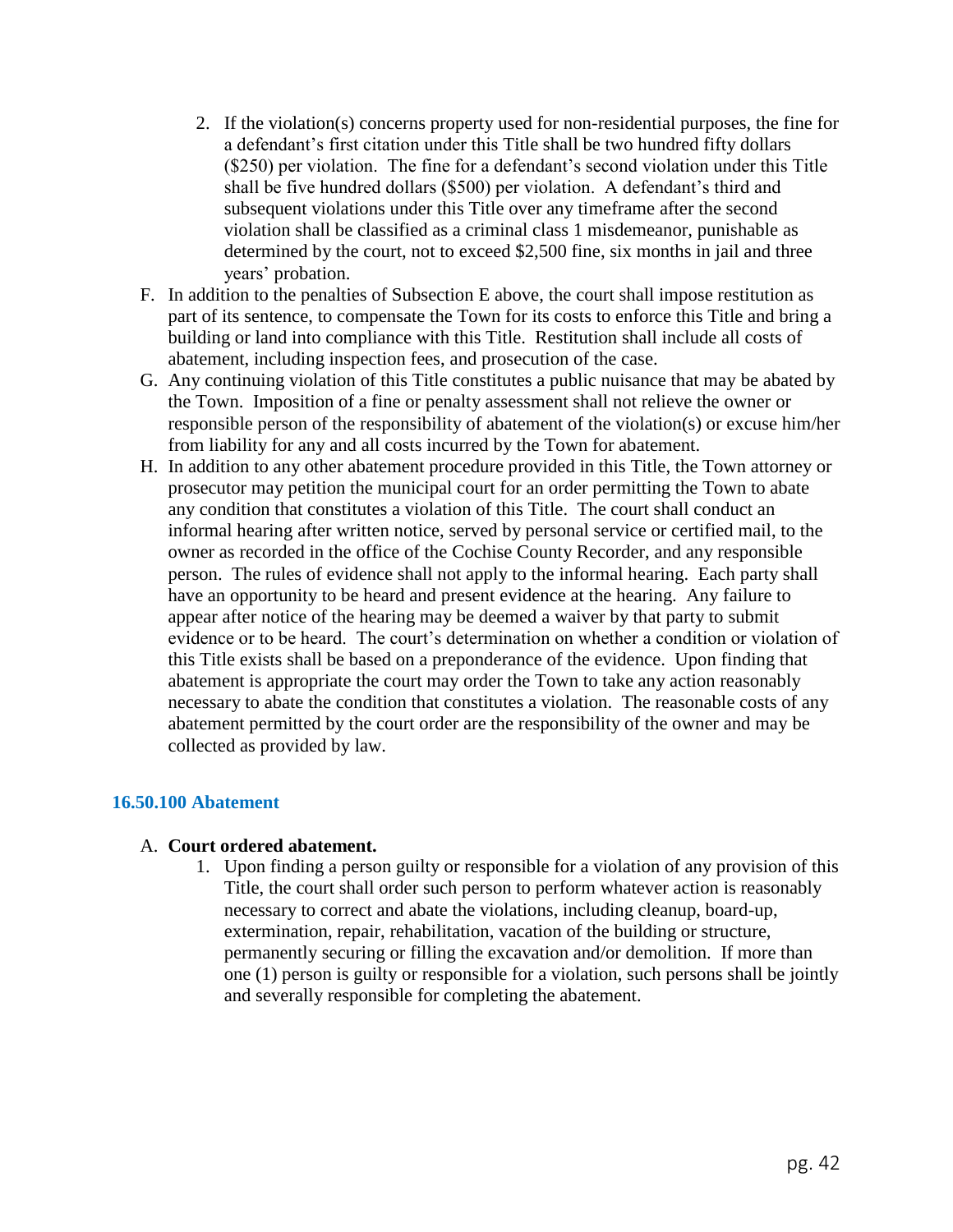- 2. If the violation(s) concerns property used for non-residential purposes, the fine for a defendant's first citation under this Title shall be two hundred fifty dollars (\$250) per violation. The fine for a defendant's second violation under this Title shall be five hundred dollars (\$500) per violation. A defendant's third and subsequent violations under this Title over any timeframe after the second violation shall be classified as a criminal class 1 misdemeanor, punishable as determined by the court, not to exceed \$2,500 fine, six months in jail and three years' probation.
- F. In addition to the penalties of Subsection E above, the court shall impose restitution as part of its sentence, to compensate the Town for its costs to enforce this Title and bring a building or land into compliance with this Title. Restitution shall include all costs of abatement, including inspection fees, and prosecution of the case.
- G. Any continuing violation of this Title constitutes a public nuisance that may be abated by the Town. Imposition of a fine or penalty assessment shall not relieve the owner or responsible person of the responsibility of abatement of the violation(s) or excuse him/her from liability for any and all costs incurred by the Town for abatement.
- H. In addition to any other abatement procedure provided in this Title, the Town attorney or prosecutor may petition the municipal court for an order permitting the Town to abate any condition that constitutes a violation of this Title. The court shall conduct an informal hearing after written notice, served by personal service or certified mail, to the owner as recorded in the office of the Cochise County Recorder, and any responsible person. The rules of evidence shall not apply to the informal hearing. Each party shall have an opportunity to be heard and present evidence at the hearing. Any failure to appear after notice of the hearing may be deemed a waiver by that party to submit evidence or to be heard. The court's determination on whether a condition or violation of this Title exists shall be based on a preponderance of the evidence. Upon finding that abatement is appropriate the court may order the Town to take any action reasonably necessary to abate the condition that constitutes a violation. The reasonable costs of any abatement permitted by the court order are the responsibility of the owner and may be collected as provided by law.

### **16.50.100 Abatement**

### A. **Court ordered abatement.**

1. Upon finding a person guilty or responsible for a violation of any provision of this Title, the court shall order such person to perform whatever action is reasonably necessary to correct and abate the violations, including cleanup, board-up, extermination, repair, rehabilitation, vacation of the building or structure, permanently securing or filling the excavation and/or demolition. If more than one (1) person is guilty or responsible for a violation, such persons shall be jointly and severally responsible for completing the abatement.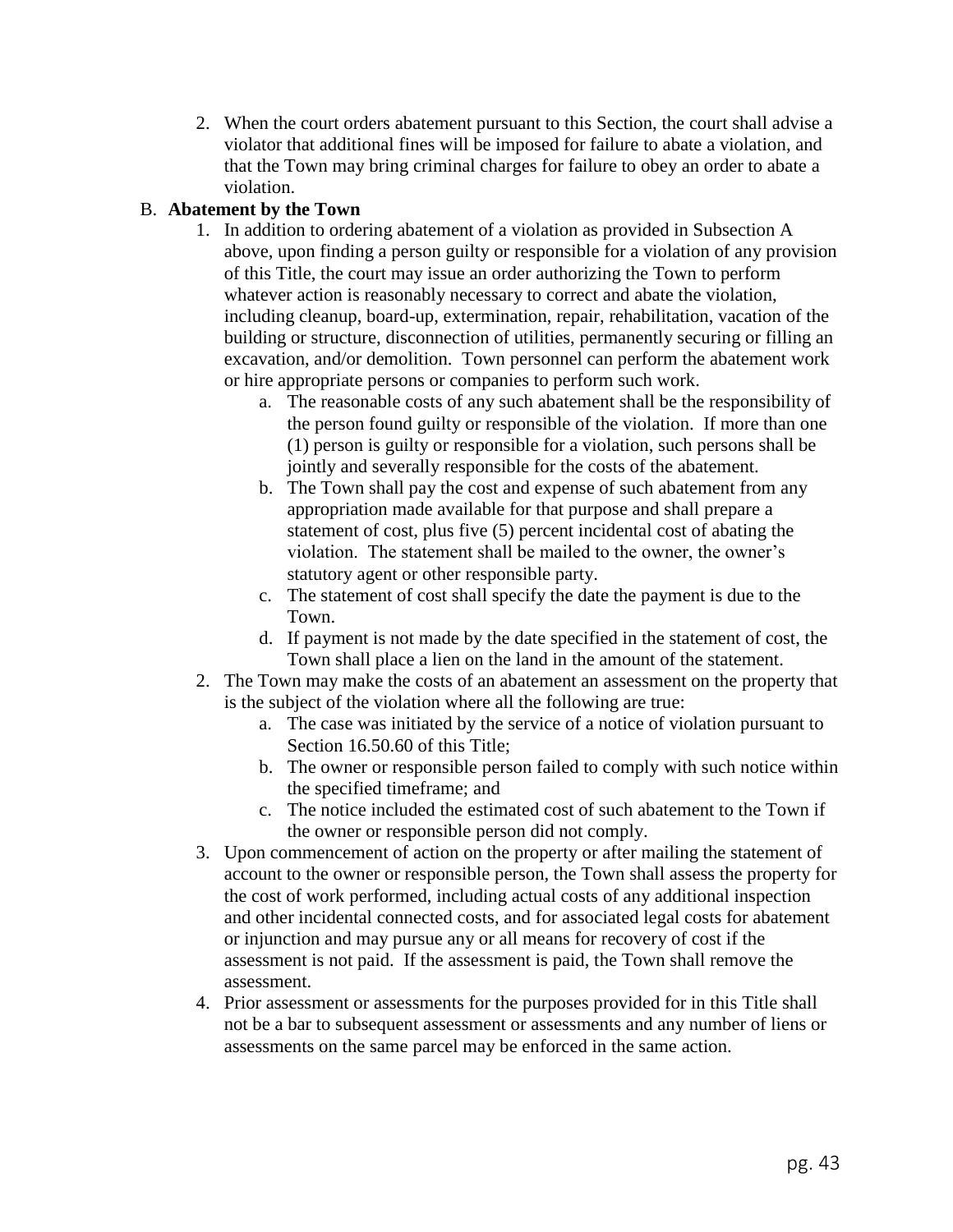2. When the court orders abatement pursuant to this Section, the court shall advise a violator that additional fines will be imposed for failure to abate a violation, and that the Town may bring criminal charges for failure to obey an order to abate a violation.

## B. **Abatement by the Town**

- 1. In addition to ordering abatement of a violation as provided in Subsection A above, upon finding a person guilty or responsible for a violation of any provision of this Title, the court may issue an order authorizing the Town to perform whatever action is reasonably necessary to correct and abate the violation, including cleanup, board-up, extermination, repair, rehabilitation, vacation of the building or structure, disconnection of utilities, permanently securing or filling an excavation, and/or demolition. Town personnel can perform the abatement work or hire appropriate persons or companies to perform such work.
	- a. The reasonable costs of any such abatement shall be the responsibility of the person found guilty or responsible of the violation. If more than one (1) person is guilty or responsible for a violation, such persons shall be jointly and severally responsible for the costs of the abatement.
	- b. The Town shall pay the cost and expense of such abatement from any appropriation made available for that purpose and shall prepare a statement of cost, plus five (5) percent incidental cost of abating the violation. The statement shall be mailed to the owner, the owner's statutory agent or other responsible party.
	- c. The statement of cost shall specify the date the payment is due to the Town.
	- d. If payment is not made by the date specified in the statement of cost, the Town shall place a lien on the land in the amount of the statement.
- 2. The Town may make the costs of an abatement an assessment on the property that is the subject of the violation where all the following are true:
	- a. The case was initiated by the service of a notice of violation pursuant to Section 16.50.60 of this Title;
	- b. The owner or responsible person failed to comply with such notice within the specified timeframe; and
	- c. The notice included the estimated cost of such abatement to the Town if the owner or responsible person did not comply.
- 3. Upon commencement of action on the property or after mailing the statement of account to the owner or responsible person, the Town shall assess the property for the cost of work performed, including actual costs of any additional inspection and other incidental connected costs, and for associated legal costs for abatement or injunction and may pursue any or all means for recovery of cost if the assessment is not paid. If the assessment is paid, the Town shall remove the assessment.
- 4. Prior assessment or assessments for the purposes provided for in this Title shall not be a bar to subsequent assessment or assessments and any number of liens or assessments on the same parcel may be enforced in the same action.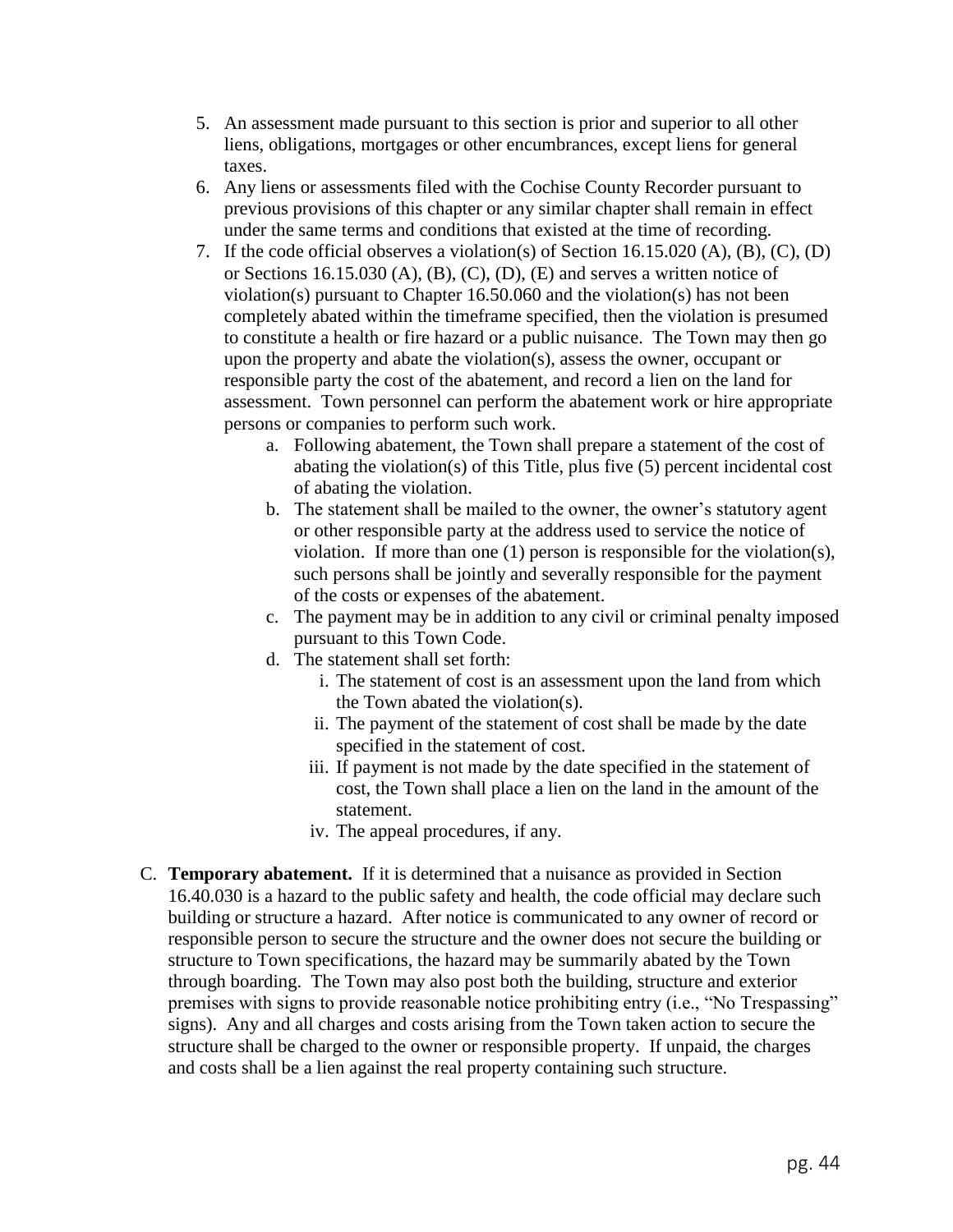- 5. An assessment made pursuant to this section is prior and superior to all other liens, obligations, mortgages or other encumbrances, except liens for general taxes.
- 6. Any liens or assessments filed with the Cochise County Recorder pursuant to previous provisions of this chapter or any similar chapter shall remain in effect under the same terms and conditions that existed at the time of recording.
- 7. If the code official observes a violation(s) of Section 16.15.020 (A), (B), (C), (D) or Sections 16.15.030 (A), (B), (C), (D), (E) and serves a written notice of violation(s) pursuant to Chapter 16.50.060 and the violation(s) has not been completely abated within the timeframe specified, then the violation is presumed to constitute a health or fire hazard or a public nuisance. The Town may then go upon the property and abate the violation(s), assess the owner, occupant or responsible party the cost of the abatement, and record a lien on the land for assessment. Town personnel can perform the abatement work or hire appropriate persons or companies to perform such work.
	- a. Following abatement, the Town shall prepare a statement of the cost of abating the violation(s) of this Title, plus five (5) percent incidental cost of abating the violation.
	- b. The statement shall be mailed to the owner, the owner's statutory agent or other responsible party at the address used to service the notice of violation. If more than one (1) person is responsible for the violation(s), such persons shall be jointly and severally responsible for the payment of the costs or expenses of the abatement.
	- c. The payment may be in addition to any civil or criminal penalty imposed pursuant to this Town Code.
	- d. The statement shall set forth:
		- i. The statement of cost is an assessment upon the land from which the Town abated the violation(s).
		- ii. The payment of the statement of cost shall be made by the date specified in the statement of cost.
		- iii. If payment is not made by the date specified in the statement of cost, the Town shall place a lien on the land in the amount of the statement.
		- iv. The appeal procedures, if any.
- C. **Temporary abatement.** If it is determined that a nuisance as provided in Section 16.40.030 is a hazard to the public safety and health, the code official may declare such building or structure a hazard. After notice is communicated to any owner of record or responsible person to secure the structure and the owner does not secure the building or structure to Town specifications, the hazard may be summarily abated by the Town through boarding. The Town may also post both the building, structure and exterior premises with signs to provide reasonable notice prohibiting entry (i.e., "No Trespassing" signs). Any and all charges and costs arising from the Town taken action to secure the structure shall be charged to the owner or responsible property. If unpaid, the charges and costs shall be a lien against the real property containing such structure.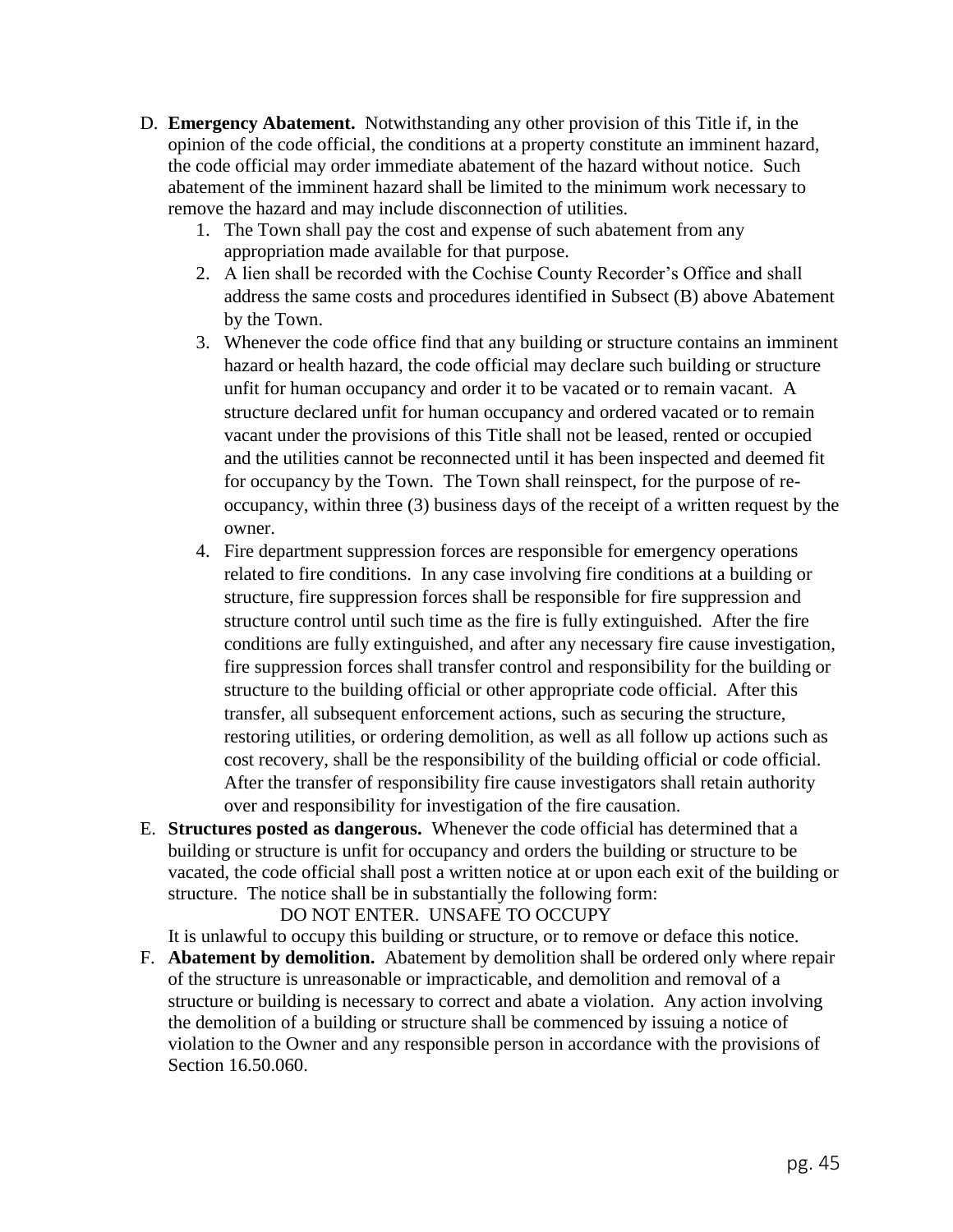- D. **Emergency Abatement.** Notwithstanding any other provision of this Title if, in the opinion of the code official, the conditions at a property constitute an imminent hazard, the code official may order immediate abatement of the hazard without notice. Such abatement of the imminent hazard shall be limited to the minimum work necessary to remove the hazard and may include disconnection of utilities.
	- 1. The Town shall pay the cost and expense of such abatement from any appropriation made available for that purpose.
	- 2. A lien shall be recorded with the Cochise County Recorder's Office and shall address the same costs and procedures identified in Subsect (B) above Abatement by the Town.
	- 3. Whenever the code office find that any building or structure contains an imminent hazard or health hazard, the code official may declare such building or structure unfit for human occupancy and order it to be vacated or to remain vacant. A structure declared unfit for human occupancy and ordered vacated or to remain vacant under the provisions of this Title shall not be leased, rented or occupied and the utilities cannot be reconnected until it has been inspected and deemed fit for occupancy by the Town. The Town shall reinspect, for the purpose of reoccupancy, within three (3) business days of the receipt of a written request by the owner.
	- 4. Fire department suppression forces are responsible for emergency operations related to fire conditions. In any case involving fire conditions at a building or structure, fire suppression forces shall be responsible for fire suppression and structure control until such time as the fire is fully extinguished. After the fire conditions are fully extinguished, and after any necessary fire cause investigation, fire suppression forces shall transfer control and responsibility for the building or structure to the building official or other appropriate code official. After this transfer, all subsequent enforcement actions, such as securing the structure, restoring utilities, or ordering demolition, as well as all follow up actions such as cost recovery, shall be the responsibility of the building official or code official. After the transfer of responsibility fire cause investigators shall retain authority over and responsibility for investigation of the fire causation.
- E. **Structures posted as dangerous.** Whenever the code official has determined that a building or structure is unfit for occupancy and orders the building or structure to be vacated, the code official shall post a written notice at or upon each exit of the building or structure. The notice shall be in substantially the following form:

DO NOT ENTER. UNSAFE TO OCCUPY

It is unlawful to occupy this building or structure, or to remove or deface this notice.

F. **Abatement by demolition.** Abatement by demolition shall be ordered only where repair of the structure is unreasonable or impracticable, and demolition and removal of a structure or building is necessary to correct and abate a violation. Any action involving the demolition of a building or structure shall be commenced by issuing a notice of violation to the Owner and any responsible person in accordance with the provisions of Section 16.50.060.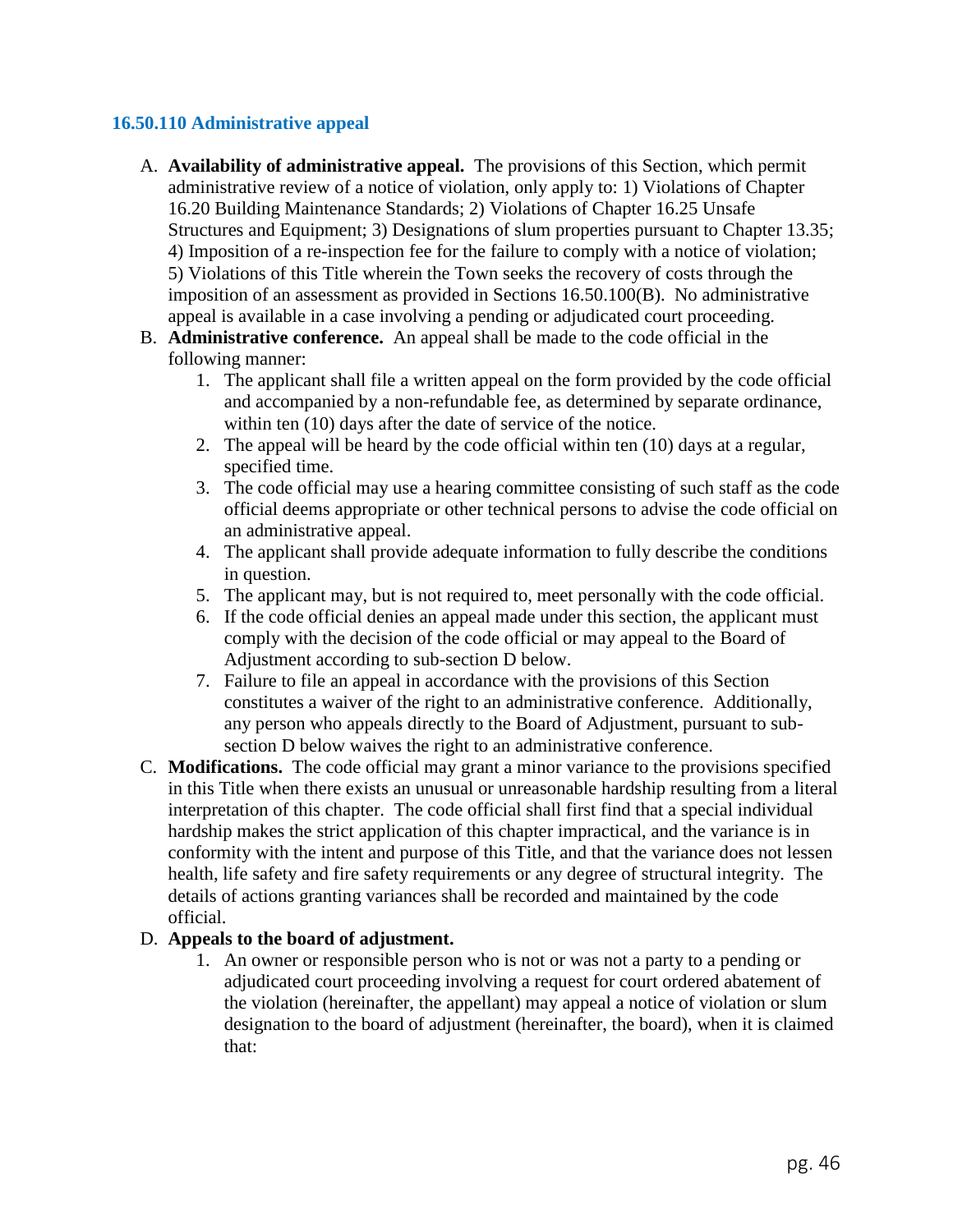## **16.50.110 Administrative appeal**

- A. **Availability of administrative appeal.** The provisions of this Section, which permit administrative review of a notice of violation, only apply to: 1) Violations of Chapter 16.20 Building Maintenance Standards; 2) Violations of Chapter 16.25 Unsafe Structures and Equipment; 3) Designations of slum properties pursuant to Chapter 13.35; 4) Imposition of a re-inspection fee for the failure to comply with a notice of violation; 5) Violations of this Title wherein the Town seeks the recovery of costs through the imposition of an assessment as provided in Sections 16.50.100(B). No administrative appeal is available in a case involving a pending or adjudicated court proceeding.
- B. **Administrative conference.** An appeal shall be made to the code official in the following manner:
	- 1. The applicant shall file a written appeal on the form provided by the code official and accompanied by a non-refundable fee, as determined by separate ordinance, within ten  $(10)$  days after the date of service of the notice.
	- 2. The appeal will be heard by the code official within ten (10) days at a regular, specified time.
	- 3. The code official may use a hearing committee consisting of such staff as the code official deems appropriate or other technical persons to advise the code official on an administrative appeal.
	- 4. The applicant shall provide adequate information to fully describe the conditions in question.
	- 5. The applicant may, but is not required to, meet personally with the code official.
	- 6. If the code official denies an appeal made under this section, the applicant must comply with the decision of the code official or may appeal to the Board of Adjustment according to sub-section D below.
	- 7. Failure to file an appeal in accordance with the provisions of this Section constitutes a waiver of the right to an administrative conference. Additionally, any person who appeals directly to the Board of Adjustment, pursuant to subsection D below waives the right to an administrative conference.
- C. **Modifications.** The code official may grant a minor variance to the provisions specified in this Title when there exists an unusual or unreasonable hardship resulting from a literal interpretation of this chapter. The code official shall first find that a special individual hardship makes the strict application of this chapter impractical, and the variance is in conformity with the intent and purpose of this Title, and that the variance does not lessen health, life safety and fire safety requirements or any degree of structural integrity. The details of actions granting variances shall be recorded and maintained by the code official.

## D. **Appeals to the board of adjustment.**

1. An owner or responsible person who is not or was not a party to a pending or adjudicated court proceeding involving a request for court ordered abatement of the violation (hereinafter, the appellant) may appeal a notice of violation or slum designation to the board of adjustment (hereinafter, the board), when it is claimed that: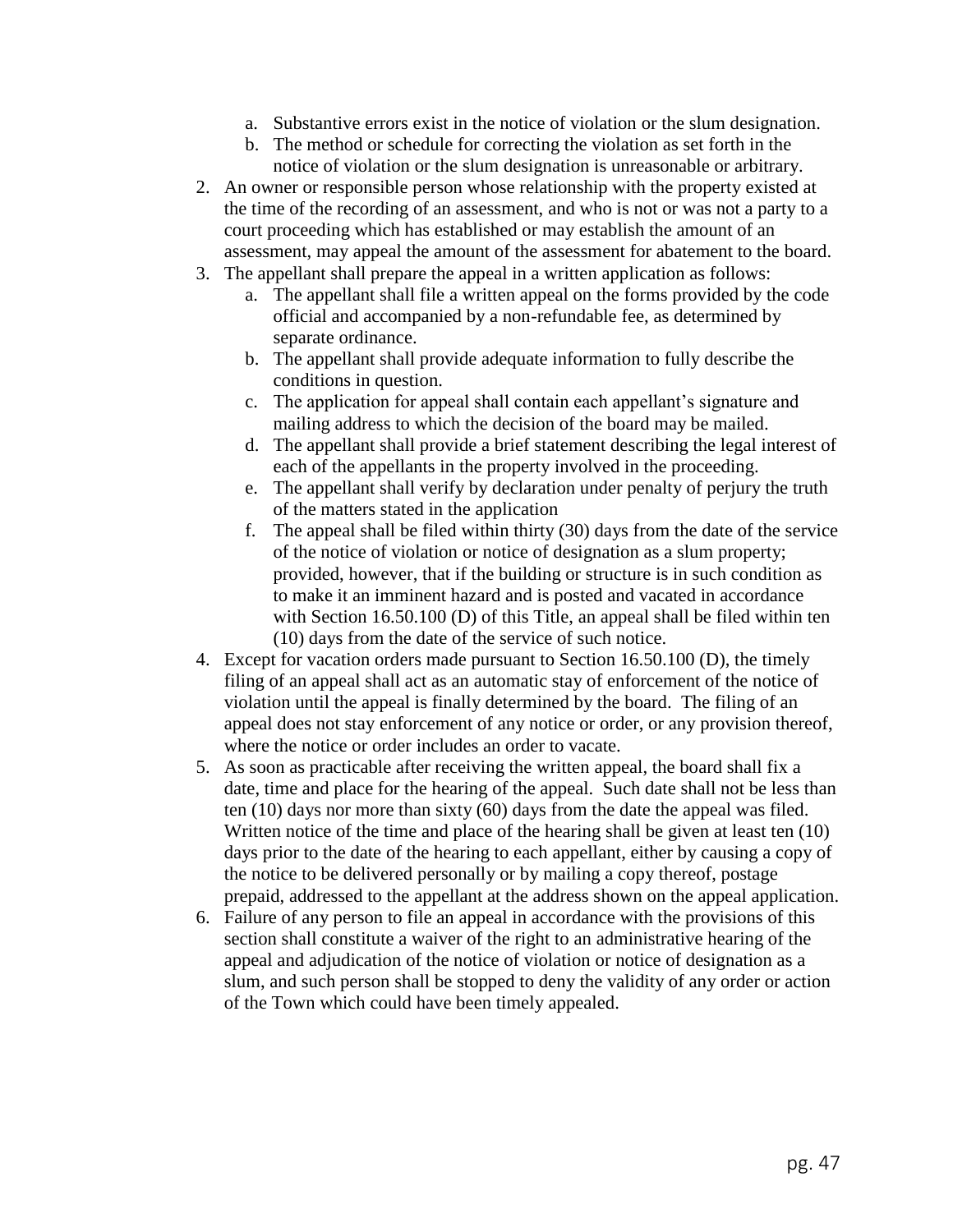- a. Substantive errors exist in the notice of violation or the slum designation.
- b. The method or schedule for correcting the violation as set forth in the notice of violation or the slum designation is unreasonable or arbitrary.
- 2. An owner or responsible person whose relationship with the property existed at the time of the recording of an assessment, and who is not or was not a party to a court proceeding which has established or may establish the amount of an assessment, may appeal the amount of the assessment for abatement to the board.
- 3. The appellant shall prepare the appeal in a written application as follows:
	- a. The appellant shall file a written appeal on the forms provided by the code official and accompanied by a non-refundable fee, as determined by separate ordinance.
	- b. The appellant shall provide adequate information to fully describe the conditions in question.
	- c. The application for appeal shall contain each appellant's signature and mailing address to which the decision of the board may be mailed.
	- d. The appellant shall provide a brief statement describing the legal interest of each of the appellants in the property involved in the proceeding.
	- e. The appellant shall verify by declaration under penalty of perjury the truth of the matters stated in the application
	- f. The appeal shall be filed within thirty (30) days from the date of the service of the notice of violation or notice of designation as a slum property; provided, however, that if the building or structure is in such condition as to make it an imminent hazard and is posted and vacated in accordance with Section 16.50.100 (D) of this Title, an appeal shall be filed within ten (10) days from the date of the service of such notice.
- 4. Except for vacation orders made pursuant to Section 16.50.100 (D), the timely filing of an appeal shall act as an automatic stay of enforcement of the notice of violation until the appeal is finally determined by the board. The filing of an appeal does not stay enforcement of any notice or order, or any provision thereof, where the notice or order includes an order to vacate.
- 5. As soon as practicable after receiving the written appeal, the board shall fix a date, time and place for the hearing of the appeal. Such date shall not be less than ten (10) days nor more than sixty (60) days from the date the appeal was filed. Written notice of the time and place of the hearing shall be given at least ten (10) days prior to the date of the hearing to each appellant, either by causing a copy of the notice to be delivered personally or by mailing a copy thereof, postage prepaid, addressed to the appellant at the address shown on the appeal application.
- 6. Failure of any person to file an appeal in accordance with the provisions of this section shall constitute a waiver of the right to an administrative hearing of the appeal and adjudication of the notice of violation or notice of designation as a slum, and such person shall be stopped to deny the validity of any order or action of the Town which could have been timely appealed.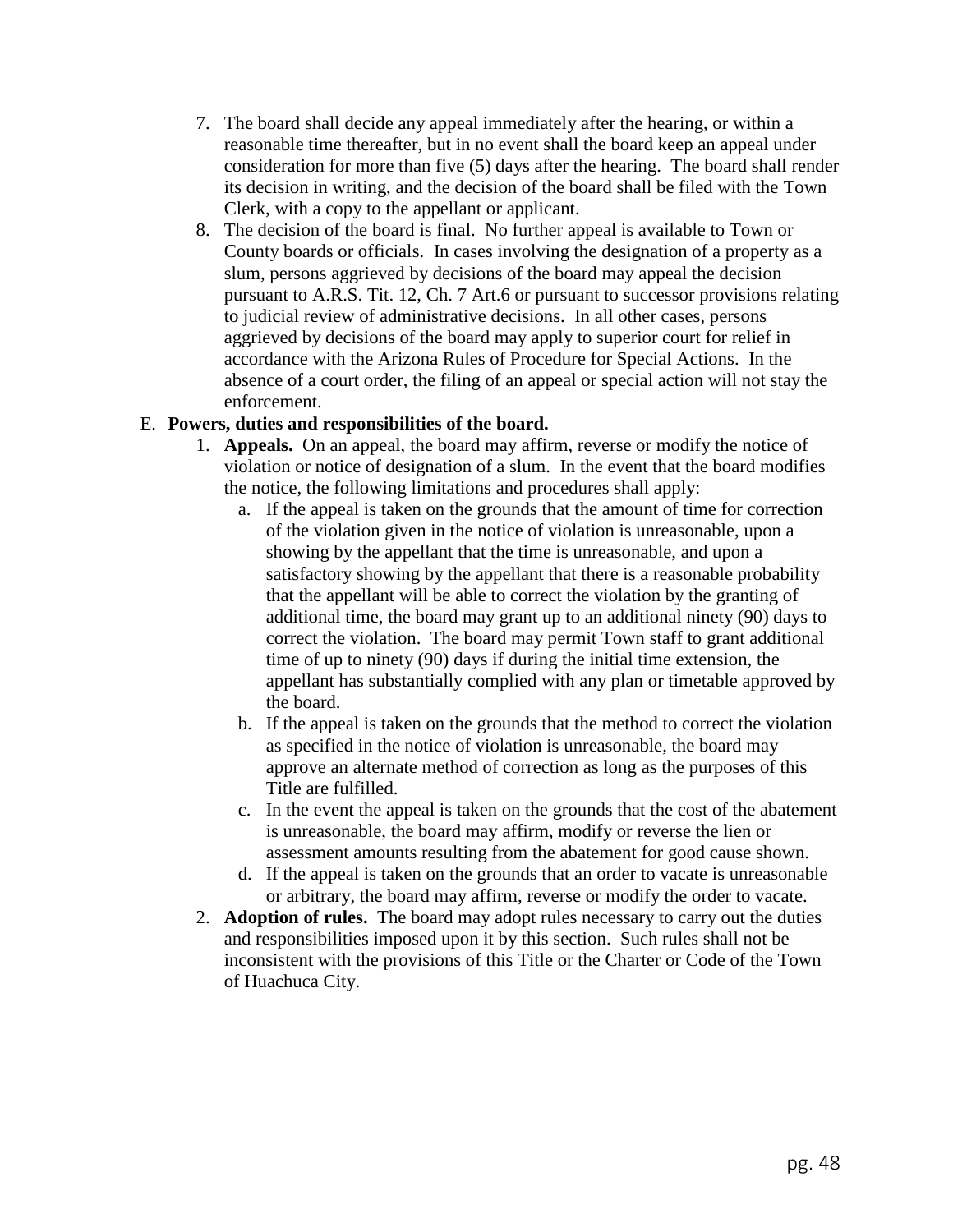- 7. The board shall decide any appeal immediately after the hearing, or within a reasonable time thereafter, but in no event shall the board keep an appeal under consideration for more than five (5) days after the hearing. The board shall render its decision in writing, and the decision of the board shall be filed with the Town Clerk, with a copy to the appellant or applicant.
- 8. The decision of the board is final. No further appeal is available to Town or County boards or officials. In cases involving the designation of a property as a slum, persons aggrieved by decisions of the board may appeal the decision pursuant to A.R.S. Tit. 12, Ch. 7 Art.6 or pursuant to successor provisions relating to judicial review of administrative decisions. In all other cases, persons aggrieved by decisions of the board may apply to superior court for relief in accordance with the Arizona Rules of Procedure for Special Actions. In the absence of a court order, the filing of an appeal or special action will not stay the enforcement.

## E. **Powers, duties and responsibilities of the board.**

- 1. **Appeals.** On an appeal, the board may affirm, reverse or modify the notice of violation or notice of designation of a slum. In the event that the board modifies the notice, the following limitations and procedures shall apply:
	- a. If the appeal is taken on the grounds that the amount of time for correction of the violation given in the notice of violation is unreasonable, upon a showing by the appellant that the time is unreasonable, and upon a satisfactory showing by the appellant that there is a reasonable probability that the appellant will be able to correct the violation by the granting of additional time, the board may grant up to an additional ninety (90) days to correct the violation. The board may permit Town staff to grant additional time of up to ninety (90) days if during the initial time extension, the appellant has substantially complied with any plan or timetable approved by the board.
	- b. If the appeal is taken on the grounds that the method to correct the violation as specified in the notice of violation is unreasonable, the board may approve an alternate method of correction as long as the purposes of this Title are fulfilled.
	- c. In the event the appeal is taken on the grounds that the cost of the abatement is unreasonable, the board may affirm, modify or reverse the lien or assessment amounts resulting from the abatement for good cause shown.
	- d. If the appeal is taken on the grounds that an order to vacate is unreasonable or arbitrary, the board may affirm, reverse or modify the order to vacate.
- 2. **Adoption of rules.** The board may adopt rules necessary to carry out the duties and responsibilities imposed upon it by this section. Such rules shall not be inconsistent with the provisions of this Title or the Charter or Code of the Town of Huachuca City.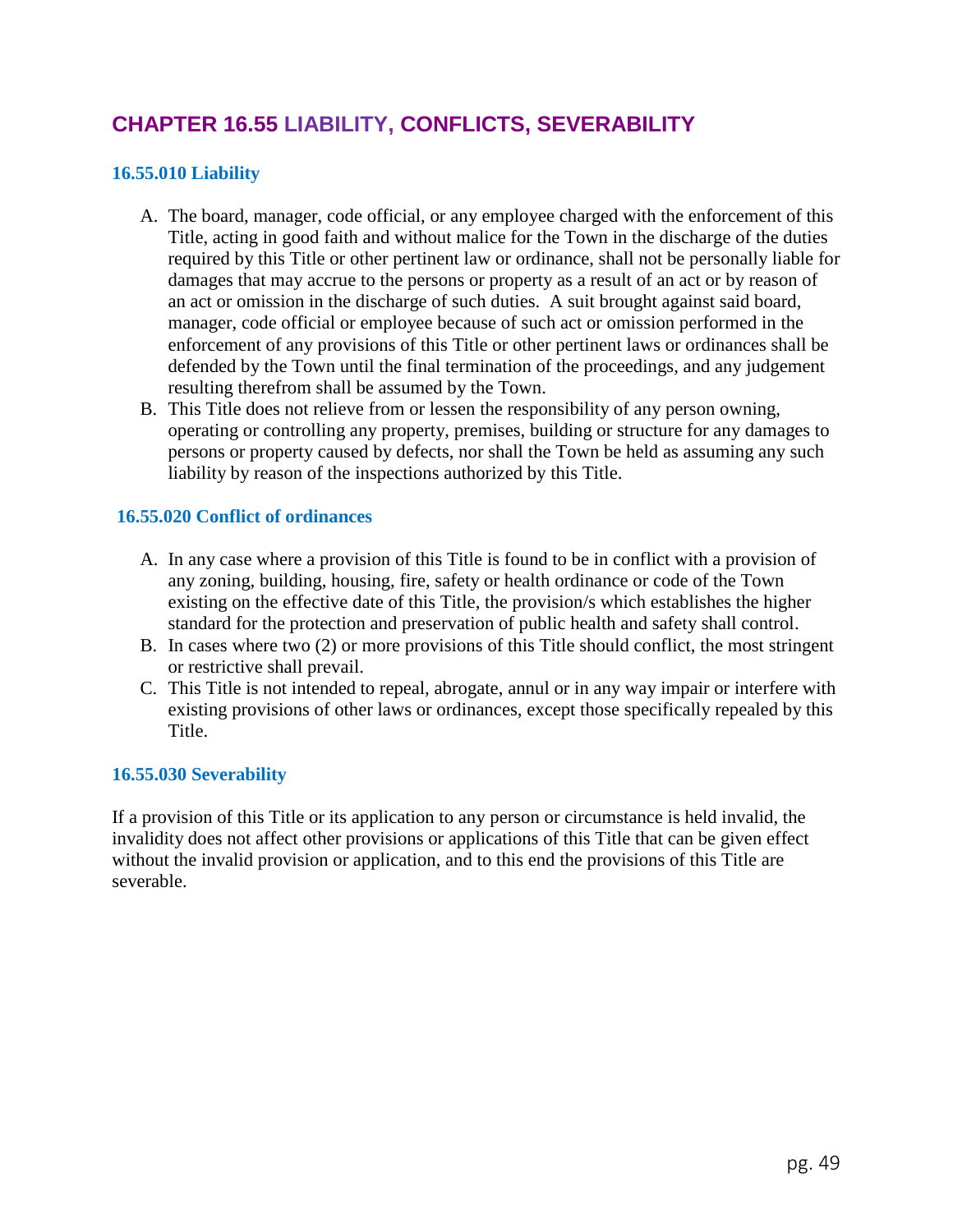# **CHAPTER 16.55 LIABILITY, CONFLICTS, SEVERABILITY**

## **16.55.010 Liability**

- A. The board, manager, code official, or any employee charged with the enforcement of this Title, acting in good faith and without malice for the Town in the discharge of the duties required by this Title or other pertinent law or ordinance, shall not be personally liable for damages that may accrue to the persons or property as a result of an act or by reason of an act or omission in the discharge of such duties. A suit brought against said board, manager, code official or employee because of such act or omission performed in the enforcement of any provisions of this Title or other pertinent laws or ordinances shall be defended by the Town until the final termination of the proceedings, and any judgement resulting therefrom shall be assumed by the Town.
- B. This Title does not relieve from or lessen the responsibility of any person owning, operating or controlling any property, premises, building or structure for any damages to persons or property caused by defects, nor shall the Town be held as assuming any such liability by reason of the inspections authorized by this Title.

### **16.55.020 Conflict of ordinances**

- A. In any case where a provision of this Title is found to be in conflict with a provision of any zoning, building, housing, fire, safety or health ordinance or code of the Town existing on the effective date of this Title, the provision/s which establishes the higher standard for the protection and preservation of public health and safety shall control.
- B. In cases where two (2) or more provisions of this Title should conflict, the most stringent or restrictive shall prevail.
- C. This Title is not intended to repeal, abrogate, annul or in any way impair or interfere with existing provisions of other laws or ordinances, except those specifically repealed by this Title.

### **16.55.030 Severability**

If a provision of this Title or its application to any person or circumstance is held invalid, the invalidity does not affect other provisions or applications of this Title that can be given effect without the invalid provision or application, and to this end the provisions of this Title are severable.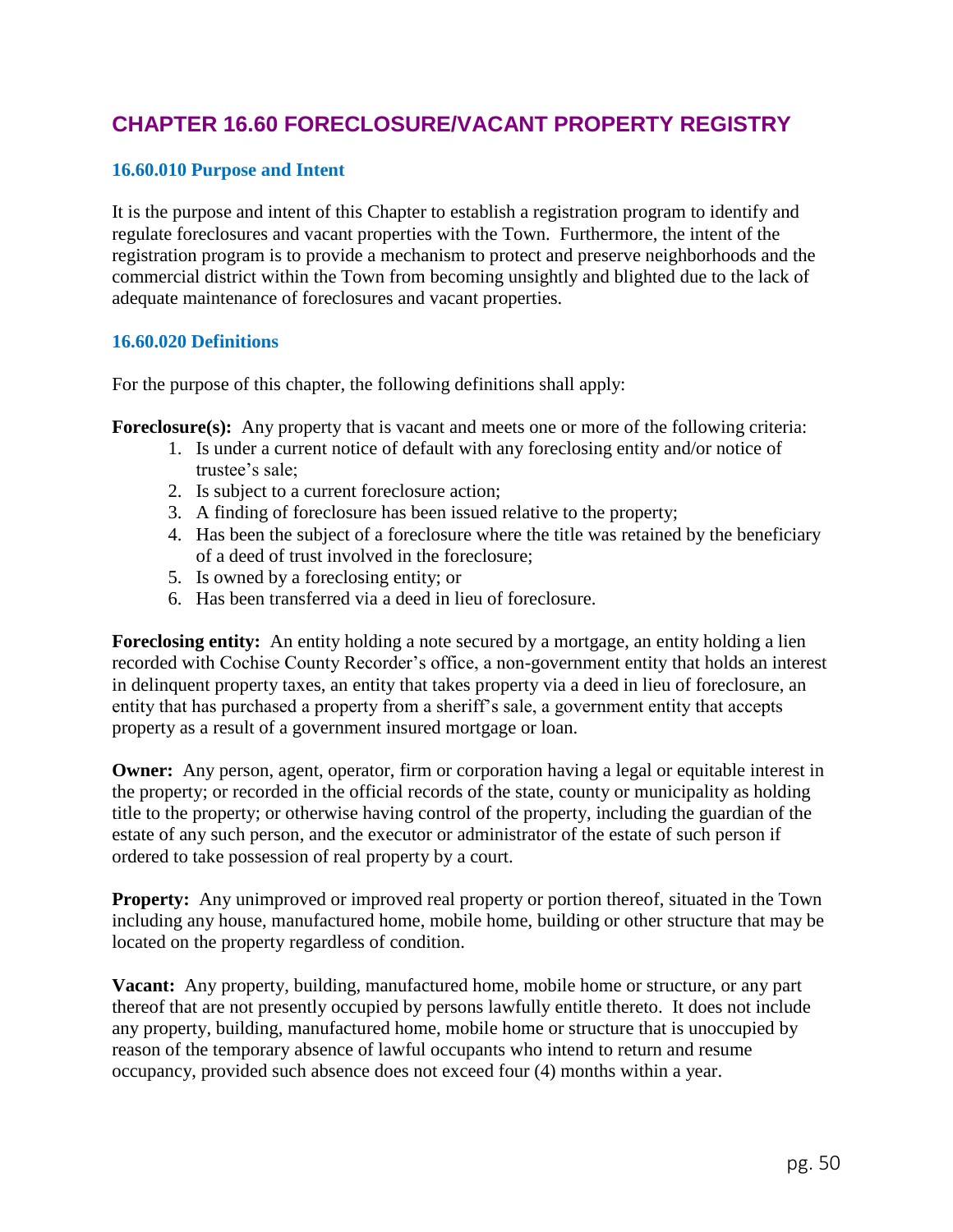# **CHAPTER 16.60 FORECLOSURE/VACANT PROPERTY REGISTRY**

## **16.60.010 Purpose and Intent**

It is the purpose and intent of this Chapter to establish a registration program to identify and regulate foreclosures and vacant properties with the Town. Furthermore, the intent of the registration program is to provide a mechanism to protect and preserve neighborhoods and the commercial district within the Town from becoming unsightly and blighted due to the lack of adequate maintenance of foreclosures and vacant properties.

## **16.60.020 Definitions**

For the purpose of this chapter, the following definitions shall apply:

**Foreclosure(s):** Any property that is vacant and meets one or more of the following criteria:

- 1. Is under a current notice of default with any foreclosing entity and/or notice of trustee's sale;
- 2. Is subject to a current foreclosure action;
- 3. A finding of foreclosure has been issued relative to the property;
- 4. Has been the subject of a foreclosure where the title was retained by the beneficiary of a deed of trust involved in the foreclosure;
- 5. Is owned by a foreclosing entity; or
- 6. Has been transferred via a deed in lieu of foreclosure.

**Foreclosing entity:** An entity holding a note secured by a mortgage, an entity holding a lien recorded with Cochise County Recorder's office, a non-government entity that holds an interest in delinquent property taxes, an entity that takes property via a deed in lieu of foreclosure, an entity that has purchased a property from a sheriff's sale, a government entity that accepts property as a result of a government insured mortgage or loan.

**Owner:** Any person, agent, operator, firm or corporation having a legal or equitable interest in the property; or recorded in the official records of the state, county or municipality as holding title to the property; or otherwise having control of the property, including the guardian of the estate of any such person, and the executor or administrator of the estate of such person if ordered to take possession of real property by a court.

**Property:** Any unimproved or improved real property or portion thereof, situated in the Town including any house, manufactured home, mobile home, building or other structure that may be located on the property regardless of condition.

**Vacant:** Any property, building, manufactured home, mobile home or structure, or any part thereof that are not presently occupied by persons lawfully entitle thereto. It does not include any property, building, manufactured home, mobile home or structure that is unoccupied by reason of the temporary absence of lawful occupants who intend to return and resume occupancy, provided such absence does not exceed four (4) months within a year.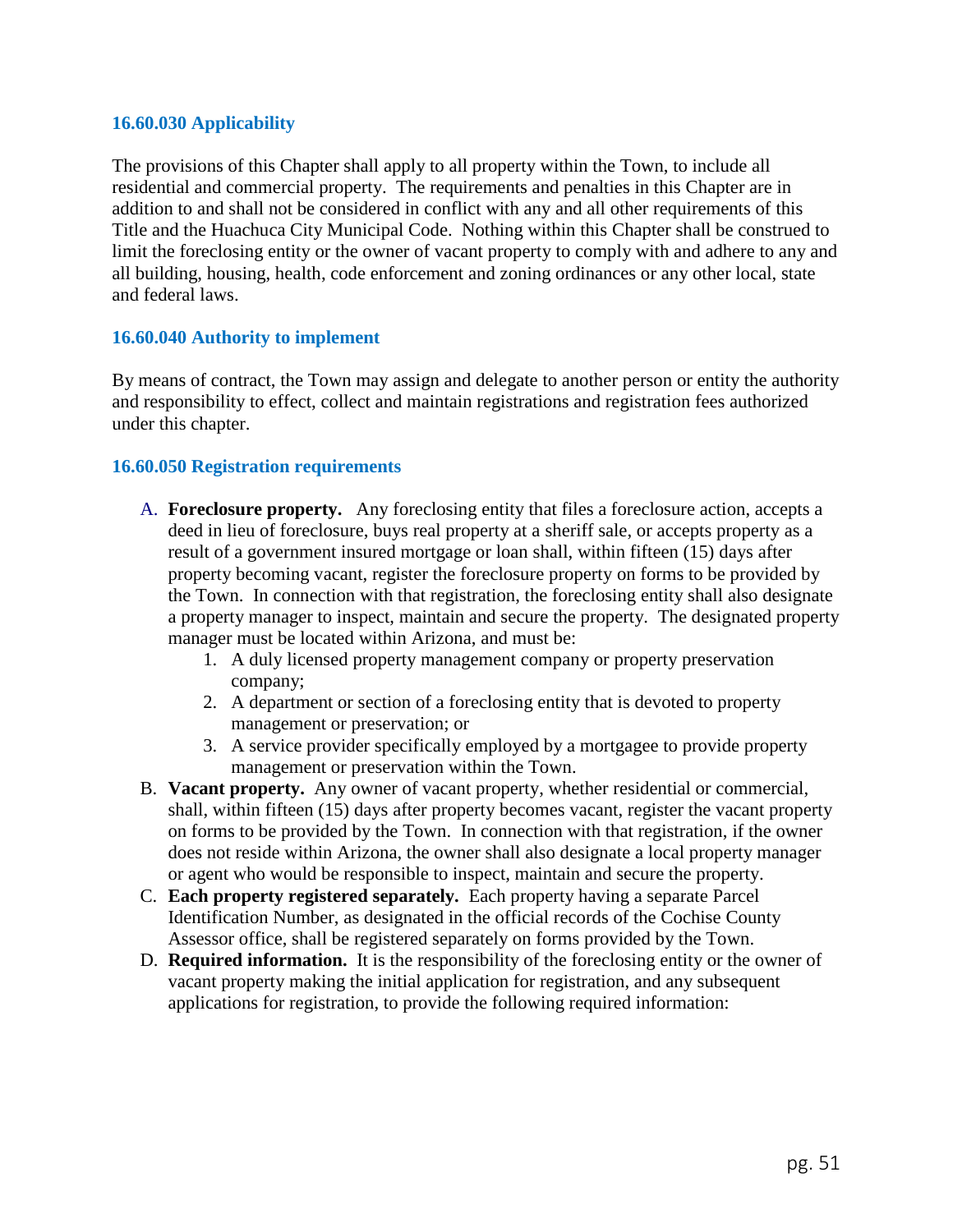### **16.60.030 Applicability**

The provisions of this Chapter shall apply to all property within the Town, to include all residential and commercial property. The requirements and penalties in this Chapter are in addition to and shall not be considered in conflict with any and all other requirements of this Title and the Huachuca City Municipal Code. Nothing within this Chapter shall be construed to limit the foreclosing entity or the owner of vacant property to comply with and adhere to any and all building, housing, health, code enforcement and zoning ordinances or any other local, state and federal laws.

### **16.60.040 Authority to implement**

By means of contract, the Town may assign and delegate to another person or entity the authority and responsibility to effect, collect and maintain registrations and registration fees authorized under this chapter.

## **16.60.050 Registration requirements**

- A. **Foreclosure property.** Any foreclosing entity that files a foreclosure action, accepts a deed in lieu of foreclosure, buys real property at a sheriff sale, or accepts property as a result of a government insured mortgage or loan shall, within fifteen (15) days after property becoming vacant, register the foreclosure property on forms to be provided by the Town. In connection with that registration, the foreclosing entity shall also designate a property manager to inspect, maintain and secure the property. The designated property manager must be located within Arizona, and must be:
	- 1. A duly licensed property management company or property preservation company;
	- 2. A department or section of a foreclosing entity that is devoted to property management or preservation; or
	- 3. A service provider specifically employed by a mortgagee to provide property management or preservation within the Town.
- B. **Vacant property.** Any owner of vacant property, whether residential or commercial, shall, within fifteen (15) days after property becomes vacant, register the vacant property on forms to be provided by the Town. In connection with that registration, if the owner does not reside within Arizona, the owner shall also designate a local property manager or agent who would be responsible to inspect, maintain and secure the property.
- C. **Each property registered separately.** Each property having a separate Parcel Identification Number, as designated in the official records of the Cochise County Assessor office, shall be registered separately on forms provided by the Town.
- D. **Required information.** It is the responsibility of the foreclosing entity or the owner of vacant property making the initial application for registration, and any subsequent applications for registration, to provide the following required information: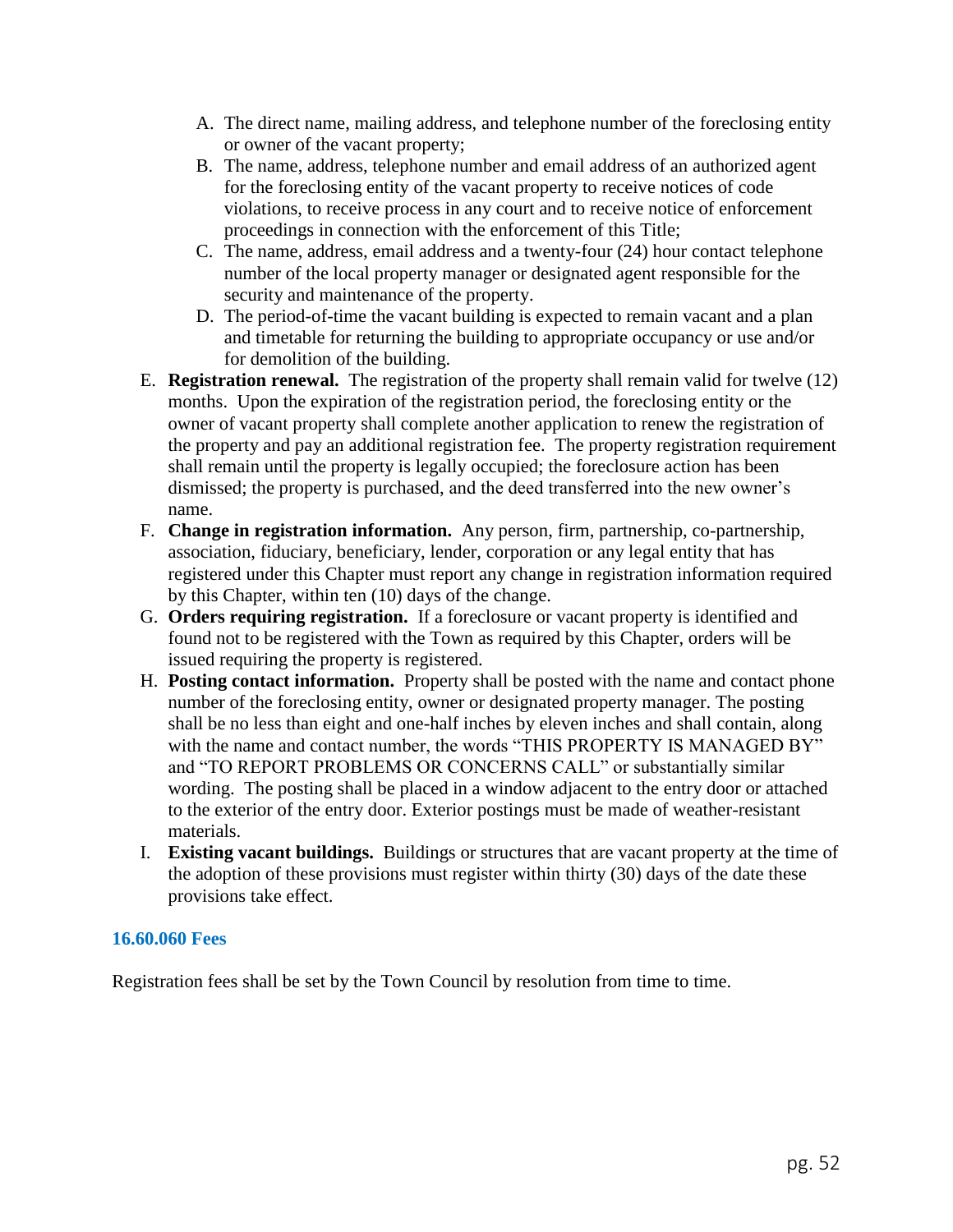- A. The direct name, mailing address, and telephone number of the foreclosing entity or owner of the vacant property;
- B. The name, address, telephone number and email address of an authorized agent for the foreclosing entity of the vacant property to receive notices of code violations, to receive process in any court and to receive notice of enforcement proceedings in connection with the enforcement of this Title;
- C. The name, address, email address and a twenty-four (24) hour contact telephone number of the local property manager or designated agent responsible for the security and maintenance of the property.
- D. The period-of-time the vacant building is expected to remain vacant and a plan and timetable for returning the building to appropriate occupancy or use and/or for demolition of the building.
- E. **Registration renewal.** The registration of the property shall remain valid for twelve (12) months. Upon the expiration of the registration period, the foreclosing entity or the owner of vacant property shall complete another application to renew the registration of the property and pay an additional registration fee. The property registration requirement shall remain until the property is legally occupied; the foreclosure action has been dismissed; the property is purchased, and the deed transferred into the new owner's name.
- F. **Change in registration information.** Any person, firm, partnership, co-partnership, association, fiduciary, beneficiary, lender, corporation or any legal entity that has registered under this Chapter must report any change in registration information required by this Chapter, within ten (10) days of the change.
- G. **Orders requiring registration.** If a foreclosure or vacant property is identified and found not to be registered with the Town as required by this Chapter, orders will be issued requiring the property is registered.
- H. **Posting contact information.** Property shall be posted with the name and contact phone number of the foreclosing entity, owner or designated property manager. The posting shall be no less than eight and one-half inches by eleven inches and shall contain, along with the name and contact number, the words "THIS PROPERTY IS MANAGED BY" and "TO REPORT PROBLEMS OR CONCERNS CALL" or substantially similar wording. The posting shall be placed in a window adjacent to the entry door or attached to the exterior of the entry door. Exterior postings must be made of weather-resistant materials.
- I. **Existing vacant buildings.** Buildings or structures that are vacant property at the time of the adoption of these provisions must register within thirty (30) days of the date these provisions take effect.

## **16.60.060 Fees**

Registration fees shall be set by the Town Council by resolution from time to time.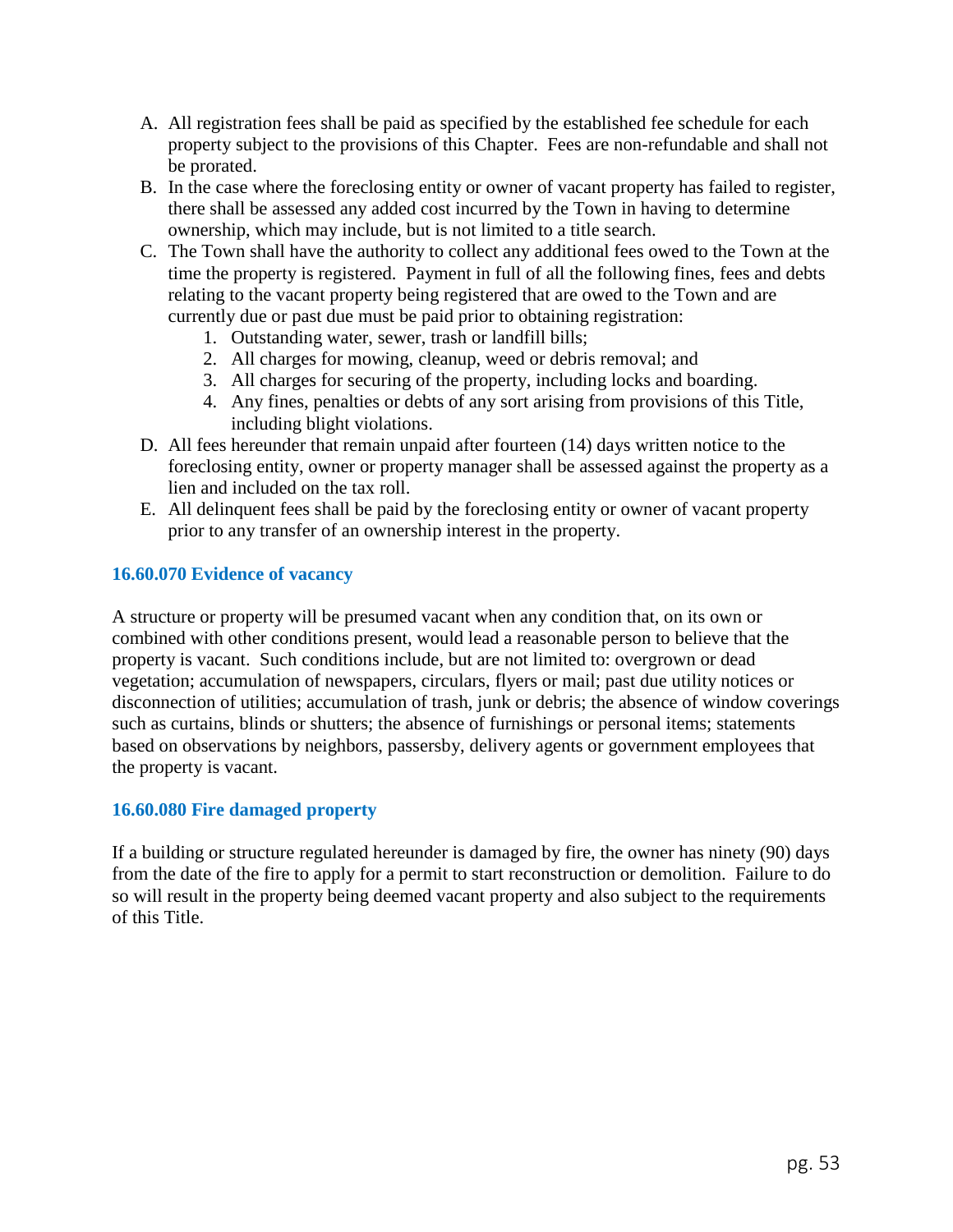- A. All registration fees shall be paid as specified by the established fee schedule for each property subject to the provisions of this Chapter. Fees are non-refundable and shall not be prorated.
- B. In the case where the foreclosing entity or owner of vacant property has failed to register, there shall be assessed any added cost incurred by the Town in having to determine ownership, which may include, but is not limited to a title search.
- C. The Town shall have the authority to collect any additional fees owed to the Town at the time the property is registered. Payment in full of all the following fines, fees and debts relating to the vacant property being registered that are owed to the Town and are currently due or past due must be paid prior to obtaining registration:
	- 1. Outstanding water, sewer, trash or landfill bills;
	- 2. All charges for mowing, cleanup, weed or debris removal; and
	- 3. All charges for securing of the property, including locks and boarding.
	- 4. Any fines, penalties or debts of any sort arising from provisions of this Title, including blight violations.
- D. All fees hereunder that remain unpaid after fourteen (14) days written notice to the foreclosing entity, owner or property manager shall be assessed against the property as a lien and included on the tax roll.
- E. All delinquent fees shall be paid by the foreclosing entity or owner of vacant property prior to any transfer of an ownership interest in the property.

## **16.60.070 Evidence of vacancy**

A structure or property will be presumed vacant when any condition that, on its own or combined with other conditions present, would lead a reasonable person to believe that the property is vacant. Such conditions include, but are not limited to: overgrown or dead vegetation; accumulation of newspapers, circulars, flyers or mail; past due utility notices or disconnection of utilities; accumulation of trash, junk or debris; the absence of window coverings such as curtains, blinds or shutters; the absence of furnishings or personal items; statements based on observations by neighbors, passersby, delivery agents or government employees that the property is vacant.

### **16.60.080 Fire damaged property**

If a building or structure regulated hereunder is damaged by fire, the owner has ninety (90) days from the date of the fire to apply for a permit to start reconstruction or demolition. Failure to do so will result in the property being deemed vacant property and also subject to the requirements of this Title.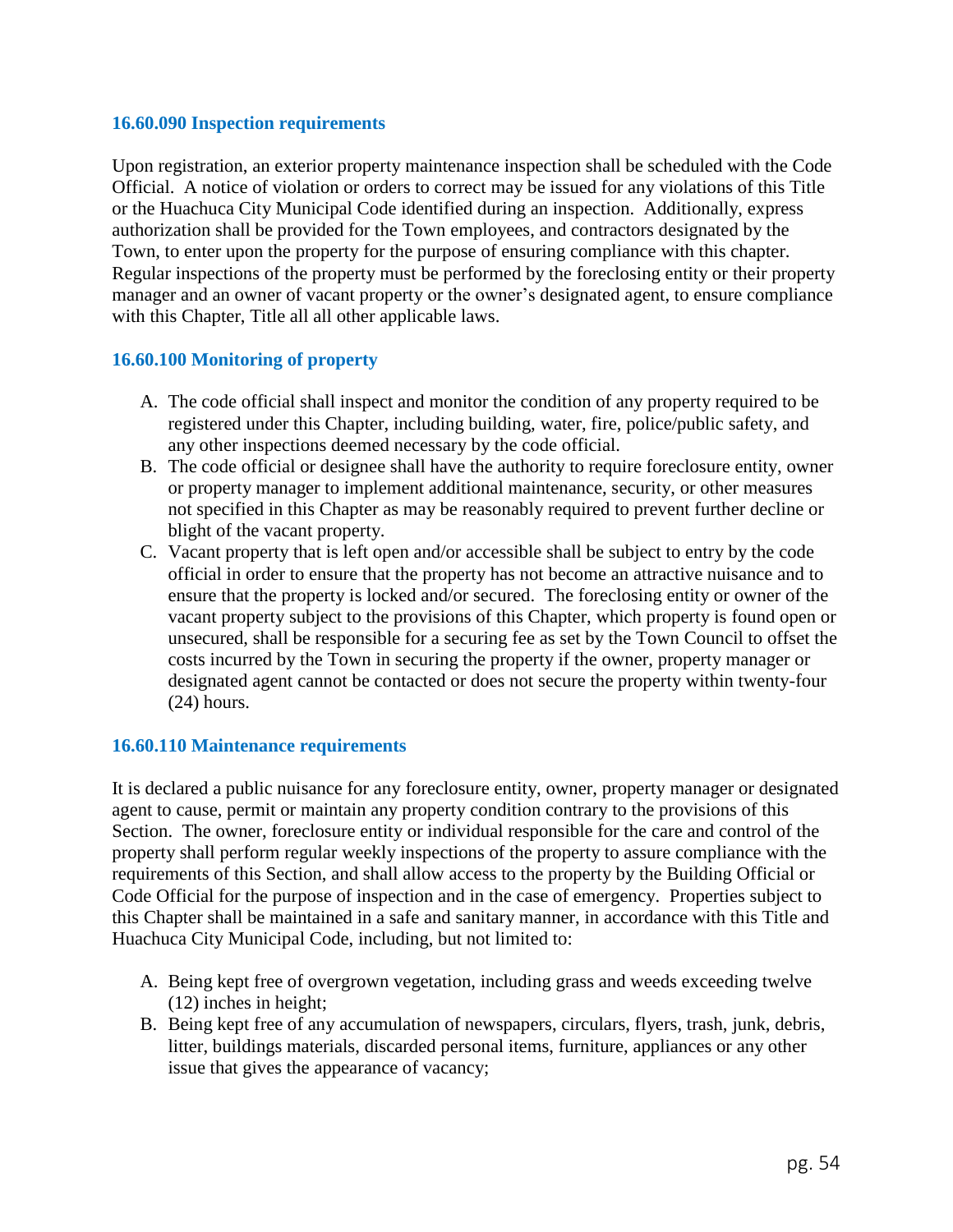#### **16.60.090 Inspection requirements**

Upon registration, an exterior property maintenance inspection shall be scheduled with the Code Official. A notice of violation or orders to correct may be issued for any violations of this Title or the Huachuca City Municipal Code identified during an inspection. Additionally, express authorization shall be provided for the Town employees, and contractors designated by the Town, to enter upon the property for the purpose of ensuring compliance with this chapter. Regular inspections of the property must be performed by the foreclosing entity or their property manager and an owner of vacant property or the owner's designated agent, to ensure compliance with this Chapter, Title all all other applicable laws.

## **16.60.100 Monitoring of property**

- A. The code official shall inspect and monitor the condition of any property required to be registered under this Chapter, including building, water, fire, police/public safety, and any other inspections deemed necessary by the code official.
- B. The code official or designee shall have the authority to require foreclosure entity, owner or property manager to implement additional maintenance, security, or other measures not specified in this Chapter as may be reasonably required to prevent further decline or blight of the vacant property.
- C. Vacant property that is left open and/or accessible shall be subject to entry by the code official in order to ensure that the property has not become an attractive nuisance and to ensure that the property is locked and/or secured. The foreclosing entity or owner of the vacant property subject to the provisions of this Chapter, which property is found open or unsecured, shall be responsible for a securing fee as set by the Town Council to offset the costs incurred by the Town in securing the property if the owner, property manager or designated agent cannot be contacted or does not secure the property within twenty-four (24) hours.

### **16.60.110 Maintenance requirements**

It is declared a public nuisance for any foreclosure entity, owner, property manager or designated agent to cause, permit or maintain any property condition contrary to the provisions of this Section. The owner, foreclosure entity or individual responsible for the care and control of the property shall perform regular weekly inspections of the property to assure compliance with the requirements of this Section, and shall allow access to the property by the Building Official or Code Official for the purpose of inspection and in the case of emergency. Properties subject to this Chapter shall be maintained in a safe and sanitary manner, in accordance with this Title and Huachuca City Municipal Code, including, but not limited to:

- A. Being kept free of overgrown vegetation, including grass and weeds exceeding twelve (12) inches in height;
- B. Being kept free of any accumulation of newspapers, circulars, flyers, trash, junk, debris, litter, buildings materials, discarded personal items, furniture, appliances or any other issue that gives the appearance of vacancy;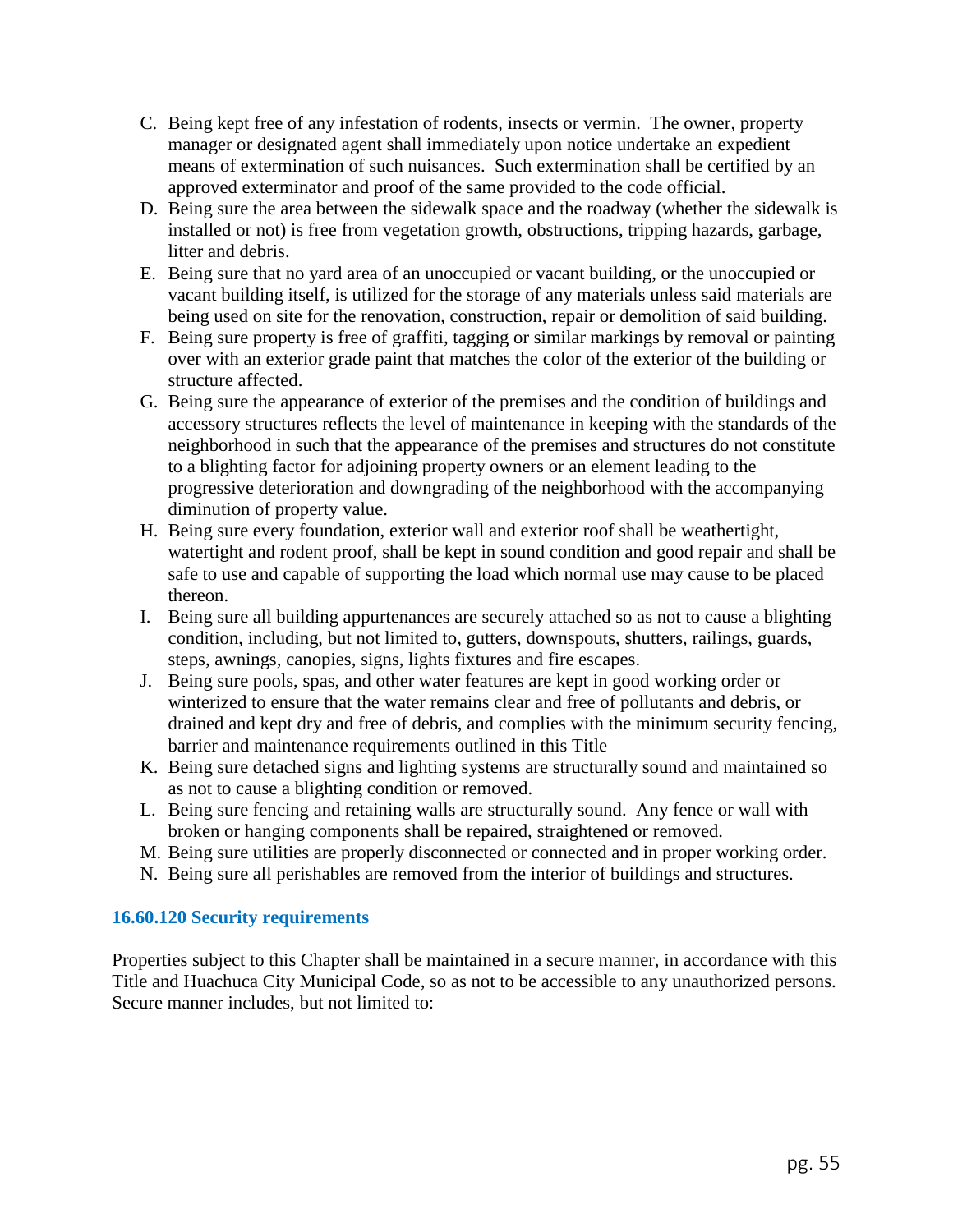- C. Being kept free of any infestation of rodents, insects or vermin. The owner, property manager or designated agent shall immediately upon notice undertake an expedient means of extermination of such nuisances. Such extermination shall be certified by an approved exterminator and proof of the same provided to the code official.
- D. Being sure the area between the sidewalk space and the roadway (whether the sidewalk is installed or not) is free from vegetation growth, obstructions, tripping hazards, garbage, litter and debris.
- E. Being sure that no yard area of an unoccupied or vacant building, or the unoccupied or vacant building itself, is utilized for the storage of any materials unless said materials are being used on site for the renovation, construction, repair or demolition of said building.
- F. Being sure property is free of graffiti, tagging or similar markings by removal or painting over with an exterior grade paint that matches the color of the exterior of the building or structure affected.
- G. Being sure the appearance of exterior of the premises and the condition of buildings and accessory structures reflects the level of maintenance in keeping with the standards of the neighborhood in such that the appearance of the premises and structures do not constitute to a blighting factor for adjoining property owners or an element leading to the progressive deterioration and downgrading of the neighborhood with the accompanying diminution of property value.
- H. Being sure every foundation, exterior wall and exterior roof shall be weathertight, watertight and rodent proof, shall be kept in sound condition and good repair and shall be safe to use and capable of supporting the load which normal use may cause to be placed thereon.
- I. Being sure all building appurtenances are securely attached so as not to cause a blighting condition, including, but not limited to, gutters, downspouts, shutters, railings, guards, steps, awnings, canopies, signs, lights fixtures and fire escapes.
- J. Being sure pools, spas, and other water features are kept in good working order or winterized to ensure that the water remains clear and free of pollutants and debris, or drained and kept dry and free of debris, and complies with the minimum security fencing, barrier and maintenance requirements outlined in this Title
- K. Being sure detached signs and lighting systems are structurally sound and maintained so as not to cause a blighting condition or removed.
- L. Being sure fencing and retaining walls are structurally sound. Any fence or wall with broken or hanging components shall be repaired, straightened or removed.
- M. Being sure utilities are properly disconnected or connected and in proper working order.
- N. Being sure all perishables are removed from the interior of buildings and structures.

## **16.60.120 Security requirements**

Properties subject to this Chapter shall be maintained in a secure manner, in accordance with this Title and Huachuca City Municipal Code, so as not to be accessible to any unauthorized persons. Secure manner includes, but not limited to: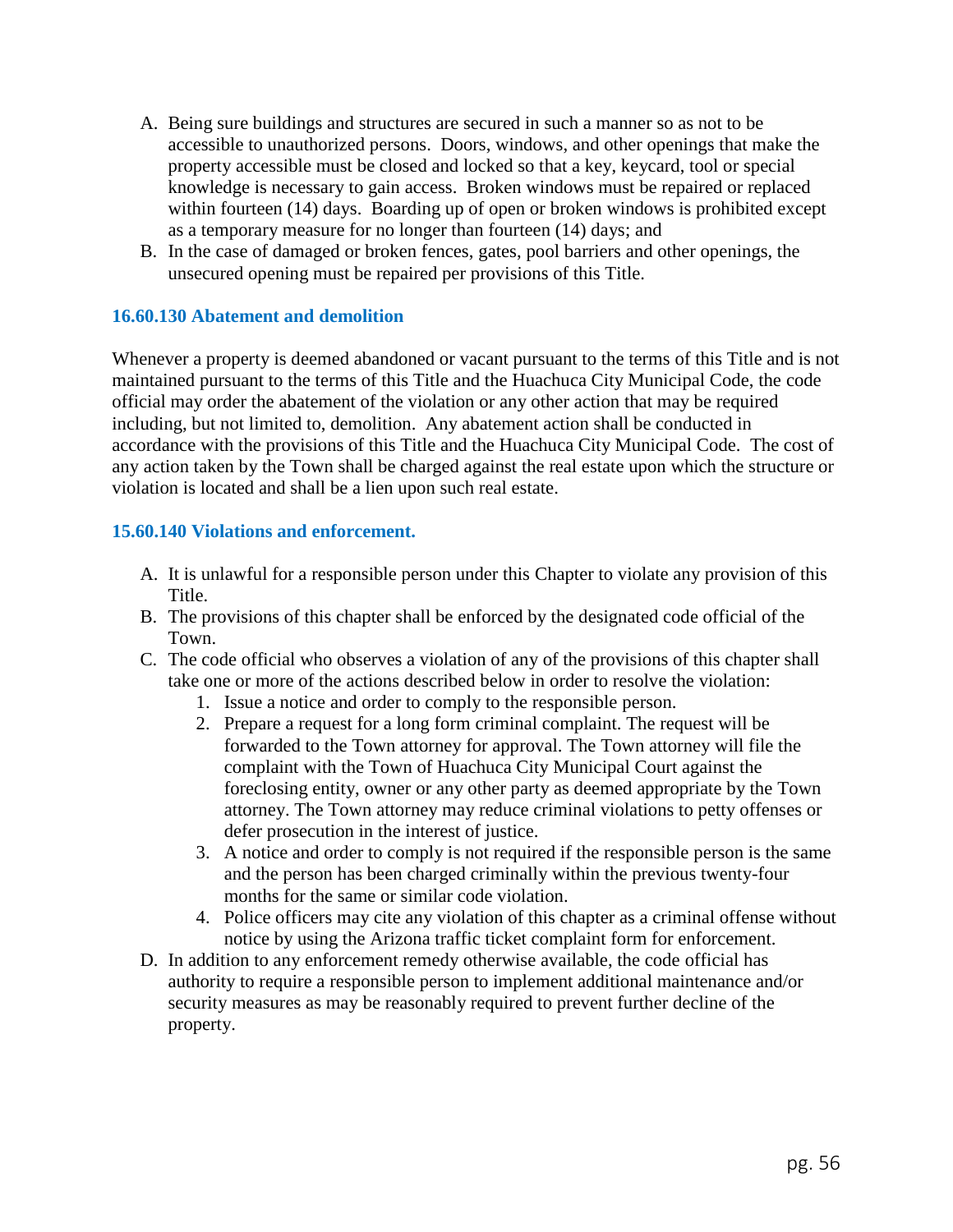- A. Being sure buildings and structures are secured in such a manner so as not to be accessible to unauthorized persons. Doors, windows, and other openings that make the property accessible must be closed and locked so that a key, keycard, tool or special knowledge is necessary to gain access. Broken windows must be repaired or replaced within fourteen (14) days. Boarding up of open or broken windows is prohibited except as a temporary measure for no longer than fourteen (14) days; and
- B. In the case of damaged or broken fences, gates, pool barriers and other openings, the unsecured opening must be repaired per provisions of this Title.

## **16.60.130 Abatement and demolition**

Whenever a property is deemed abandoned or vacant pursuant to the terms of this Title and is not maintained pursuant to the terms of this Title and the Huachuca City Municipal Code, the code official may order the abatement of the violation or any other action that may be required including, but not limited to, demolition. Any abatement action shall be conducted in accordance with the provisions of this Title and the Huachuca City Municipal Code. The cost of any action taken by the Town shall be charged against the real estate upon which the structure or violation is located and shall be a lien upon such real estate.

## **15.60.140 Violations and enforcement.**

- A. It is unlawful for a responsible person under this Chapter to violate any provision of this Title.
- B. The provisions of this chapter shall be enforced by the designated code official of the Town.
- C. The code official who observes a violation of any of the provisions of this chapter shall take one or more of the actions described below in order to resolve the violation:
	- 1. Issue a notice and order to comply to the responsible person.
	- 2. Prepare a request for a long form criminal complaint. The request will be forwarded to the Town attorney for approval. The Town attorney will file the complaint with the Town of Huachuca City Municipal Court against the foreclosing entity, owner or any other party as deemed appropriate by the Town attorney. The Town attorney may reduce criminal violations to petty offenses or defer prosecution in the interest of justice.
	- 3. A notice and order to comply is not required if the responsible person is the same and the person has been charged criminally within the previous twenty-four months for the same or similar code violation.
	- 4. Police officers may cite any violation of this chapter as a criminal offense without notice by using the Arizona traffic ticket complaint form for enforcement.
- D. In addition to any enforcement remedy otherwise available, the code official has authority to require a responsible person to implement additional maintenance and/or security measures as may be reasonably required to prevent further decline of the property.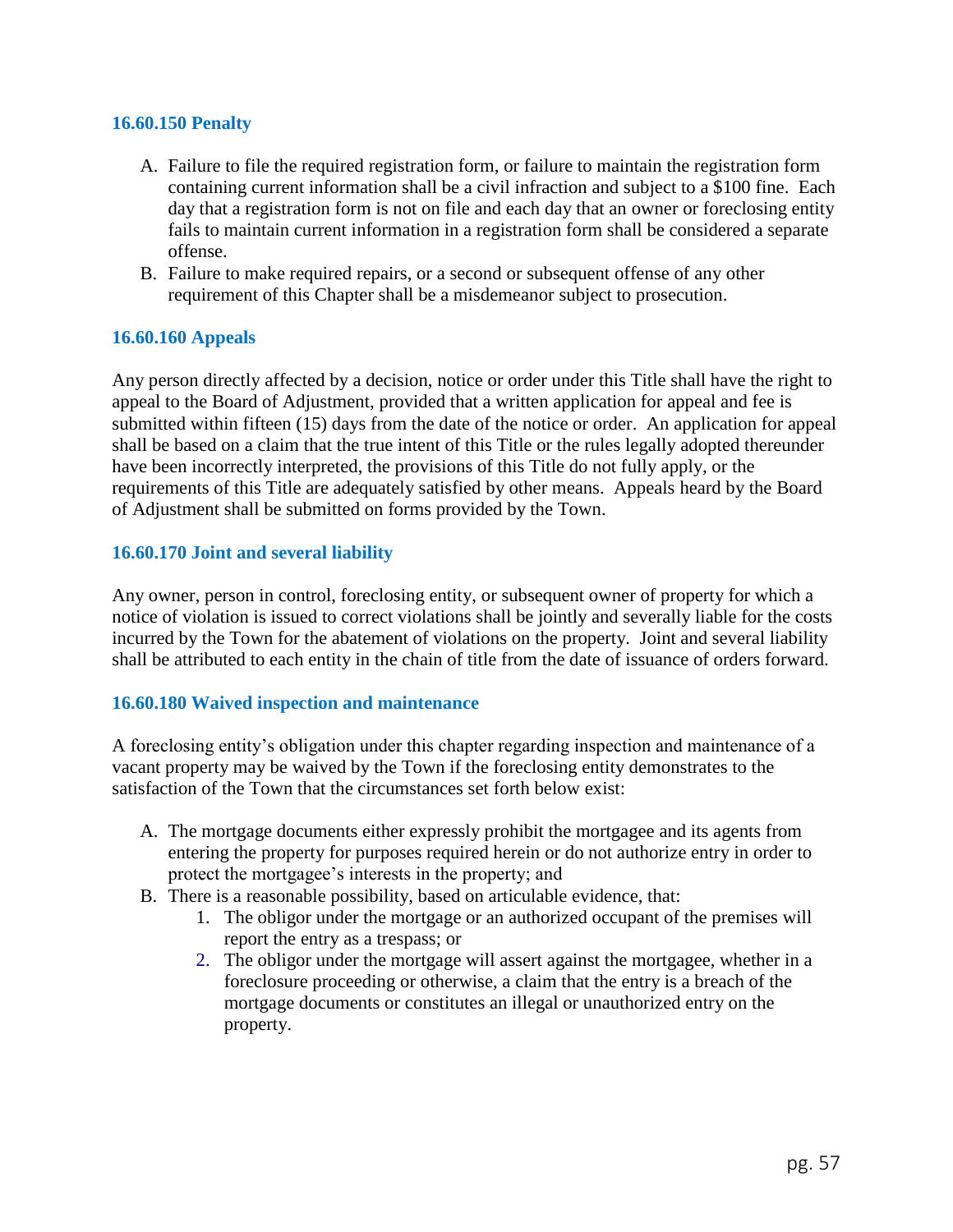#### **16.60.150 Penalty**

- A. Failure to file the required registration form, or failure to maintain the registration form containing current information shall be a civil infraction and subject to a \$100 fine. Each day that a registration form is not on file and each day that an owner or foreclosing entity fails to maintain current information in a registration form shall be considered a separate offense.
- B. Failure to make required repairs, or a second or subsequent offense of any other requirement of this Chapter shall be a misdemeanor subject to prosecution.

### **16.60.160 Appeals**

Any person directly affected by a decision, notice or order under this Title shall have the right to appeal to the Board of Adjustment, provided that a written application for appeal and fee is submitted within fifteen (15) days from the date of the notice or order. An application for appeal shall be based on a claim that the true intent of this Title or the rules legally adopted thereunder have been incorrectly interpreted, the provisions of this Title do not fully apply, or the requirements of this Title are adequately satisfied by other means. Appeals heard by the Board of Adjustment shall be submitted on forms provided by the Town.

### **16.60.170 Joint and several liability**

Any owner, person in control, foreclosing entity, or subsequent owner of property for which a notice of violation is issued to correct violations shall be jointly and severally liable for the costs incurred by the Town for the abatement of violations on the property. Joint and several liability shall be attributed to each entity in the chain of title from the date of issuance of orders forward.

### **16.60.180 Waived inspection and maintenance**

A foreclosing entity's obligation under this chapter regarding inspection and maintenance of a vacant property may be waived by the Town if the foreclosing entity demonstrates to the satisfaction of the Town that the circumstances set forth below exist:

- A. The mortgage documents either expressly prohibit the mortgagee and its agents from entering the property for purposes required herein or do not authorize entry in order to protect the mortgagee's interests in the property; and
- B. There is a reasonable possibility, based on articulable evidence, that:
	- 1. The obligor under the mortgage or an authorized occupant of the premises will report the entry as a trespass; or
	- 2. The obligor under the mortgage will assert against the mortgagee, whether in a foreclosure proceeding or otherwise, a claim that the entry is a breach of the mortgage documents or constitutes an illegal or unauthorized entry on the property.